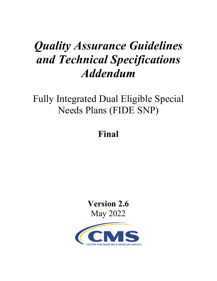# *Quality Assurance Guidelines and Technical Specifications Addendum*

Fully Integrated Dual Eligible Special Needs Plans (FIDE SNP)

## **Final**

**Version 2.6**  May 2022

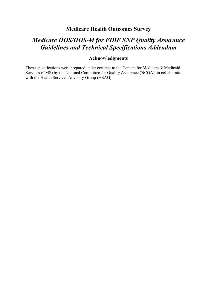## **Medicare Health Outcomes Survey**

## *Medicare HOS/HOS-M for FIDE SNP Quality Assurance Guidelines and Technical Specifications Addendum*

#### **Acknowledgments**

These specifications were prepared under contract to the Centers for Medicare & Medicaid Services (CMS) by the National Committee for Quality Assurance (NCQA), in collaboration with the Health Services Advisory Group (HSAG).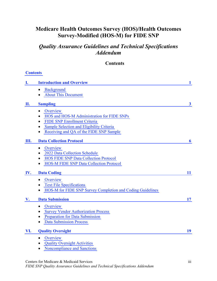## **Medicare Health Outcomes Survey (HOS)/Health Outcomes Survey-Modified (HOS-M) for FIDE SNP**

## *Quality Assurance Guidelines and Technical Specifications Addendum*

#### **Contents**

#### <span id="page-2-0"></span>**[Contents](#page-2-0)**

| Ī.  | <b>Introduction and Overview</b>                                        | $\mathbf{1}$ |
|-----|-------------------------------------------------------------------------|--------------|
|     | Background<br>$\bullet$                                                 |              |
|     | <b>About This Document</b>                                              |              |
| П.  | <b>Sampling</b>                                                         | $\mathbf{3}$ |
|     | Overview<br>$\bullet$                                                   |              |
|     | HOS and HOS-M Administration for FIDE SNPs<br>$\bullet$                 |              |
|     | <b>FIDE SNP Enrollment Criteria</b><br>$\bullet$                        |              |
|     | Sample Selection and Eligibility Criteria<br>$\bullet$                  |              |
|     | Receiving and QA of the FIDE SNP Sample<br>$\bullet$                    |              |
| Ш.  | <b>Data Collection Protocol</b>                                         | 6            |
|     | Overview<br>$\bullet$                                                   |              |
|     | 2022 Data Collection Schedule<br>$\bullet$                              |              |
|     | <b>HOS FIDE SNP Data Collection Protocol</b><br>$\bullet$               |              |
|     | <b>HOS-M FIDE SNP Data Collection Protocol</b><br>$\bullet$             |              |
| IV. | <b>Data Coding</b>                                                      | 11           |
|     | Overview                                                                |              |
|     | <b>Text File Specifications</b><br>$\bullet$                            |              |
|     | HOS-M for FIDE SNP Survey Completion and Coding Guidelines<br>$\bullet$ |              |
| V.  | <b>Data Submission</b>                                                  | 17           |
|     | Overview<br>$\bullet$                                                   |              |
|     | <b>Survey Vendor Authorization Process</b><br>$\bullet$                 |              |
|     | Preparation for Data Submission<br>$\bullet$                            |              |
|     | <b>Data Submission Process</b>                                          |              |
| VI. | <b>Quality Oversight</b>                                                | 19           |
|     | Overview<br>$\bullet$                                                   |              |
|     | <b>Quality Oversight Activities</b><br>$\bullet$                        |              |
|     | Noncompliance and Sanctions<br>$\bullet$                                |              |
|     |                                                                         |              |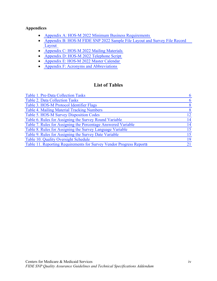#### **Appendices**

- [Appendix A: HOS-M 2022 Minimum Business Requirements](#page-29-0)
- [Appendix B: HOS-M FIDE SNP 2022 Sample File Layout and Survey File Record](#page-40-0) [Layout](#page-40-0)
- [Appendix C: HOS-M 2022 Mailing Materials](#page-49-0)
- [Appendix D: HOS-M 2022 Telephone Script](#page-53-0)
- [Appendix E: HOS-M 2022 Master Calendar](#page-79-0)
- [Appendix F: Acronyms and Abbreviations](#page-81-0)

## **List of Tables**

| Table 1. Pre-Data Collection Tasks                                  | 6  |
|---------------------------------------------------------------------|----|
| <b>Table 2. Data Collection Tasks</b>                               | 6  |
| Table 3. HOS-M Protocol Identifier Flags                            | 8  |
| Table 4. Mailing Material Tracking Numbers                          | 8  |
| Table 5. HOS-M Survey Disposition Codes                             | 12 |
| Table 6. Rules for Assigning the Survey Round Variable              | 14 |
| Table 7. Rules for Assigning the Percentage Answered Variable       | 14 |
| Table 8. Rules for Assigning the Survey Language Variable           | 15 |
| Table 9. Rules for Assigning the Survey Date Variable               | 15 |
| Table 10. Quality Oversight Schedule                                | 19 |
| Table 11. Reporting Requirements for Survey Vendor Progress Reports | 21 |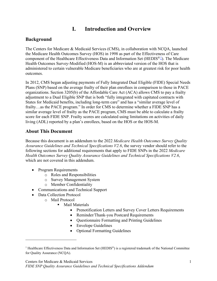## **I. Introduction and Overview**

#### <span id="page-4-1"></span><span id="page-4-0"></span>**Background**

The Centers for Medicare & Medicaid Services (CMS), in collaboration with NCQA, launched the Medicare Health Outcomes Survey (HOS) in 1998 as part of the Effectiveness of Care component of the Healthcare Effectiveness Data and Information Set (HEDIS<sup>®[1](#page-4-3)</sup>). The Medicare Health Outcomes Survey-Modified (HOS-M) is an abbreviated version of the HOS that is administered to certain vulnerable Medicare beneficiaries who are at greatest risk for poor health outcomes.

<span id="page-4-2"></span>In 2012, CMS began adjusting payments of Fully Integrated Dual Eligible (FIDE) Special Needs Plans (SNP) based on the average frailty of their plan enrollees in comparison to those in PACE organizations. Section 3205(b) of the Affordable Care Act (ACA) allows CMS to pay a frailty adjustment to a Dual Eligible SNP that is both "fully integrated with capitated contracts with States for Medicaid benefits, including long-term care" and has a "similar average level of frailty…as the PACE program." In order for CMS to determine whether a FIDE SNP has a similar average level of frailty as the PACE program, CMS must be able to calculate a frailty score for each FIDE SNP. Frailty scores are calculated using limitations on activities of daily living (ADL) reported by a plan's enrollees, based on the HOS or the HOS-M.

#### **About This Document**

Because this document is an addendum to the 2022 *Medicare Health Outcomes Survey Quality Assurance Guidelines and Technical Specifications V2.6*, the survey vendor should refer to the following sections for additional requirements that apply to FIDE SNPs in the 2022 *Medicare Health Outcomes Survey Quality Assurance Guidelines and Technical Specifications V2.6*, which are not covered in this addendum.

- Program Requirements
	- o Roles and Responsibilities
	- o Survey Management System
	- o Member Confidentiality
- Communications and Technical Support
- Data Collection Protocol
	- o Mail Protocol
		- **Mail Materials** 
			- Prenotification Letters and Survey Cover Letters Requirements
				- Reminder/Thank-you Postcard Requirements
				- Questionnaire Formatting and Printing Guidelines
				- Envelope Guidelines
				- Optional Formatting Guidelines

<span id="page-4-3"></span><sup>&</sup>lt;sup>1</sup> Healthcare Effectiveness Data and Information Set (HEDIS<sup>®</sup>) is a registered trademark of the National Committee for Quality Assurance (NCQA).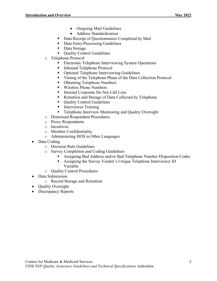- Outgoing Mail Guidelines
- Address Standardization
- Data Receipt of Questionnaires Completed by Mail
- Data Entry/Processing Guidelines
- Data Storage
- Ouality Control Guidelines
- o Telephone Protocol
	- Electronic Telephone Interviewing System Operations
	- Inbound Telephone Protocol
	- Optional Telephone Interviewing Guidelines
	- Timing of the Telephone Phase of the Data Collection Protocol
	- Obtaining Telephone Numbers
	- Wireless Phone Numbers
	- Internal Corporate Do Not Call Lists
	- Retention and Storage of Data Collected by Telephone
	- Quality Control Guidelines
	- **Interviewer Training**
	- **Telephone Interview Monitoring and Quality Oversight**
- o Distressed Respondent Procedures
- o Proxy Respondents
- o Incentives
- o Member Confidentiality
- o Administering HOS in Other Languages
- Data Coding
	- o Decision Rule Guidelines
	- <p>5.68</p>\n<p>6.7</p>\n<p>6.8</p>\n<p>7.9</p>\n<p>8.8</p>\n<p>8.9</p>\n<p>9.9</p>\n<p>9.9</p>\n<p>1.9</p>\n<p>1.9</p>\n<p>1.9</p>\n<p>1.9</p>\n<p>1.9</p>\n<p>1.9</p>\n<p>1.9</p>\n<p>1.9</p>\n<p>1.9</p>\n<p>1.9</p>\n<p>1.9</p>\n<p>1.9</p>\n<p>1.9</p>\n<p>1.9</p>\n<p>1.9</p>\n<p>1.9</p>\n<p>1.
		- Assigning Bad Address and/or Bad Telephone Number Disposition Codes
		- Assigning the Survey Vendor's Unique Telephone Interviewer ID Variable
	- o Quality Control Procedures
- Data Submission
	- o Record Storage and Retention
- Quality Oversight
- Discrepancy Reports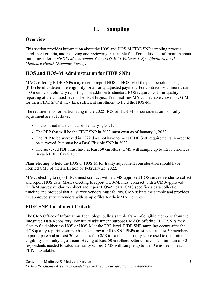## **II. Sampling**

## <span id="page-6-1"></span><span id="page-6-0"></span>**Overview**

This section provides information about the HOS and HOS-M FIDE SNP sampling process, enrollment criteria, and receiving and reviewing the sample file. For additional information about sampling, refer to *HEDIS Measurement Year (MY) 2021 Volume 6: Specifications for the Medicare Health Outcomes Survey*.

## <span id="page-6-2"></span>**HOS and HOS-M Administration for FIDE SNPs**

MAOs offering FIDE SNPs may elect to report HOS or HOS-M at the plan benefit package (PBP) level to determine eligibility for a frailty adjusted payment. For contracts with more than 500 members, voluntary reporting is in addition to standard HOS requirements for quality reporting at the contract level. The HOS Project Team notifies MAOs that have chosen HOS-M for their FIDE SNP if they lack sufficient enrollment to field the HOS-M.

The requirements for participating in the 2022 HOS or HOS-M for consideration for frailty adjustment are as follows:

- The contract must exist as of January 1, 2021.
- The PBP that will be the FIDE SNP in 2023 must exist as of January 1, 2022.
- The PBP to be surveyed in 2022 does not have to meet FIDE SNP requirements in order to be surveyed, but must be a Dual Eligible SNP in 2022.
- The surveyed PBP must have at least 50 enrollees. CMS will sample up to 1,200 enrollees in each PBP, if available.

Plans electing to field the HOS or HOS-M for frailty adjustment consideration should have notified CMS of their selection by February 25, 2022.

MAOs electing to report HOS must contract with a CMS-approved HOS survey vendor to collect and report HOS data. MAOs electing to report HOS-M, must contract with a CMS-approved HOS-M survey vendor to collect and report HOS-M data. CMS specifies a data collection timeline and protocol that all survey vendors must follow. CMS selects the sample and provides the approved survey vendors with sample files for their MAO clients.

## <span id="page-6-3"></span>**FIDE SNP Enrollment Criteria**

<span id="page-6-4"></span>The CMS Office of Information Technology pulls a sample frame of eligible members from the Integrated Data Repository. For frailty adjustment purposes, MAOs offering FIDE SNPs may elect to field either the HOS or HOS-M at the PBP level. FIDE SNP sampling occurs after the HOS quality reporting sample has been drawn. FIDE SNP PBPs must have at least 50 members to participate and at least 30 responses for CMS to calculate a frailty score used to determine eligibility for frailty adjustment. Having at least 50 enrollees better ensures the minimum of 30 respondents needed to calculate frailty scores. CMS will sample up to 1,200 enrollees in each PBP, if available.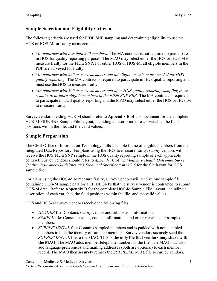#### **Sample Selection and Eligibility Criteria**

The following criteria are used for FIDE SNP sampling and determining eligibility to use the HOS or HOS-M for frailty measurement:

- *MA contracts with less than 500 members:* The MA contract is not required to participate in HOS for quality reporting purposes. The MAO may select either the HOS or HOS-M to measure frailty for the FIDE SNP. For either HOS or HOS-M, all eligible members in the PBP are surveyed for frailty.
- *MA contracts with 500 or more members and all eligible members are needed for HOS quality reporting:* The MA contract is required to participate in HOS quality reporting and must use the HOS to measure frailty.
- *MA contracts with 500 or more members and after HOS quality reporting sampling there remain 50 or more eligible members in the FIDE SNP PBP:* The MA contract is required to participate in HOS quality reporting and the MAO may select either the HOS or HOS-M to measure frailty.

Survey vendors fielding HOS-M should refer to **Appendix B** of this document for the complete HOS-M FIDE SNP Sample File Layout, including a description of each variable, the field positions within the file, and the valid values.

#### **Sample Preparation**

The CMS Office of Information Technology pulls a sample frame of eligible members from the Integrated Data Repository. For plans using the HOS to measure frailty, survey vendors will receive the HOS FIDE SNP sample in the HOS quality reporting sample of each applicable contract. Survey vendors should refer to *Appendix C* of the *Medicare Health Outcomes Survey Quality Assurance Guidelines and Technical Specifications V2.6* for the file layout for HOS sample file.

For plans using the HOS-M to measure frailty, survey vendors will receive one sample file containing HOS-M sample data for all FIDE SNPs that the survey vendor is contracted to submit HOS-M data. Refer to **Appendix B** for the complete HOS-M Sample File Layout, including a description of each variable, the field positions within the file, and the valid values.

HOS and HOS-M survey vendors receive the following files:

- *HEADER* file: Contains survey vendor and submission information.
- *SAMPLE* file: Contains names, contact information, and other variables for sampled members.
- *SUPPLEMENTAL* file: Contains sampled members and is padded with non-sampled members to hide the identity of sampled members. Survey vendors **securely** send the *SUPPLEMENTAL* file to the MAO. **This is the only file that vendors may share with the MAO.** The MAO adds member telephone numbers to the file. The MAO may also add language preferences and mailing addresses (both are optional) to each member record. The MAO then **securely** returns the *SUPPLEMENTAL* file to survey vendors,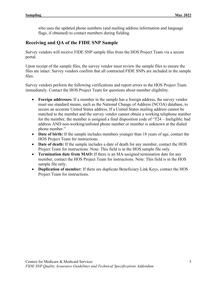who uses the updated phone numbers (and mailing address information and language flags, if obtained) to contact members during fielding.

#### <span id="page-8-0"></span>**Receiving and QA of the FIDE SNP Sample**

Survey vendors will receive FIDE SNP sample files from the HOS Project Team via a secure portal.

Upon receipt of the sample files, the survey vendor must review the sample files to ensure the files are intact. Survey vendors confirm that all contracted FIDE SNPs are included in the sample files.

Survey vendors perform the following verifications and report errors to the HOS Project Team immediately. Contact the HOS Project Team for questions about member eligibility.

- **Foreign addresses:** If a member in the sample has a foreign address, the survey vendor must use standard means, such as the National Change of Address (NCOA) database, to secure an accurate United States address. If a United States mailing address cannot be matched to the member and the survey vendor cannot obtain a working telephone number for the member, the member is assigned a final disposition code of "T24 – Ineligible: bad address AND non-working/unlisted phone number or member is unknown at the dialed phone number."
- **Date of birth:** If the sample includes members younger than 18 years of age, contact the HOS Project Team for instructions.
- **Date of death:** If the sample includes a date of death for any member, contact the HOS Project Team for instructions. Note: This field is in the HOS sample file only.
- **Termination date from MAO:** If there is an MA-assigned termination date for any member, contact the HOS Project Team for instructions. Note: This field is in the HOS sample file only.
- **Duplication of member:** If there are duplicate Beneficiary Link Keys, contact the HOS Project Team for instructions.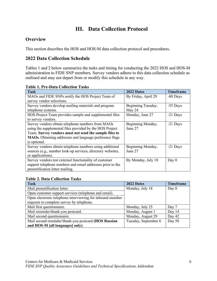## **III. Data Collection Protocol**

#### <span id="page-9-1"></span><span id="page-9-0"></span>**Overview**

This section describes the HOS and HOS-M data collection protocol and procedures.

#### <span id="page-9-2"></span>**2022 Data Collection Schedule**

Tables 1 and 2 below summarize the tasks and timing for conducting the 2022 HOS and HOS-M administration to FIDE SNP members. Survey vendors adhere to this data collection schedule as outlined and may not depart from or modify this schedule in any way.

<span id="page-9-3"></span>

|  |  | <b>Table 1. Pre-Data Collection Tasks</b> |  |
|--|--|-------------------------------------------|--|
|--|--|-------------------------------------------|--|

| <b>Task</b>                                                 | 2022 Dates          | <b>Timeframe</b> |
|-------------------------------------------------------------|---------------------|------------------|
| MAOs and FIDE SNPs notify the HOS Project Team of           | By Friday, April 29 | -80 Days         |
| survey vendor selections.                                   |                     |                  |
| Survey vendors develop mailing materials and program        | Beginning Tuesday,  | -55 Days         |
| telephone systems.                                          | May 24              |                  |
| HOS Project Team provides sample and supplemental files     | Monday, June 27     | $-21$ Days       |
| to survey vendors.                                          |                     |                  |
| Survey vendors obtain telephone numbers from MAOs           | Beginning Monday,   | $-21$ Days       |
| using the supplemental files provided by the HOS Project    | June 27             |                  |
| Team. Survey vendors must not send the sample files to      |                     |                  |
| MAOs. Obtaining addresses and language preference flags     |                     |                  |
| is optional.                                                |                     |                  |
| Survey vendors obtain telephone numbers using additional    | Beginning Monday,   | -21 Days         |
| sources (e.g., number look-up services, directory websites, | June 27             |                  |
| or applications).                                           |                     |                  |
| Survey vendors test external functionality of customer      | By Monday, July 18  | Day $0$          |
| support telephone numbers and email addresses prior to the  |                     |                  |
| prenotification letter mailing.                             |                     |                  |

#### <span id="page-9-4"></span>**Table 2. Data Collection Tasks**

| <b>Task</b>                                               | 2022 Dates           | <b>Timeframe</b> |
|-----------------------------------------------------------|----------------------|------------------|
| Mail prenotification letter.                              | Monday, July 18      | Day $0$          |
| Open customer support services (telephone and email).     |                      |                  |
| Open electronic telephone interviewing for inbound member |                      |                  |
| requests to complete survey by telephone.                 |                      |                  |
| Mail first questionnaire.                                 | Monday, July 25      | Day 7            |
| Mail reminder/thank-you postcard.                         | Monday, August 1     | Day 14           |
| Mail second questionnaire.                                | Monday, August 29    | Day 42           |
| Mail second reminder/thank-you postcard (HOS Russian      | Tuesday, September 6 | Day 50           |
| and HOS-M [all languages] only).                          |                      |                  |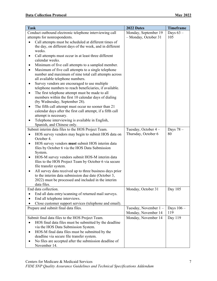| <b>Task</b>                                                 | 2022 Dates           | <b>Timeframe</b> |
|-------------------------------------------------------------|----------------------|------------------|
| Conduct outbound electronic telephone interviewing call     | Monday, September 19 | Days $63-$       |
| attempts for nonrespondents.                                | - Monday, October 31 | 105              |
| Call attempts must be scheduled at different times of       |                      |                  |
| the day, on different days of the week, and in different    |                      |                  |
| weeks.                                                      |                      |                  |
| Call attempts must occur in at least three different        |                      |                  |
| calendar weeks.                                             |                      |                  |
| Minimum of five call attempts to a sampled member.          |                      |                  |
| Maximum of five call attempts to a single telephone         |                      |                  |
| number and maximum of nine total call attempts across       |                      |                  |
| all available telephone numbers.                            |                      |                  |
| Survey vendors are encouraged to use multiple               |                      |                  |
| telephone numbers to reach beneficiaries, if available.     |                      |                  |
| The first telephone attempt must be made to all<br>٠        |                      |                  |
| members within the first 10 calendar days of dialing        |                      |                  |
| (by Wednesday, September 28).                               |                      |                  |
| The fifth call attempt must occur no sooner than 21         |                      |                  |
| calendar days after the first call attempt, if a fifth call |                      |                  |
| attempt is necessary.                                       |                      |                  |
| Telephone interviewing is available in English,             |                      |                  |
| Spanish, and Chinese only.                                  |                      |                  |
| Submit interim data files to the HOS Project Team.          | Tuesday, October 4 - | Days $78-$       |
| HOS survey vendors may begin to submit HOS data on          | Thursday, October 6  | 80               |
| October 4.                                                  |                      |                  |
| HOS survey vendors must submit HOS interim data<br>٠        |                      |                  |
| files by October 6 via the HOS Data Submission              |                      |                  |
| System.                                                     |                      |                  |
| HOS-M survey vendors submit HOS-M interim data              |                      |                  |
| files to the HOS Project Team by October 6 via secure       |                      |                  |
| file transfer system.                                       |                      |                  |
| All survey data received up to three business days prior    |                      |                  |
| to the interim data submission due date (October 3,         |                      |                  |
| 2022) must be processed and included in the interim         |                      |                  |
| data files.                                                 |                      |                  |
| End data collection.                                        | Monday, October 31   | Day 105          |
| End all data entry/scanning of returned mail surveys.       |                      |                  |
| End all telephone interviews.                               |                      |                  |
| Close customer support services (telephone and email).      |                      |                  |
| Prepare and submit final data files.                        | Tuesday, November 1- | Days $106 -$     |
|                                                             | Monday, November 14  | 119              |
| Submit final data files to the HOS Project Team.            | Monday, November 14  | Day 119          |
| HOS final data files must be submitted by the deadline      |                      |                  |
| via the HOS Data Submission System.                         |                      |                  |
| HOS-M final data files must be submitted by the             |                      |                  |
| deadline via secure file transfer system.                   |                      |                  |
| No files are accepted after the submission deadline of      |                      |                  |
| November 14.                                                |                      |                  |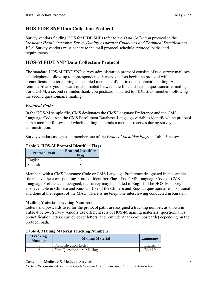#### <span id="page-11-0"></span>**HOS FIDE SNP Data Collection Protocol**

Survey vendors fielding HOS for FIDE SNPs refer to the *Data Collection* protocol in the *Medicare Health Outcomes Survey Quality Assurance Guidelines and Technical Specifications V2.6*. Survey vendors must adhere to the mail protocol schedule, protocol paths, and requirements as listed.

#### <span id="page-11-1"></span>**HOS-M FIDE SNP Data Collection Protocol**

The standard HOS-M FIDE SNP survey administration protocol consists of two survey mailings and telephone follow-up to nonrespondents. Survey vendors begin the protocol with a prenotification letter alerting all sampled members of the first questionnaire mailing. A reminder/thank-you postcard is also mailed between the first and second questionnaire mailings. For HOS-M, a second reminder/thank-you postcard is mailed to FIDE SNP members following the second questionnaire mailing.

#### *Protocol Paths*

In the HOS-M sample file, CMS designates the CMS Language Preference and the CMS Language Code from the CMS Enrollment Database. Language variables identify which protocol path a member follows and which mailing materials a member receives during survey administration.

Survey vendors assign each member one of the *Protocol Identifier Flags* in Table 3 below.

| <b>Protocol Path</b> | <b>Protocol Identifier</b><br>Flag |  |  |
|----------------------|------------------------------------|--|--|
| English              |                                    |  |  |
| Spanish              |                                    |  |  |

#### <span id="page-11-2"></span>**Table 3. HOS-M Protocol Identifier Flags**

Members with a CMS Language Code or CMS Language Preference designated in the sample file receive the corresponding Protocol Identifier Flag. If no CMS Language Code or CMS Language Preference is assigned, the survey may be mailed in English. The HOS-M survey is also available in Chinese and Russian. Use of the Chinese and Russian questionnaires is optional and done at the request of the MAO. There is **no** telephone interviewing conducted in Russian.

#### **Mailing Material Tracking Numbers**

Letters and postcards used for the protocol paths are assigned a tracking number, as shown in Table 4 below. Survey vendors use different sets of HOS-M mailing materials (questionnaires, prenotification letters, survey cover letters, and reminder/thank-you postcards) depending on the protocol path.

<span id="page-11-3"></span>

|  |  |  |  | <b>Table 4. Mailing Material Tracking Numbers</b> |
|--|--|--|--|---------------------------------------------------|
|--|--|--|--|---------------------------------------------------|

| <b>Tracking</b><br><b>Number</b> | <b>Mailing Material</b>            |         |
|----------------------------------|------------------------------------|---------|
|                                  | Prenotification Letter             | English |
|                                  | <b>First Questionnaire Mailing</b> | English |

Centers for Medicare & Medicaid Services 8

*FIDE SNP Quality Assurance Guidelines and Technical Specifications Addendum*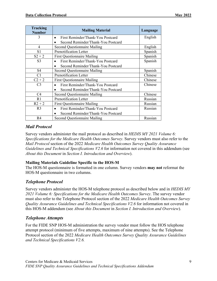| <b>Tracking</b><br><b>Number</b> | <b>Mailing Material</b>                        | Language |
|----------------------------------|------------------------------------------------|----------|
| 3                                | First Reminder/Thank-You Postcard<br>$\bullet$ | English  |
|                                  | Second Reminder/Thank-You Postcard             |          |
| 4                                | <b>Second Questionnaire Mailing</b>            | English  |
| S <sub>1</sub>                   | Prenotification Letter                         | Spanish  |
| $S2 + 2$                         | <b>First Questionnaire Mailing</b>             | Spanish  |
| S <sub>3</sub>                   | First Reminder/Thank-You Postcard              | Spanish  |
|                                  | Second Reminder/Thank-You Postcard             |          |
| S <sub>4</sub>                   | <b>Second Questionnaire Mailing</b>            | Spanish  |
| C1                               | Prenotification Letter                         | Chinese  |
| $C2 + 2$                         | <b>First Questionnaire Mailing</b>             | Chinese  |
| C <sub>3</sub>                   | First Reminder/Thank-You Postcard              | Chinese  |
|                                  | Second Reminder/Thank-You Postcard             |          |
| C <sub>4</sub>                   | <b>Second Questionnaire Mailing</b>            | Chinese  |
| R <sub>1</sub>                   | Prenotification Letter                         | Russian  |
| $R2 + 2$                         | <b>First Questionnaire Mailing</b>             | Russian  |
| R <sub>3</sub>                   | First Reminder/Thank-You Postcard              | Russian  |
|                                  | Second Reminder/Thank-You Postcard             |          |
| R <sub>4</sub>                   | <b>Second Questionnaire Mailing</b>            | Russian  |

#### *Mail Protocol*

Survey vendors administer the mail protocol as described in *HEDIS MY 2021 Volume 6: Specifications for the Medicare Health Outcomes Survey*. Survey vendors must also refer to the *Mail Protocol* section of the 2022 *Medicare Health Outcomes Survey Quality Assurance Guidelines and Technical Specifications V2.6* for information not covered in this addendum (see *About this Document* in *Section I. Introduction and Overview*).

#### **Mailing Materials Guideline Specific to the HOS-M**

The HOS-M questionnaire is formatted in one column. Survey vendors **may not** reformat the HOS-M questionnaire in two columns.

#### *Telephone Protocol*

Survey vendors administer the HOS-M telephone protocol as described below and in *HEDIS MY 2021 Volume 6: Specifications for the Medicare Health Outcomes Survey*. The survey vendor must also refer to the Telephone Protocol section of the 2022 *Medicare Health Outcomes Survey Quality Assurance Guidelines and Technical Specifications V2.6* for information not covered in this HOS-M addendum (see *About this Document* in *Section I. Introduction and Overview*).

#### *Telephone Attempts*

For the FIDE SNP HOS-M administration the survey vendor must follow the HOS telephone attempt protocol (minimum of five attempts, maximum of nine attempts). See the Telephone Protocol section of the 2022 *Medicare Health Outcomes Survey Quality Assurance Guidelines and Technical Specifications V2.6.*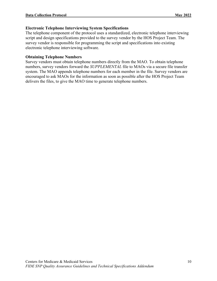#### **Electronic Telephone Interviewing System Specifications**

The telephone component of the protocol uses a standardized, electronic telephone interviewing script and design specifications provided to the survey vendor by the HOS Project Team. The survey vendor is responsible for programming the script and specifications into existing electronic telephone interviewing software.

#### **Obtaining Telephone Numbers**

Survey vendors must obtain telephone numbers directly from the MAO. To obtain telephone numbers, survey vendors forward the *SUPPLEMENTAL* file to MAOs via a secure file transfer system. The MAO appends telephone numbers for each member in the file. Survey vendors are encouraged to ask MAOs for the information as soon as possible after the HOS Project Team delivers the files, to give the MAO time to generate telephone numbers.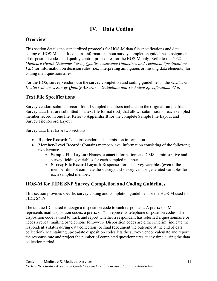## **IV. Data Coding**

## <span id="page-14-1"></span><span id="page-14-0"></span>**Overview**

This section details the standardized protocols for HOS-M data file specifications and data coding of HOS-M data. It contains information about survey completion guidelines, assignment of disposition codes, and quality control procedures for the HOS-M only. Refer to the 2022 *Medicare Health Outcomes Survey Quality Assurance Guidelines and Technical Specifications V2.6* for information on decision rules (i.e., interpreting ambiguous or missing data elements) for coding mail questionnaires.

For the HOS, survey vendors use the survey completion and coding guidelines in the *Medicare Health Outcomes Survey Quality Assurance Guidelines and Technical Specifications V2.6*.

## <span id="page-14-2"></span>**Text File Specifications**

Survey vendors submit a record for all sampled members included in the original sample file. Survey data files are submitted in a text file format (.txt) that allows submission of each sampled member record in one file. Refer to **Appendix B** for the complete Sample File Layout and Survey File Record Layout.

Survey data files have two sections:

- **Header Record:** Contains vendor and submission information.
- **Member-Level Record:** Contains member-level information consisting of the following two layouts:
	- o **Sample File Layout:** Names, contact information, and CMS administrative and survey fielding variables for each sampled member.
	- o **Survey File Record Layout:** Responses for all survey variables (even if the member did not complete the survey) and survey vendor-generated variables for each sampled member.

## <span id="page-14-3"></span>**HOS-M for FIDE SNP Survey Completion and Coding Guidelines**

This section provides specific survey coding and completion guidelines for the HOS-M used for FIDE SNPs.

The unique ID is used to assign a disposition code to each respondent. A prefix of "M" represents mail disposition codes; a prefix of "T" represents telephone disposition codes. The disposition code is used to track and report whether a respondent has returned a questionnaire or needs a repeat mailing or telephone follow-up. Disposition codes are either interim (indicate the respondent's status during data collection) or final (document the outcome at the end of data collection). Maintaining up-to-date disposition codes lets the survey vendor calculate and report the response rate and project the number of completed questionnaires at any time during the data collection period.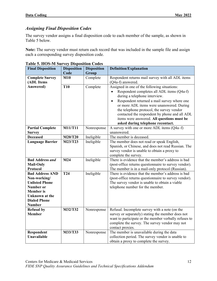#### *Assigning Final Disposition Codes*

The survey vendor assigns a final disposition code to each member of the sample, as shown in Table 5 below.

**Note:** The survey vendor must return each record that was included in the sample file and assign each a corresponding survey disposition code.

| <b>Final Disposition</b>           | <b>Disposition</b> | <b>Disposition</b> | <b>Definition/Explanation</b>                                                                              |
|------------------------------------|--------------------|--------------------|------------------------------------------------------------------------------------------------------------|
|                                    | Code               | Group              |                                                                                                            |
| <b>Complete Survey</b>             | M10                | Complete           | Respondent returns mail survey with all ADL items                                                          |
| (ADL Items                         |                    |                    | (Q4a-f) answered.                                                                                          |
| Answered)                          | <b>T10</b>         | Complete           | Assigned in one of the following situations:                                                               |
|                                    |                    |                    | Respondent completes all ADL items (Q4a-f)                                                                 |
|                                    |                    |                    | during a telephone interview.                                                                              |
|                                    |                    |                    | Respondent returned a mail survey where one<br>$\bullet$                                                   |
|                                    |                    |                    | or more ADL items were unanswered. During                                                                  |
|                                    |                    |                    | the telephone protocol, the survey vendor                                                                  |
|                                    |                    |                    | contacted the respondent by phone and all ADL                                                              |
|                                    |                    |                    | items were answered. All questions must be                                                                 |
|                                    |                    |                    | asked during telephone recontact.                                                                          |
| <b>Partial Complete</b>            | <b>M11/T11</b>     | Nonresponse        | A survey with one or more ADL items (Q4a-f)                                                                |
| <b>Survey</b>                      |                    |                    | unanswered.                                                                                                |
| <b>Deceased</b>                    | <b>M20/T20</b>     | Ineligible         | The member is deceased.                                                                                    |
| <b>Language Barrier</b>            | M23/T23            | Ineligible         | The member does not read or speak English,                                                                 |
|                                    |                    |                    | Spanish, or Chinese, and does not read Russian. The                                                        |
|                                    |                    |                    | survey vendor is unable to obtain a proxy to                                                               |
|                                    |                    |                    | complete the survey.                                                                                       |
| <b>Bad Address and</b>             | M24                | Ineligible         | There is evidence that the member's address is bad                                                         |
| <b>Mail-Only</b>                   |                    |                    | (post-office returns questionnaire to survey vendor).                                                      |
| Protocol                           |                    |                    | The member is in a mail-only protocol (Russian).                                                           |
| <b>Bad Address AND</b>             | <b>T24</b>         | Ineligible         | There is evidence that the member's address is bad                                                         |
| Non-working/                       |                    |                    | (post-office returns questionnaire to survey vendor).                                                      |
| <b>Unlisted Phone</b>              |                    |                    | The survey vendor is unable to obtain a viable                                                             |
| <b>Number or</b>                   |                    |                    | telephone number for the member.                                                                           |
| <b>Member</b> is                   |                    |                    |                                                                                                            |
| Unknown at the                     |                    |                    |                                                                                                            |
| <b>Dialed Phone</b>                |                    |                    |                                                                                                            |
| <b>Number</b><br><b>Refusal by</b> | M32/T32            |                    |                                                                                                            |
| <b>Member</b>                      |                    | Nonresponse        | Refusal. Incomplete survey with a note (on the                                                             |
|                                    |                    |                    | survey or separately) stating the member does not<br>want to participate or the member verbally refuses to |
|                                    |                    |                    | complete the survey. The survey vendor may not                                                             |
|                                    |                    |                    | contact proxies.                                                                                           |
| Respondent                         | M33/T33            | Nonresponse        | The member is unavailable during the data                                                                  |
| <b>Unavailable</b>                 |                    |                    | collection period. The survey vendor is unable to                                                          |
|                                    |                    |                    | obtain a proxy to complete the survey.                                                                     |

<span id="page-15-0"></span>

|  |  | <b>Table 5. HOS-M Survey Disposition Codes</b> |  |  |  |  |
|--|--|------------------------------------------------|--|--|--|--|
|--|--|------------------------------------------------|--|--|--|--|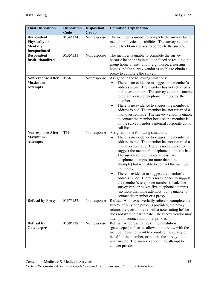| <b>Final Disposition</b>                                               | <b>Disposition</b> | <b>Disposition</b> | <b>Definition/Explanation</b>                                                                                                                                                                                                                                                                                                                                                                                                                                                                                                                                                                                                                                                |
|------------------------------------------------------------------------|--------------------|--------------------|------------------------------------------------------------------------------------------------------------------------------------------------------------------------------------------------------------------------------------------------------------------------------------------------------------------------------------------------------------------------------------------------------------------------------------------------------------------------------------------------------------------------------------------------------------------------------------------------------------------------------------------------------------------------------|
|                                                                        | Code               | Group              |                                                                                                                                                                                                                                                                                                                                                                                                                                                                                                                                                                                                                                                                              |
| Respondent<br><b>Physically or</b><br><b>Mentally</b><br>Incapacitated | M34/T34            | Nonresponse        | The member is unable to complete the survey due to<br>mental or physical disabilities. The survey vendor is<br>unable to obtain a proxy to complete the survey.                                                                                                                                                                                                                                                                                                                                                                                                                                                                                                              |
| Respondent                                                             | M35/T35            | Nonresponse        | The member is unable to complete the survey                                                                                                                                                                                                                                                                                                                                                                                                                                                                                                                                                                                                                                  |
| <b>Institutionalized</b>                                               |                    |                    | because he or she is institutionalized or residing in a<br>group home or institution (e.g., hospice, nursing<br>home) and the survey vendor is unable to obtain a<br>proxy to complete the survey.                                                                                                                                                                                                                                                                                                                                                                                                                                                                           |
| <b>Nonresponse After</b>                                               | M36                | Nonresponse        | Assigned in the following situations:                                                                                                                                                                                                                                                                                                                                                                                                                                                                                                                                                                                                                                        |
| <b>Maximum</b><br><b>Attempts</b>                                      |                    |                    | There is no evidence to suggest the member's<br>address is bad. The member has not returned a<br>mail questionnaire. The survey vendor is unable<br>to obtain a viable telephone number for the<br>member.<br>There is no evidence to suggest the member's<br>٠<br>address is bad. The member has not returned a<br>mail questionnaire. The survey vendor is unable<br>to contact the member because the member is<br>on the survey vendor's internal corporate do not                                                                                                                                                                                                       |
|                                                                        |                    |                    | call list.                                                                                                                                                                                                                                                                                                                                                                                                                                                                                                                                                                                                                                                                   |
| <b>Nonresponse After</b><br><b>Maximum</b><br><b>Attempts</b>          | <b>T36</b>         | Nonresponse        | Assigned in the following situations:<br>There is no evidence to suggest the member's<br>address is bad. The member has not returned a<br>mail questionnaire. There is no evidence to<br>suggest the member's telephone number is bad.<br>The survey vendor makes at least five<br>telephone attempts (no more than nine<br>attempts) but is unable to contact the member<br>or a proxy.<br>There is evidence to suggest the member's<br>٠<br>address is bad. There is no evidence to suggest<br>the member's telephone number is bad. The<br>survey vendor makes five telephone attempts<br>(no more than nine attempts) but is unable to<br>contact the member or a proxy. |
| <b>Refusal by Proxy</b>                                                | M37/T37            | Nonresponse        | Refusal. All proxies verbally refuse to complete the                                                                                                                                                                                                                                                                                                                                                                                                                                                                                                                                                                                                                         |
|                                                                        |                    |                    | survey. If only one proxy is provided, the proxy<br>returns the questionnaire with a note stating he/she<br>does not want to participate. The survey vendor may<br>attempt to contact additional proxies.                                                                                                                                                                                                                                                                                                                                                                                                                                                                    |
| <b>Refusal by</b>                                                      | M38/T38            | Nonresponse        | Refusal. A representative of the institution                                                                                                                                                                                                                                                                                                                                                                                                                                                                                                                                                                                                                                 |
| Gatekeeper                                                             |                    |                    | (gatekeeper) refuses to allow an interview with the                                                                                                                                                                                                                                                                                                                                                                                                                                                                                                                                                                                                                          |
|                                                                        |                    |                    | member, does not want to complete the survey on                                                                                                                                                                                                                                                                                                                                                                                                                                                                                                                                                                                                                              |
|                                                                        |                    |                    | behalf of the member, or returns the survey                                                                                                                                                                                                                                                                                                                                                                                                                                                                                                                                                                                                                                  |
|                                                                        |                    |                    | unanswered. The survey vendor may attempt to<br>contact proxies.                                                                                                                                                                                                                                                                                                                                                                                                                                                                                                                                                                                                             |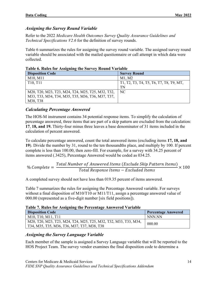#### *Assigning the Survey Round Variable*

Refer to the 2022 *Medicare Health Outcomes Survey Quality Assurance Guidelines and Technical Specifications V2.6* for the definition of survey rounds.

Table 6 summarizes the rules for assigning the survey round variable. The assigned survey round variable should be associated with the mailed questionnaire or call attempt in which data were collected.

| <b>Disposition Code</b>                           | <b>Survey Round</b>                     |
|---------------------------------------------------|-----------------------------------------|
| M10, M11                                          | M1. M2                                  |
| T <sub>10</sub> , T <sub>11</sub>                 | T1, T2, T3, T4, T5, T6, T7, T8, T9, MT, |
|                                                   | TN                                      |
| M20, T20, M23, T23, M24, T24, M25, T25, M32, T32, | NC                                      |
| M33, T33, M34, T34, M35, T35, M36, T36, M37, T37, |                                         |
| M38, T38                                          |                                         |

<span id="page-17-0"></span>

|  | Table 6. Rules for Assigning the Survey Round Variable |  |
|--|--------------------------------------------------------|--|
|  |                                                        |  |

#### *Calculating Percentage Answered*

The HOS-M instrument contains 34 potential response items. To simplify the calculation of percentage answered, three items that are part of a skip pattern are excluded from the calculation: **17**, **18, and 19.** Thirty-four minus three leaves a base denominator of 31 items included in the calculation of percent answered.

To calculate percentage answered, count the total answered items (excluding items **17, 18, and 19**). Divide the number by 31, round to the ten thousandths place, and multiply by 100. If percent complete is less than 100.00, then zero-fill. For example, for a survey with 34.25 percent of items answered (.3425), Percentage Answered would be coded as 034.25.

$$
\% Complete = \frac{Total Number of Answered Items (շclude Skip Pattern Items)}{Total Response Items - Excluded Items} \times 100
$$

A completed survey should not have less than 019.35 percent of items answered.

Table 7 summarizes the rules for assigning the Percentage Answered variable. For surveys without a final disposition of M10/T10 or M11/T11, assign a percentage answered value of 000.00 (represented as a five-digit number [six field positions]).

<span id="page-17-1"></span>

| Table 7. Rules for Assigning the Percentage Answered Variable |  |
|---------------------------------------------------------------|--|
|---------------------------------------------------------------|--|

| <b>Disposition Code</b>                                                                                         | <b>Percentage Answered</b> |
|-----------------------------------------------------------------------------------------------------------------|----------------------------|
| M10, T10, M11, T11                                                                                              | NNN NN                     |
| M20, T20, M23, T23, M24, T24, M25, T25, M32, T32, M33, T33, M34,<br>T34, M35, T35, M36, T36, M37, T37, M38, T38 | 000.00                     |

#### *Assigning the Survey Language Variable*

Each member of the sample is assigned a Survey Language variable that will be reported to the HOS Project Team. The survey vendor examines the final disposition code to determine a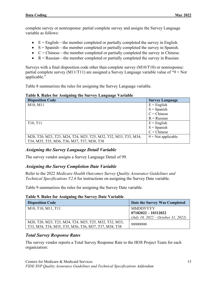complete survey or nonresponse: partial complete survey and assigns the Survey Language variable as follows:

- $\bullet$  E = English—the member completed or partially completed the survey in English.
- $S =$  Spanish—the member completed or partially completed the survey in Spanish.
- $\bullet$   $C =$  Chinese—the member completed or partially completed the survey in Chinese.
- $R =$  Russian—the member completed or partially completed the survey in Russian.

Surveys with a final disposition code other than complete survey (M10/T10) or nonresponse: partial complete survey (M11/T11) are assigned a Survey Language variable value of " $9 = Not$ applicable."

Table 8 summarizes the rules for assigning the Survey Language variable.

#### <span id="page-18-0"></span>**Table 8. Rules for Assigning the Survey Language Variable**

| <b>Disposition Code</b>                                          | <b>Survey Language</b> |
|------------------------------------------------------------------|------------------------|
| M10, M11                                                         | $E =$ English          |
|                                                                  | $S = Spanish$          |
|                                                                  | $C =$ Chinese          |
|                                                                  | $R =$ Russian          |
| T <sub>10</sub> , T <sub>11</sub>                                | $E =$ English          |
|                                                                  | $S =$ Spanish          |
|                                                                  | $C =$ Chinese          |
| M20, T20, M23, T23, M24, T24, M25, T25, M32, T32, M33, T33, M34, | $9$ = Not applicable   |
| T34, M35, T35, M36, T36, M37, T37, M38, T38                      |                        |

#### *Assigning the Survey Language Detail Variable*

The survey vendor assigns a Survey Language Detail of 99.

#### *Assigning the Survey Completion Date Variable*

Refer to the 2022 *Medicare Health Outcomes Survey Quality Assurance Guidelines and Technical Specifications V2.6* for instructions on assigning the Survey Date variable.

Table 9 summarizes the rules for assigning the Survey Date variable.

#### <span id="page-18-1"></span>**Table 9. Rules for Assigning the Survey Date Variable**

| <b>Disposition Code</b>                                | Date the Survey Was Completed      |
|--------------------------------------------------------|------------------------------------|
| M10, T10, M11, T11                                     | <b>MMDDYYYY</b>                    |
|                                                        | $07182022 - 10312022$              |
|                                                        | (July 18, 2022 – October 31, 2022) |
| M20, T20, M23, T23, M24, T24, M25, T25, M32, T32, M33, | 99999999                           |
| T33, M34, T34, M35, T35, M36, T36, M37, T37, M38, T38  |                                    |

#### *Total Survey Response Rates*

The survey vendor reports a Total Survey Response Rate to the HOS Project Team for each organization: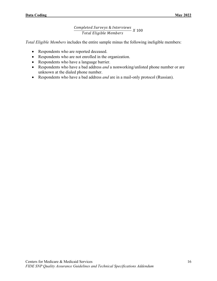#### Completed Surveys & Interviews Total Eligible Members X 100

*Total Eligible Members* includes the entire sample minus the following ineligible members:

- Respondents who are reported deceased.
- Respondents who are not enrolled in the organization.
- Respondents who have a language barrier.
- Respondents who have a bad address *and* a nonworking/unlisted phone number or are unknown at the dialed phone number.
- Respondents who have a bad address *and* are in a mail-only protocol (Russian).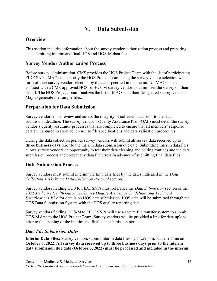## **V. Data Submission**

#### <span id="page-20-1"></span><span id="page-20-0"></span>**Overview**

This section includes information about the survey vendor authorization process and preparing and submitting interim and final HOS and HOS-M data files.

#### <span id="page-20-2"></span>**Survey Vendor Authorization Process**

Before survey administration, CMS provides the HOS Project Team with the list of participating FIDE SNPs. MAOs must notify the HOS Project Team using the survey vendor selection web form of their survey vendor selection by the date specified in the memo. All MAOs must contract with a CMS-approved HOS or HOS-M survey vendor to administer the survey on their behalf. The HOS Project Team finalizes the list of MAOs and their designated survey vendor in May to generate the sample files.

#### <span id="page-20-3"></span>**Preparation for Data Submission**

Survey vendors must review and assess the integrity of collected data prior to the data submission deadline. The survey vendor's Quality Assurance Plan (QAP) must detail the survey vendor's quality assurance processes that are completed to ensure that all members' response data are captured in strict adherence to file specifications and data validation procedures.

During the data collection period, survey vendors will submit all survey data received up to **three business days** prior to the interim data submission due date. Submitting interim data files allows survey vendors an opportunity to test their data cleaning and editing routines and the data submission process and correct any data file errors in advance of submitting final data files.

#### <span id="page-20-4"></span>**Data Submission Process**

Survey vendors must submit interim and final data files by the dates indicated in the *Data Collection Tasks* in the *Data Collection Protocol* section.

Survey vendors fielding HOS to FIDE SNPs must reference the *Data Submission* section of the 2022 *Medicare Health Outcomes Survey Quality Assurance Guidelines and Technical Specifications V2.6* for details on HOS data submission. HOS data will be submitted through the HOS Data Submission System with the HOS quality reporting data.

Survey vendors fielding HOS-M to FIDE SNPs will use a secure file transfer system to submit HOS-M data to the HOS Project Team. Survey vendors will be provided a link for data upload prior to the opening of the interim and final data submission periods.

#### *Data File Submission Dates*

**Interim Data Files:** Survey vendors submit interim data files by 11:59 p.m. Eastern Time on **October 6, 2022**. **All survey data received up to three business days prior to the interim data submission due date (October 3, 2022) must be processed and included in the interim**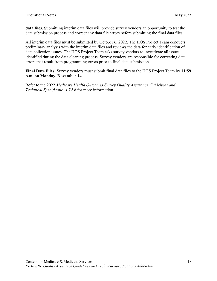**data files.** Submitting interim data files will provide survey vendors an opportunity to test the data submission process and correct any data file errors before submitting the final data files.

All interim data files must be submitted by October 6, 2022. The HOS Project Team conducts preliminary analysis with the interim data files and reviews the data for early identification of data collection issues. The HOS Project Team asks survey vendors to investigate all issues identified during the data cleaning process. Survey vendors are responsible for correcting data errors that result from programming errors prior to final data submission.

**Final Data Files:** Survey vendors must submit final data files to the HOS Project Team by **11:59 p.m. on Monday, November 14**.

Refer to the 2022 *Medicare Health Outcomes Survey Quality Assurance Guidelines and Technical Specifications V2.6* for more information.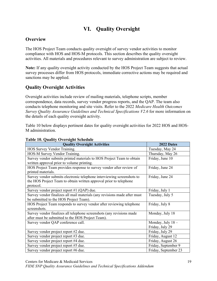## **VI. Quality Oversight**

#### <span id="page-22-1"></span><span id="page-22-0"></span>**Overview**

The HOS Project Team conducts quality oversight of survey vendor activities to monitor compliance with HOS and HOS-M protocols. This section describes the quality oversight activities. All materials and procedures relevant to survey administration are subject to review.

**Note:** If any quality oversight activity conducted by the HOS Project Team suggests that actual survey processes differ from HOS protocols, immediate corrective actions may be required and sanctions may be applied.

## <span id="page-22-2"></span>**Quality Oversight Activities**

Oversight activities include review of mailing materials, telephone scripts, member correspondence, data records, survey vendor progress reports, and the QAP. The team also conducts telephone monitoring and site visits. Refer to the 2022 *Medicare Health Outcomes Survey Quality Assurance Guidelines and Technical Specifications V2.6* for more information on the details of each quality oversight activity.

Table 10 below displays pertinent dates for quality oversight activities for 2022 HOS and HOS-M administration.

| <b>Quality Oversight Activities</b>                                       | 2022 Dates           |
|---------------------------------------------------------------------------|----------------------|
| HOS Survey Vendor Training.                                               | Tuesday, May 24      |
| HOS-M Survey Vendor Training.                                             | Thursday, May 26     |
| Survey vendor submits printed materials to HOS Project Team to obtain     | Friday, June 10      |
| written approval prior to volume printing.                                |                      |
| HOS Project Team provides response to survey vendor after review of       | Friday, June 24      |
| printed materials.                                                        |                      |
| Survey vendor submits electronic telephone interviewing screenshots to    | Friday, June 24      |
| the HOS Project Team to obtain written approval prior to telephone        |                      |
| protocol.                                                                 |                      |
| Survey vendor project report #1 (QAP) due.                                | Friday, July 1       |
| Survey vendor finalizes all mail materials (any revisions made after must | Tuesday, July 5      |
| be submitted to the HOS Project Team).                                    |                      |
| HOS Project Team responds to survey vendor after reviewing telephone      | Friday, July 8       |
| screenshots.                                                              |                      |
| Survey vendor finalizes all telephone screenshots (any revisions made     | Monday, July 18      |
| after must be submitted to the HOS Project Team).                         |                      |
| Survey vendor QAP conference call.                                        | Monday, July 18-     |
|                                                                           | Friday, July 29      |
| Survey vendor project report #2 due.                                      | Friday, July 29      |
| Survey vendor project report #3 due.                                      | Friday, August 12    |
| Survey vendor project report #4 due.                                      | Friday, August 26    |
| Survey vendor project report #5 due.                                      | Friday, September 9  |
| Survey vendor project report #6 due.                                      | Friday, September 23 |

#### <span id="page-22-3"></span>**Table 10. Quality Oversight Schedule**

Centers for Medicare & Medicaid Services 19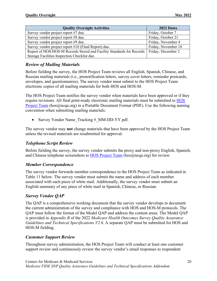| <b>Quality Oversight Activities</b>                                                        | 2022 Dates          |
|--------------------------------------------------------------------------------------------|---------------------|
| Survey vendor project report #7 due.                                                       | Friday, October 7   |
| Survey vendor project report #8 due.                                                       | Friday, October 21  |
| Survey vendor project report #9 due.                                                       | Friday, November 4  |
| Survey vendor project report #10 (Final Report) due.                                       | Friday, November 18 |
| Report of HOS/HOS-M Records Stored and Facility Standards for Records   Friday, December 2 |                     |
| Storage Facilities Inspection Checklist due.                                               |                     |

#### *Review of Mailing Materials*

Before fielding the survey, the HOS Project Team reviews all English, Spanish, Chinese, and Russian mailing materials (i.e., prenotification letters, survey cover letters, reminder postcards, envelopes, and questionnaires). The survey vendor must submit to the HOS Project Team electronic copies of all mailing materials for both HOS and HOS-M.

The HOS Project Team notifies the survey vendor when materials have been approved or if they require revisions. All final print-ready electronic mailing materials must be submitted to **HOS** [Project Team](mailto:HOS@ncqa.org) (hos@ncqa.org) in a Portable Document Format (PDF). Use the following naming convention when submitting mailing materials:

Survey Vendor Name Tracking # MM-DD-YY.pdf.

The survey vendor may **not** change materials that have been approved by the HOS Project Team unless the revised materials are resubmitted for approval.

#### *Telephone Script Review*

Before fielding the survey, the survey vendor submits the proxy and non-proxy English, Spanish, and Chinese telephone screenshots to [HOS Project Team](mailto:HOS@ncqa.org) (hos@ncqa.org) for review.

#### *Member Correspondence*

The survey vendor forwards member correspondence to the HOS Project Team as indicated in Table 11 below. The survey vendor must submit the name and address of each member associated with each piece of white mail. Additionally, the survey vendor must submit an English summary of any piece of white mail in Spanish, Chinese, or Russian.

#### *Survey Vendor QAP*

The QAP is a comprehensive working document that the survey vendor develops to document the current administration of the survey and compliance with HOS and HOS-M protocols. The QAP must follow the format of the Model QAP and address the content areas. The Model QAP is provided in *Appendix B* of the 2022 *Medicare Health Outcomes Survey Quality Assurance Guidelines and Technical Specifications V2.6*. A separate QAP must be submitted for HOS and HOS-M fielding.

#### *Customer Support Review*

Throughout survey administration, the HOS Project Team will conduct at least one customer support review and continuously review the survey vendor's email responses to respondent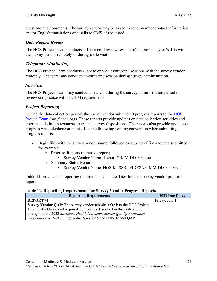questions and comments. The survey vendor may be asked to send member contact information and/or English translations of emails to CMS, if requested.

#### *Data Record Review*

The HOS Project Team conducts a data record review session of the previous year's data with the survey vendor remotely or during a site visit.

#### *Telephone Monitoring*

The HOS Project Team conducts silent telephone monitoring sessions with the survey vendor remotely. The team may conduct a monitoring session during survey administration.

#### *Site Visit*

The HOS Project Team may conduct a site visit during the survey administration period to review compliance with HOS-M requirements.

#### *Project Reporting*

During the data collection period, the survey vendor submits 10 progress reports to the [HOS](mailto:hos@ncqa.org)  [Project Team](mailto:hos@ncqa.org) (hos@ncqa.org). These reports provide updates on data collection activities and interim statistics on responses rates and survey dispositions. The reports also provide updates on progress with telephone attempts. Use the following naming convention when submitting progress reports:

- Begin files with the survey vendor name, followed by subject of file and date submitted; for example:
	- o Progress Reports (narrative report):
		- Survey Vendor Name Report # MM-DD-YY.doc.
	- o Summary Status Reports:
		- Survey Vendor Name\_HOS-M\_SSR\_ FIDESNP\_MM-DD-YY.xls.

Table 11 provides the reporting requirements and due dates for each survey vendor progress report.

#### <span id="page-24-0"></span>**Table 11. Reporting Requirements for Survey Vendor Progress Reports**

| <b>Reporting Requirements</b>                                            | 2022 Due Dates |
|--------------------------------------------------------------------------|----------------|
| <b>REPORT#1</b>                                                          | Friday, July 1 |
| Survey Vendor QAP: The survey vendor submits a QAP to the HOS Project    |                |
| Team that addresses all required elements as described in this addendum, |                |
| throughout the 2022 Medicare Health Outcomes Survey Quality Assurance    |                |
| Guidelines and Technical Specifications V2.6 and in the Model QAP.       |                |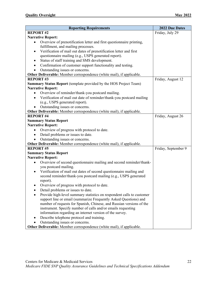| <b>Reporting Requirements</b>                                                                                                            | 2022 Due Dates      |
|------------------------------------------------------------------------------------------------------------------------------------------|---------------------|
| <b>REPORT#2</b>                                                                                                                          | Friday, July 29     |
| <b>Narrative Report:</b>                                                                                                                 |                     |
| Overview of prenotification letter and first questionnaire printing,<br>$\bullet$                                                        |                     |
| fulfillment, and mailing processes.                                                                                                      |                     |
| Verification of mail out dates of prenotification letter and first<br>$\bullet$                                                          |                     |
| questionnaire mailing (e.g., USPS generated report).                                                                                     |                     |
| Status of staff training and SMS development.                                                                                            |                     |
| Confirmation of customer support functionality and testing.                                                                              |                     |
| Outstanding issues or concerns.                                                                                                          |                     |
| Other Deliverable: Member correspondence (white mail), if applicable.                                                                    |                     |
| <b>REPORT#3</b>                                                                                                                          | Friday, August 12   |
| <b>Summary Status Report</b> (template provided by the HOS Project Team)                                                                 |                     |
| <b>Narrative Report:</b>                                                                                                                 |                     |
| Overview of reminder/thank-you postcard mailing.<br>$\bullet$                                                                            |                     |
| Verification of mail out date of reminder/thank-you postcard mailing<br>$\bullet$                                                        |                     |
| (e.g., USPS generated report).                                                                                                           |                     |
| Outstanding issues or concerns.                                                                                                          |                     |
| Other Deliverable: Member correspondence (white mail), if applicable.                                                                    |                     |
| <b>REPORT #4</b>                                                                                                                         | Friday, August 26   |
| <b>Summary Status Report</b>                                                                                                             |                     |
| <b>Narrative Report:</b>                                                                                                                 |                     |
| Overview of progress with protocol to date.<br>$\bullet$                                                                                 |                     |
| Detail problems or issues to date.<br>$\bullet$                                                                                          |                     |
| Outstanding issues or concerns.                                                                                                          |                     |
| Other Deliverable: Member correspondence (white mail), if applicable.                                                                    |                     |
| <b>REPORT #5</b>                                                                                                                         | Friday, September 9 |
| <b>Summary Status Report</b>                                                                                                             |                     |
| <b>Narrative Report:</b>                                                                                                                 |                     |
| Overview of second questionnaire mailing and second reminder/thank-<br>$\bullet$                                                         |                     |
| you postcard mailing.                                                                                                                    |                     |
| Verification of mail out dates of second questionnaire mailing and<br>$\bullet$                                                          |                     |
| second reminder/thank-you postcard mailing (e.g., USPS generated                                                                         |                     |
| report).                                                                                                                                 |                     |
| Overview of progress with protocol to date.                                                                                              |                     |
| Detail problems or issues to date.                                                                                                       |                     |
| Provide high-level summary statistics on respondent calls to customer                                                                    |                     |
| support line or email (summarize Frequently Asked Questions) and<br>number of requests for Spanish, Chinese, and Russian versions of the |                     |
| instrument. Specify number of calls and/or emails requesting                                                                             |                     |
| information regarding an internet version of the survey.                                                                                 |                     |
| Describe telephone protocol and training.<br>٠                                                                                           |                     |
| Outstanding issues or concerns.                                                                                                          |                     |
| Other Deliverable: Member correspondence (white mail), if applicable.                                                                    |                     |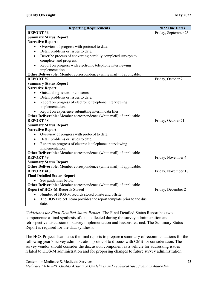| <b>Reporting Requirements</b>                                              | 2022 Due Dates       |
|----------------------------------------------------------------------------|----------------------|
| <b>REPORT#6</b>                                                            | Friday, September 23 |
| <b>Summary Status Report</b>                                               |                      |
| <b>Narrative Report:</b>                                                   |                      |
| Overview of progress with protocol to date.<br>$\bullet$                   |                      |
| Detail problems or issues to date.<br>$\bullet$                            |                      |
| Describe process of converting partially completed surveys to<br>$\bullet$ |                      |
| complete, and progress.                                                    |                      |
| Report on progress with electronic telephone interviewing<br>$\bullet$     |                      |
| implementation.                                                            |                      |
| Other Deliverable: Member correspondence (white mail), if applicable.      |                      |
| <b>REPORT #7</b>                                                           | Friday, October 7    |
| <b>Summary Status Report</b>                                               |                      |
| <b>Narrative Report</b>                                                    |                      |
| Outstanding issues or concerns.<br>$\bullet$                               |                      |
| Detail problems or issues to date.<br>$\bullet$                            |                      |
| Report on progress of electronic telephone interviewing<br>$\bullet$       |                      |
| implementation.                                                            |                      |
| Report on experience submitting interim data files.                        |                      |
| Other Deliverable: Member correspondence (white mail), if applicable.      |                      |
| <b>REPORT#8</b>                                                            | Friday, October 21   |
| <b>Summary Status Report</b>                                               |                      |
| <b>Narrative Report</b>                                                    |                      |
| Overview of progress with protocol to date.<br>$\bullet$                   |                      |
| Detail problems or issues to date.<br>$\bullet$                            |                      |
| Report on progress of electronic telephone interviewing                    |                      |
| implementation.                                                            |                      |
| Other Deliverable: Member correspondence (white mail), if applicable.      |                      |
| <b>REPORT#9</b>                                                            | Friday, November 4   |
| <b>Summary Status Report</b>                                               |                      |
| Other Deliverable: Member correspondence (white mail), if applicable.      |                      |
| <b>REPORT #10</b>                                                          | Friday, November 18  |
| <b>Final Detailed Status Report</b>                                        |                      |
| See guidelines below.                                                      |                      |
| Other Deliverable: Member correspondence (white mail), if applicable.      |                      |
| <b>Report of HOS-M Records Stored</b>                                      | Friday, December 2   |
| Number of HOS-M records stored onsite and offsite.                         |                      |
| The HOS Project Team provides the report template prior to the due         |                      |
| date.                                                                      |                      |

*Guidelines for Final Detailed Status Report:* The Final Detailed Status Report has two components: a final synthesis of data collected during the survey administration and a retrospective discussion of survey implementation and lessons learned. The Summary Status Report is required for the data synthesis.

The HOS Project Team uses the final reports to prepare a summary of recommendations for the following year's survey administration protocol to discuss with CMS for consideration. The survey vendor should consider the discussion component as a vehicle for addressing issues related to HOS-M administration and for proposing changes to future survey administration.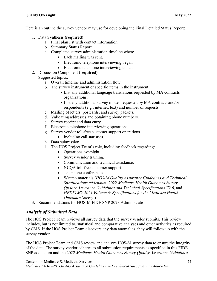Here is an outline the survey vendor may use for developing the Final Detailed Status Report:

- 1. Data Synthesis **(required)**
	- a. Final plan list with contact information.
	- b. Summary Status Report.
	- c. Completed survey administration timeline when:
		- Each mailing was sent.
		- Electronic telephone interviewing began.
		- Electronic telephone interviewing ended.
- 2. Discussion Component **(required)** Suggested topics:
	- a. Overall timeline and administration flow.
	- b. The survey instrument or specific items in the instrument.
		- List any additional language translations requested by MA contracts organizations.
		- List any additional survey modes requested by MA contracts and/or respondents (e.g., internet, text) and number of requests.
	- c. Mailing of letters, postcards, and survey packets.
	- d. Validating addresses and obtaining phone numbers.
	- e. Survey receipt and data entry.
	- f. Electronic telephone interviewing operations.
	- g. Survey vendor toll-free customer support operations.
		- Including call statistics.
	- h. Data submission.
	- i. The HOS Project Team's role, including feedback regarding:
		- Operations oversight.
		- Survey vendor training.
		- Communication and technical assistance.
		- NCQA toll-free customer support.
		- Telephone conferences.
		- Written materials (*HOS-M Quality Assurance Guidelines and Technical Specifications addendum*, 2022 *Medicare Health Outcomes Survey Quality Assurance Guidelines and Technical Specifications V2.6*, and *HEDIS MY 2021 Volume 6: Specifications for the Medicare Health Outcomes Survey*.)
- 3. Recommendations for HOS-M FIDE SNP 2023 Administration

#### *Analysis of Submitted Data*

The HOS Project Team reviews all survey data that the survey vendor submits. This review includes, but is not limited to, statistical and comparative analyses and other activities as required by CMS. If the HOS Project Team discovers any data anomalies, they will follow up with the survey vendor.

The HOS Project Team and CMS review and analyze HOS-M survey data to ensure the integrity of the data. The survey vendor adheres to all submission requirements as specified in this FIDE SNP addendum and the 2022 *Medicare Health Outcomes Survey Quality Assurance Guidelines*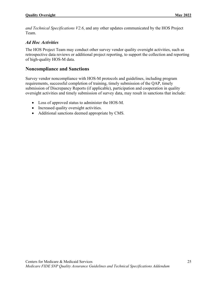*and Technical Specifications V2.6*, and any other updates communicated by the HOS Project Team.

#### *Ad Hoc Activities*

The HOS Project Team may conduct other survey vendor quality oversight activities, such as retrospective data reviews or additional project reporting, to support the collection and reporting of high-quality HOS-M data.

#### <span id="page-28-0"></span>**Noncompliance and Sanctions**

Survey vendor noncompliance with HOS-M protocols and guidelines, including program requirements, successful completion of training, timely submission of the QAP, timely submission of Discrepancy Reports (if applicable), participation and cooperation in quality oversight activities and timely submission of survey data, may result in sanctions that include:

- Loss of approved status to administer the HOS-M.
- Increased quality oversight activities.
- Additional sanctions deemed appropriate by CMS.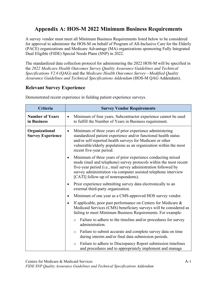## <span id="page-29-0"></span>**Appendix A: HOS-M 2022 Minimum Business Requirements**

A survey vendor must meet all Minimum Business Requirements listed below to be considered for approval to administer the HOS-M on behalf of Program of All-Inclusive Care for the Elderly (PACE) organizations and Medicare Advantage (MA) organizations sponsoring Fully Integrated Dual Eligible (FIDE) Special Needs Plans (SNP) in 2022.

The standardized data collection protocol for administering the 2022 HOS-M will be specified in the *2022 Medicare Health Outcomes Survey Quality Assurance Guidelines and Technical Specifications V2.6* (QAG) and the *Medicare Health Outcomes Survey—Modified Quality Assurance Guidelines and Technical Specifications Addendum* (HOS-M QAG Addendum).

## **Relevant Survey Experience**

| Criteria                                   |           | <b>Survey Vendor Requirements</b>                                                                                                                                                                                                                                                                             |
|--------------------------------------------|-----------|---------------------------------------------------------------------------------------------------------------------------------------------------------------------------------------------------------------------------------------------------------------------------------------------------------------|
| <b>Number of Years</b><br>in Business      | $\bullet$ | Minimum of four years. Subcontractor experience cannot be used<br>to fulfill the Number of Years in Business requirement.                                                                                                                                                                                     |
| Organizational<br><b>Survey Experience</b> | $\bullet$ | Minimum of three years of prior experience administering<br>standardized patient experience and/or functional health status<br>and/or self-reported health surveys for Medicare or other<br>vulnerable/elderly populations as an organization within the most<br>recent five-year period.                     |
|                                            | $\bullet$ | Minimum of three years of prior experience conducting mixed<br>mode (mail and telephone) survey protocols within the most recent<br>five-year period (i.e., mail survey administration followed by<br>survey administration via computer assisted telephone interview<br>[CATI] follow-up of nonrespondents). |
|                                            | $\bullet$ | Prior experience submitting survey data electronically to an<br>external third-party organization.                                                                                                                                                                                                            |
|                                            | $\bullet$ | Minimum of one year as a CMS-approved HOS survey vendor.                                                                                                                                                                                                                                                      |
|                                            | $\bullet$ | If applicable, poor past performance on Centers for Medicare &<br>Medicaid Services (CMS) beneficiary surveys will be considered as<br>failing to meet Minimum Business Requirements. For example:                                                                                                            |
|                                            |           | Failure to adhere to the timeline and/or procedures for survey<br>$\circ$<br>administration.                                                                                                                                                                                                                  |
|                                            |           | Failure to submit accurate and complete survey data on time<br>$\circ$<br>during interim and/or final data submission periods.                                                                                                                                                                                |
|                                            |           | Failure to adhere to Discrepancy Report submission timelines<br>$\circ$<br>and procedures and to appropriately implement and manage                                                                                                                                                                           |

Demonstrated recent experience in fielding patient experience surveys.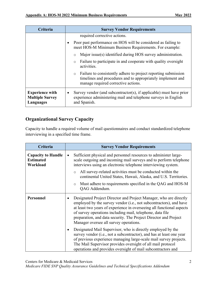| Criteria                                                             | <b>Survey Vendor Requirements</b>                                                                                                                                               |  |
|----------------------------------------------------------------------|---------------------------------------------------------------------------------------------------------------------------------------------------------------------------------|--|
|                                                                      | required corrective actions.                                                                                                                                                    |  |
|                                                                      | Poor past performance on HOS will be considered as failing to<br>meet HOS-M Minimum Business Requirements. For example:                                                         |  |
|                                                                      | Major issue(s) identified during HOS survey administration.<br>$\circ$                                                                                                          |  |
|                                                                      | Failure to participate in and cooperate with quality oversight<br>$\circ$<br>activities.                                                                                        |  |
|                                                                      | Failure to consistently adhere to project reporting submission<br>$\circ$<br>timelines and procedures and to appropriately implement and<br>manage required corrective actions. |  |
| <b>Experience with</b><br><b>Multiple Survey</b><br><b>Languages</b> | Survey vendor (and subcontractor(s), if applicable) must have prior<br>experience administering mail and telephone surveys in English<br>and Spanish.                           |  |

#### **Organizational Survey Capacity**

Capacity to handle a required volume of mail questionnaires and conduct standardized telephone interviewing in a specified time frame.

| Criteria                                                  | <b>Survey Vendor Requirements</b>                                                                                                                                                                                                                                                                                                                                                           |  |
|-----------------------------------------------------------|---------------------------------------------------------------------------------------------------------------------------------------------------------------------------------------------------------------------------------------------------------------------------------------------------------------------------------------------------------------------------------------------|--|
| <b>Capacity to Handle</b><br><b>Estimated</b><br>Workload | Sufficient physical and personnel resources to administer large-<br>$\bullet$<br>scale outgoing and incoming mail surveys and to perform telephone<br>interviews using an electronic telephone interviewing system.                                                                                                                                                                         |  |
|                                                           | All survey-related activities must be conducted within the<br>$\circ$<br>continental United States, Hawaii, Alaska, and U.S. Territories.                                                                                                                                                                                                                                                   |  |
|                                                           | Must adhere to requirements specified in the QAG and HOS-M<br>$\circ$<br>QAG Addendum.                                                                                                                                                                                                                                                                                                      |  |
| Personnel                                                 | Designated Project Director and Project Manager, who are directly<br>employed by the survey vendor (i.e., not subcontractors), and have<br>at least two years of experience in overseeing all functional aspects<br>of survey operations including mail, telephone, data file<br>preparation, and data security. The Project Director and Project<br>Manager oversee all survey operations. |  |
|                                                           | Designated Mail Supervisor, who is directly employed by the<br>$\bullet$<br>survey vendor (i.e., not a subcontractor), and has at least one year<br>of previous experience managing large-scale mail survey projects.<br>The Mail Supervisor provides oversight of all mail protocol<br>operations and provides oversight of mail subcontractors and                                        |  |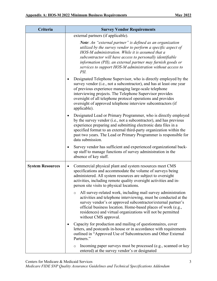| Criteria                | <b>Survey Vendor Requirements</b>                                                                                                                                                                                                                                                                                                                                                                                 |
|-------------------------|-------------------------------------------------------------------------------------------------------------------------------------------------------------------------------------------------------------------------------------------------------------------------------------------------------------------------------------------------------------------------------------------------------------------|
|                         | external partners (if applicable).                                                                                                                                                                                                                                                                                                                                                                                |
|                         | <b>Note:</b> An "external partner" is defined as an organization<br>utilized by the survey vendor to perform a specific aspect of<br>HOS-M administration. While it is assumed that a<br>subcontractor will have access to personally identifiable<br>information (PII), an external partner may furnish goods or<br>services to support HOS-M administration without access to<br>$PII$ .                        |
|                         | Designated Telephone Supervisor, who is directly employed by the<br>٠<br>survey vendor (i.e., not a subcontractor), and has at least one year<br>of previous experience managing large-scale telephone<br>interviewing projects. The Telephone Supervisor provides<br>oversight of all telephone protocol operations and provides<br>oversight of approved telephone interview subcontractors (if<br>applicable). |
|                         | Designated Lead or Primary Programmer, who is directly employed<br>٠<br>by the survey vendor (i.e., not a subcontractor), and has previous<br>experience preparing and submitting electronic data files in a<br>specified format to an external third-party organization within the<br>past two years. The Lead or Primary Programmer is responsible for<br>data submission.                                      |
|                         | Survey vendor has sufficient and experienced organizational back-<br>٠<br>up staff to manage functions of survey administration in the<br>absence of key staff.                                                                                                                                                                                                                                                   |
| <b>System Resources</b> | Commercial physical plant and system resources meet CMS<br>specifications and accommodate the volume of surveys being<br>administered. All system resources are subject to oversight<br>activities, including remote quality oversight activities and in-<br>person site visits to physical locations.                                                                                                            |
|                         | All survey-related work, including mail survey administration<br>$\circ$<br>activities and telephone interviewing, must be conducted at the<br>survey vendor's or approved subcontractor/external partner's<br>official business location. Home-based places of work (e.g.,<br>residences) and virtual organizations will not be permitted<br>without CMS approval.                                               |
|                         | Capacity for production and mailing of questionnaires, cover<br>letters, and postcards in-house or in accordance with requirements<br>outlined in "Approved Use of Subcontractors and Other External<br>Partners."                                                                                                                                                                                                |
|                         | Incoming paper surveys must be processed (e.g., scanned or key<br>$\circ$<br>entered) at the survey vendor's or designated                                                                                                                                                                                                                                                                                        |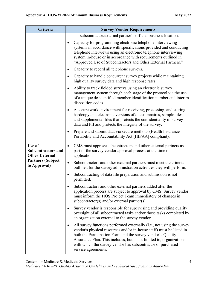| Criteria                                                     | <b>Survey Vendor Requirements</b>                                                                                                                                                                                                                                                                                                                                              |  |
|--------------------------------------------------------------|--------------------------------------------------------------------------------------------------------------------------------------------------------------------------------------------------------------------------------------------------------------------------------------------------------------------------------------------------------------------------------|--|
|                                                              | subcontractor/external partner's official business location.                                                                                                                                                                                                                                                                                                                   |  |
|                                                              | Capacity for programming electronic telephone interviewing<br>systems in accordance with specifications provided and conducting<br>telephone interviews using an electronic telephone interviewing<br>system in-house or in accordance with requirements outlined in<br>"Approved Use of Subcontractors and Other External Partners."                                          |  |
|                                                              | Capacity to record all telephone surveys.<br>٠                                                                                                                                                                                                                                                                                                                                 |  |
|                                                              | Capacity to handle concurrent survey projects while maintaining<br>high quality survey data and high response rates.                                                                                                                                                                                                                                                           |  |
|                                                              | Ability to track fielded surveys using an electronic survey<br>$\bullet$<br>management system through each stage of the protocol via the use<br>of a unique de-identified member identification number and interim<br>disposition codes.                                                                                                                                       |  |
|                                                              | A secure work environment for receiving, processing, and storing<br>hardcopy and electronic versions of questionnaires, sample files,<br>and supplemental files that protects the confidentiality of survey<br>data and PII and protects the integrity of the survey.                                                                                                          |  |
|                                                              | Prepare and submit data via secure methods (Health Insurance<br>٠<br>Portability and Accountability Act [HIPAA] compliant).                                                                                                                                                                                                                                                    |  |
| Use of<br><b>Subcontractors and</b><br><b>Other External</b> | CMS must approve subcontractors and other external partners as<br>٠<br>part of the survey vendor approval process at the time of<br>application.                                                                                                                                                                                                                               |  |
| <b>Partners (Subject</b><br>to Approval)                     | Subcontractors and other external partners must meet the criteria<br>$\bullet$<br>outlined for the survey administration activities they will perform.                                                                                                                                                                                                                         |  |
|                                                              | Subcontracting of data file preparation and submission is not<br>٠<br>permitted.                                                                                                                                                                                                                                                                                               |  |
|                                                              | Subcontractors and other external partners added after the<br>application process are subject to approval by CMS. Survey vendor<br>must inform the HOS Project Team immediately of changes in<br>subcontractor(s) and/or external partner(s).                                                                                                                                  |  |
|                                                              | Survey vendor is responsible for supervising and providing quality<br>٠<br>oversight of all subcontracted tasks and/or those tasks completed by<br>an organization external to the survey vendor.                                                                                                                                                                              |  |
|                                                              | All survey functions performed externally (i.e., not using the survey<br>٠<br>vendor's physical resources and/or in-house staff) must be listed in<br>both the Participation Form and the survey vendor's Quality<br>Assurance Plan. This includes, but is not limited to, organizations<br>with which the survey vendor has subcontractor or purchased<br>service agreements. |  |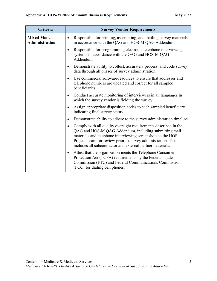| Criteria                                   | <b>Survey Vendor Requirements</b>                                                                                                                                                                                                                                                                                          |
|--------------------------------------------|----------------------------------------------------------------------------------------------------------------------------------------------------------------------------------------------------------------------------------------------------------------------------------------------------------------------------|
| <b>Mixed Mode</b><br><b>Administration</b> | Responsible for printing, assembling, and mailing survey materials<br>$\bullet$<br>in accordance with the QAG and HOS-M QAG Addendum.                                                                                                                                                                                      |
|                                            | Responsible for programming electronic telephone interviewing<br>٠<br>systems in accordance with the QAG and HOS-M QAG<br>Addendum.                                                                                                                                                                                        |
|                                            | Demonstrate ability to collect, accurately process, and code survey<br>٠<br>data through all phases of survey administration.                                                                                                                                                                                              |
|                                            | Use commercial software/resources to ensure that addresses and<br>$\bullet$<br>telephone numbers are updated and correct for all sampled<br>beneficiaries.                                                                                                                                                                 |
|                                            | Conduct accurate monitoring of interviewers in all languages in<br>$\bullet$<br>which the survey vendor is fielding the survey.                                                                                                                                                                                            |
|                                            | Assign appropriate disposition codes to each sampled beneficiary<br>٠<br>indicating final survey status.                                                                                                                                                                                                                   |
|                                            | Demonstrate ability to adhere to the survey administration timeline.<br>٠                                                                                                                                                                                                                                                  |
|                                            | Comply with all quality oversight requirements described in the<br>٠<br>QAG and HOS-M QAG Addendum, including submitting mail<br>materials and telephone interviewing screenshots to the HOS<br>Project Team for review prior to survey administration. This<br>includes all subcontractor and external partner materials. |
|                                            | Attest that the organization meets the Telephone Consumer<br>$\bullet$<br>Protection Act (TCPA) requirements by the Federal Trade<br>Commission (FTC) and Federal Communications Commission<br>(FCC) for dialing cell phones.                                                                                              |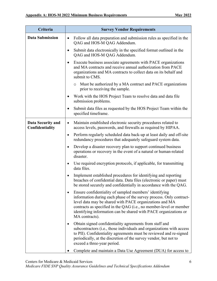| <b>Criteria</b>                             | <b>Survey Vendor Requirements</b>                                                                                                                                                                                                                                                                                                                                 |
|---------------------------------------------|-------------------------------------------------------------------------------------------------------------------------------------------------------------------------------------------------------------------------------------------------------------------------------------------------------------------------------------------------------------------|
| <b>Data Submission</b>                      | Follow all data preparation and submission rules as specified in the<br>$\bullet$<br>QAG and HOS-M QAG Addendum.                                                                                                                                                                                                                                                  |
|                                             | Submit data electronically in the specified format outlined in the<br>QAG and HOS-M QAG Addendum.                                                                                                                                                                                                                                                                 |
|                                             | Execute business associate agreements with PACE organizations<br>$\bullet$<br>and MA contracts and receive annual authorization from PACE<br>organizations and MA contracts to collect data on its behalf and<br>submit to CMS.                                                                                                                                   |
|                                             | Must be authorized by a MA contract and PACE organizations<br>$\circ$<br>prior to receiving the sample.                                                                                                                                                                                                                                                           |
|                                             | Work with the HOS Project Team to resolve data and data file<br>$\bullet$<br>submission problems.                                                                                                                                                                                                                                                                 |
|                                             | Submit data files as requested by the HOS Project Team within the<br>specified timeframe.                                                                                                                                                                                                                                                                         |
| <b>Data Security and</b><br>Confidentiality | Maintain established electronic security procedures related to<br>٠<br>access levels, passwords, and firewalls as required by HIPAA.                                                                                                                                                                                                                              |
|                                             | Perform regularly scheduled data back-up at least daily and off-site<br>$\bullet$<br>redundancy procedures that adequately safeguard system data.                                                                                                                                                                                                                 |
|                                             | Develop a disaster recovery plan to support continued business<br>$\bullet$<br>operations or recovery in the event of a natural or human-related<br>disaster.                                                                                                                                                                                                     |
|                                             | Use required encryption protocols, if applicable, for transmitting<br>٠<br>data files.                                                                                                                                                                                                                                                                            |
|                                             | Implement established procedures for identifying and reporting<br>$\bullet$<br>breaches of confidential data. Data files (electronic or paper) must<br>be stored securely and confidentially in accordance with the QAG.                                                                                                                                          |
|                                             | Ensure confidentiality of sampled members' identifying<br>$\bullet$<br>information during each phase of the survey process. Only contract-<br>level data may be shared with PACE organizations and MA<br>contracts as specified in the QAG (i.e., no member-level or member<br>identifying information can be shared with PACE organizations or<br>MA contracts). |
|                                             | Obtain signed confidentiality agreements from staff and<br>٠<br>subcontractors (i.e., those individuals and organizations with access<br>to PII). Confidentiality agreements must be reviewed and re-signed<br>periodically, at the discretion of the survey vendor, but not to<br>exceed a three-year period.                                                    |
|                                             | Complete and maintain a Data Use Agreement (DUA) for access to                                                                                                                                                                                                                                                                                                    |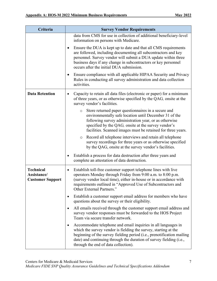| Criteria                                                   | <b>Survey Vendor Requirements</b>                                                                                                                                                                                                                                                                                              |
|------------------------------------------------------------|--------------------------------------------------------------------------------------------------------------------------------------------------------------------------------------------------------------------------------------------------------------------------------------------------------------------------------|
|                                                            | data from CMS for use in collection of additional beneficiary-level<br>information on persons with Medicare.                                                                                                                                                                                                                   |
|                                                            | Ensure the DUA is kept up to date and that all CMS requirements<br>$\bullet$<br>are followed, including documenting all subcontractors and key<br>personnel. Survey vendor will submit a DUA update within three<br>business days if any change in subcontractors or key personnel<br>occurs after the initial DUA submission. |
|                                                            | Ensure compliance with all applicable HIPAA Security and Privacy<br>٠<br>Rules in conducting all survey administration and data collection<br>activities.                                                                                                                                                                      |
| <b>Data Retention</b>                                      | Capacity to retain all data files (electronic or paper) for a minimum<br>٠<br>of three years, or as otherwise specified by the QAG, onsite at the<br>survey vendor's facilities.                                                                                                                                               |
|                                                            | Store returned paper questionnaires in a secure and<br>$\circ$<br>environmentally safe location until December 31 of the<br>following survey administration year, or as otherwise<br>specified by the QAG, onsite at the survey vendor's<br>facilities. Scanned images must be retained for three years.                       |
|                                                            | Record all telephone interviews and retain all telephone<br>$\circ$<br>survey recordings for three years or as otherwise specified<br>by the QAG, onsite at the survey vendor's facilities.                                                                                                                                    |
|                                                            | Establish a process for data destruction after three years and<br>٠<br>complete an attestation of data destruction.                                                                                                                                                                                                            |
| <b>Technical</b><br>Assistance/<br><b>Customer Support</b> | Establish toll-free customer support telephone lines with live<br>operators Monday through Friday from 9:00 a.m. to 8:00 p.m.<br>(survey vendor local time), either in-house or in accordance with<br>requirements outlined in "Approved Use of Subcontractors and<br>Other External Partners."                                |
|                                                            | Establish a customer support email address for members who have<br>٠<br>questions about the survey or their eligibility.                                                                                                                                                                                                       |
|                                                            | All emails received through the customer support email address and<br>٠<br>survey vendor responses must be forwarded to the HOS Project<br>Team via secure transfer network.                                                                                                                                                   |
|                                                            | Accommodate telephone and email inquiries in all languages in<br>٠<br>which the survey vendor is fielding the survey, starting at the<br>beginning of the survey fielding period (i.e., prenotification mailing<br>date) and continuing through the duration of survey fielding (i.e.,<br>through the end of data collection). |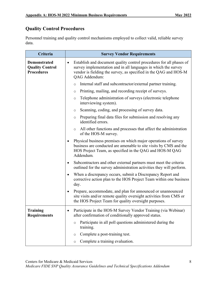# **Quality Control Procedures**

Personnel training and quality control mechanisms employed to collect valid, reliable survey data.

| Criteria                                                           | <b>Survey Vendor Requirements</b>                                                                                                                                                                                          |  |  |  |  |
|--------------------------------------------------------------------|----------------------------------------------------------------------------------------------------------------------------------------------------------------------------------------------------------------------------|--|--|--|--|
| <b>Demonstrated</b><br><b>Quality Control</b><br><b>Procedures</b> | Establish and document quality control procedures for all phases of<br>survey implementation and in all languages in which the survey<br>vendor is fielding the survey, as specified in the QAG and HOS-M<br>QAG Addendum: |  |  |  |  |
|                                                                    | Internal staff and subcontractor/external partner training.<br>$\circ$                                                                                                                                                     |  |  |  |  |
|                                                                    | Printing, mailing, and recording receipt of surveys.<br>$\circ$                                                                                                                                                            |  |  |  |  |
|                                                                    | Telephone administration of surveys (electronic telephone<br>$\circ$<br>interviewing system).                                                                                                                              |  |  |  |  |
|                                                                    | Scanning, coding, and processing of survey data.<br>O                                                                                                                                                                      |  |  |  |  |
|                                                                    | Preparing final data files for submission and resolving any<br>$\circ$<br>identified errors.                                                                                                                               |  |  |  |  |
|                                                                    | All other functions and processes that affect the administration<br>$\circ$<br>of the HOS-M survey.                                                                                                                        |  |  |  |  |
|                                                                    | Physical business premises on which major operations of survey<br>٠<br>business are conducted are amenable to site visits by CMS and the<br>HOS Project Team, as specified in the QAG and HOS-M QAG<br>Addendum.           |  |  |  |  |
|                                                                    | Subcontractors and other external partners must meet the criteria<br>٠<br>outlined for the survey administration activities they will perform.                                                                             |  |  |  |  |
|                                                                    | When a discrepancy occurs, submit a Discrepancy Report and<br>corrective action plan to the HOS Project Team within one business<br>day.                                                                                   |  |  |  |  |
|                                                                    | Prepare, accommodate, and plan for announced or unannounced<br>site visits and/or remote quality oversight activities from CMS or<br>the HOS Project Team for quality oversight purposes.                                  |  |  |  |  |
| <b>Training</b><br><b>Requirements</b>                             | Participate in the HOS-M Survey Vendor Training (via Webinar)<br>after confirmation of conditionally approved status.                                                                                                      |  |  |  |  |
|                                                                    | Participate in all poll questions administered during the<br>$\circ$<br>training.                                                                                                                                          |  |  |  |  |
|                                                                    | Complete a post-training test.<br>O                                                                                                                                                                                        |  |  |  |  |
|                                                                    | Complete a training evaluation.<br>$\circ$                                                                                                                                                                                 |  |  |  |  |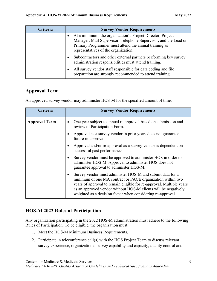| <b>Criteria</b> | <b>Survey Vendor Requirements</b>                                                                                                                                                                                              |
|-----------------|--------------------------------------------------------------------------------------------------------------------------------------------------------------------------------------------------------------------------------|
|                 | At a minimum, the organization's Project Director, Project<br>Manager, Mail Supervisor, Telephone Supervisor, and the Lead or<br>Primary Programmer must attend the annual training as<br>representatives of the organization. |
|                 | Subcontractors and other external partners performing key survey<br>$\bullet$<br>administration responsibilities must attend training.                                                                                         |
|                 | All survey vendor staff responsible for data coding and file<br>preparation are strongly recommended to attend training.                                                                                                       |

# **Approval Term**

An approved survey vendor may administer HOS-M for the specified amount of time.

| Criteria             | <b>Survey Vendor Requirements</b>                                                                                                                                                                                                                                                                                                |
|----------------------|----------------------------------------------------------------------------------------------------------------------------------------------------------------------------------------------------------------------------------------------------------------------------------------------------------------------------------|
| <b>Approval Term</b> | One year subject to annual re-approval based on submission and<br>review of Participation Form.                                                                                                                                                                                                                                  |
|                      | Approval as a survey vendor in prior years does not guarantee<br>future re-approval.                                                                                                                                                                                                                                             |
|                      | Approval and/or re-approval as a survey vendor is dependent on<br>successful past performance.                                                                                                                                                                                                                                   |
|                      | Survey vendor must be approved to administer HOS in order to<br>administer HOS-M. Approval to administer HOS does not<br>guarantee approval to administer HOS-M.                                                                                                                                                                 |
|                      | Survey vendor must administer HOS-M and submit data for a<br>minimum of one MA contract or PACE organization within two<br>years of approval to remain eligible for re-approval. Multiple years<br>as an approved vendor without HOS-M clients will be negatively<br>weighted as a decision factor when considering re-approval. |

# **HOS-M 2022 Rules of Participation**

Any organization participating in the 2022 HOS-M administration must adhere to the following Rules of Participation. To be eligible, the organization must:

- 1. Meet the HOS-M Minimum Business Requirements.
- 2. Participate in teleconference call(s) with the HOS Project Team to discuss relevant survey experience, organizational survey capability and capacity, quality control and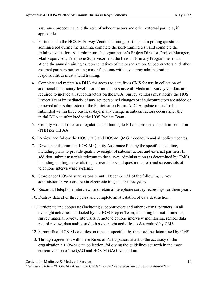assurance procedures, and the role of subcontractors and other external partners, if applicable.

- 3. Participate in the HOS-M Survey Vendor Training, participate in polling questions administered during the training, complete the post-training test, and complete the training evaluation. At a minimum, the organization's Project Director, Project Manager, Mail Supervisor, Telephone Supervisor, and the Lead or Primary Programmer must attend the annual training as representatives of the organization. Subcontractors and other external partners performing major functions with key survey administration responsibilities must attend training.
- 4. Complete and maintain a DUA for access to data from CMS for use in collection of additional beneficiary-level information on persons with Medicare. Survey vendors are required to include all subcontractors on the DUA. Survey vendors must notify the HOS Project Team immediately of any key personnel changes or if subcontractors are added or removed after submission of the Participation Form. A DUA update must also be submitted within three business days if any change in subcontractors occurs after the initial DUA is submitted to the HOS Project Team.
- 5. Comply with all rules and regulations pertaining to PII and protected health information (PHI) per HIPAA.
- 6. Review and follow the HOS QAG and HOS-M QAG Addendum and all policy updates.
- 7. Develop and submit an HOS-M Quality Assurance Plan by the specified deadline, including plans to provide quality oversight of subcontractors and external partners. In addition, submit materials relevant to the survey administration (as determined by CMS), including mailing materials (e.g., cover letters and questionnaires) and screenshots of telephone interviewing systems.
- 8. Store paper HOS-M surveys onsite until December 31 of the following survey administration year and retain electronic images for three years.
- 9. Record all telephone interviews and retain all telephone survey recordings for three years.
- 10. Destroy data after three years and complete an attestation of data destruction.
- 11. Participate and cooperate (including subcontractors and other external partners) in all oversight activities conducted by the HOS Project Team, including but not limited to, survey material review, site visits, remote telephone interview monitoring, remote data record review, data audits, and other oversight activities as determined by CMS.
- 12. Submit final HOS-M data files on time, as specified by the deadline determined by CMS.
- 13. Through agreement with these Rules of Participation, attest to the accuracy of the organization's HOS-M data collection, following the guidelines set forth in the most current version of the QAG and HOS-M QAG Addendum*.*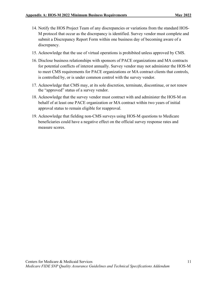- 14. Notify the HOS Project Team of any discrepancies or variations from the standard HOS-M protocol that occur as the discrepancy is identified. Survey vendor must complete and submit a Discrepancy Report Form within one business day of becoming aware of a discrepancy.
- 15. Acknowledge that the use of virtual operations is prohibited unless approved by CMS.
- 16. Disclose business relationships with sponsors of PACE organizations and MA contracts for potential conflicts of interest annually. Survey vendor may not administer the HOS-M to meet CMS requirements for PACE organizations or MA contract clients that controls, is controlled by, or is under common control with the survey vendor.
- 17. Acknowledge that CMS may, at its sole discretion, terminate, discontinue, or not renew the "approved" status of a survey vendor.
- 18. Acknowledge that the survey vendor must contract with and administer the HOS-M on behalf of at least one PACE organization or MA contract within two years of initial approval status to remain eligible for reapproval.
- 19. Acknowledge that fielding non-CMS surveys using HOS-M questions to Medicare beneficiaries could have a negative effect on the official survey response rates and measure scores.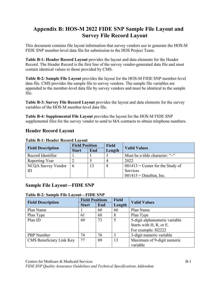# **Appendix B: HOS-M 2022 FIDE SNP Sample File Layout and Survey File Record Layout**

This document contains file layout information that survey vendors use to generate the HOS-M FIDE SNP member-level data file for submission to the HOS Project Team.

**Table B-1: Header Record Layout** provides the layout and data elements for the Header Record. The Header Record is the first line of the survey vendor-generated data file and must contain identical values to those provided by CMS.

**Table B-2: Sample File Layout** provides the layout for the HOS-M FIDE SNP member-level data file. CMS provides the sample file to survey vendors. The sample file variables are appended to the member-level data file by survey vendors and must be identical to the sample file.

**Table B-3: Survey File Record Layout** provides the layout and data elements for the survey variables of the HOS-M member-level data file.

**Table B-4: Supplemental File Layout** provides the layout for the HOS-M FIDE SNP supplemental files for the survey vendor to send to MA contracts to obtain telephone numbers.

# **Header Record Layout**

|                          | <b>Field Position</b> |     | <b>Field</b> |                                       |  |
|--------------------------|-----------------------|-----|--------------|---------------------------------------|--|
| <b>Field Description</b> | <b>Start</b>          | End | Length       | <b>Valid Values</b>                   |  |
| Record Identifier        |                       |     |              | Must be a tilde character: " $\sim$ " |  |
| Reporting Year           |                       |     |              | 2022                                  |  |
| NCQA Survey Vendor       | <sub>t</sub>          | 13  | 8            | $001413$ = Center for the Study of    |  |
| ID                       |                       |     |              | Services                              |  |
|                          |                       |     |              | $001415$ = DataStat, Inc.             |  |

#### **Table B-1: Header Record Layout**

# **Sample File Layout—FIDE SNP**

#### **Table B-2: Sample File Layout—FIDE SNP**

|                          | <b>Field Positions</b> |     | <b>Field</b> | <b>Valid Values</b>           |
|--------------------------|------------------------|-----|--------------|-------------------------------|
| <b>Field Description</b> | <b>Start</b>           | End | Length       |                               |
| Plan Name                |                        | 60  | 60           | Plan Name                     |
| Plan Type                | 61                     | 68  | 8            | Plan Type                     |
| Plan ID                  | 69                     | 73  | 5            | 5-digit alphanumeric variable |
|                          |                        |     |              | Starts with H, R, or E.       |
|                          |                        |     |              | For example: H2222            |
| PBP Number               | 74                     | 76  |              | 3-digit numeric variable      |
| CMS Beneficiary Link Key | 77                     | 89  | 13           | Maximum of 9-digit numeric    |
|                          |                        |     |              | variable                      |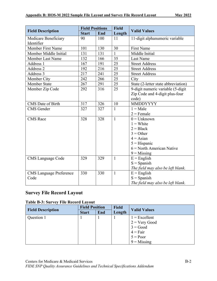|                                | <b>Field Positions</b> |     | <b>Field</b> |                                     |
|--------------------------------|------------------------|-----|--------------|-------------------------------------|
| <b>Field Description</b>       | <b>Start</b>           | End | Length       | <b>Valid Values</b>                 |
| Medicare Beneficiary           | 90                     | 100 | 11           | 11-digit alphanumeric variable      |
| Identifier                     |                        |     |              |                                     |
| Member First Name              | 101                    | 130 | 30           | <b>First Name</b>                   |
| Member Middle Initial          | 131                    | 131 | 1            | Middle Initial                      |
| Member Last Name               | 132                    | 166 | 35           | Last Name                           |
| Address 1                      | 167                    | 191 | 25           | <b>Street Address</b>               |
| Address 2                      | 192                    | 216 | 25           | <b>Street Address</b>               |
| Address 3                      | 217                    | 241 | 25           | <b>Street Address</b>               |
| Member City                    | 242                    | 266 | 25           | City                                |
| <b>Member State</b>            | 267                    | 291 | 25           | State (2-letter state abbreviation) |
| Member Zip Code                | 292                    | 316 | 25           | 9-digit numeric variable (5-digit   |
|                                |                        |     |              | Zip Code and 4-digit plus-four      |
|                                |                        |     |              | code)                               |
| CMS Date of Birth              | 317                    | 326 | 10           | MMDDYYYY                            |
| <b>CMS</b> Gender              | 327                    | 327 | 1            | $1 = Male$                          |
|                                |                        |     |              | $2 =$ Female                        |
| <b>CMS</b> Race                | 328                    | 328 | $\mathbf{1}$ | $0 =$ Unknown                       |
|                                |                        |     |              | $1 =$ White                         |
|                                |                        |     |              | $2 = Black$                         |
|                                |                        |     |              | $3 = Other$                         |
|                                |                        |     |              | $4 = \text{Asian}$                  |
|                                |                        |     |              | $5 =$ Hispanic                      |
|                                |                        |     |              | $6$ = North American Native         |
|                                |                        |     |              | $9 =$ Missing                       |
| <b>CMS</b> Language Code       | 329                    | 329 | $\mathbf{1}$ | $E =$ English                       |
|                                |                        |     |              | $S =$ Spanish                       |
|                                |                        |     |              | The field may also be left blank.   |
| <b>CMS</b> Language Preference | 330                    | 330 | $\mathbf{1}$ | $E =$ English                       |
| Code                           |                        |     |              | $S =$ Spanish                       |
|                                |                        |     |              | The field may also be left blank.   |

# **Survey File Record Layout**

#### **Table B-3: Survey File Record Layout**

|                          | <b>Field Position</b> |     | <b>Field</b> |                     |
|--------------------------|-----------------------|-----|--------------|---------------------|
| <b>Field Description</b> | <b>Start</b>          | End | Length       | <b>Valid Values</b> |
| Question 1               |                       |     |              | $1 =$ Excellent     |
|                          |                       |     |              | $2 = V$ ery Good    |
|                          |                       |     |              | $3 = Good$          |
|                          |                       |     |              | $4 = Fair$          |
|                          |                       |     |              | $5 = Poor$          |
|                          |                       |     |              | $9 = Missing$       |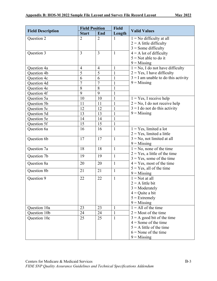|                          | <b>Field Position</b> |                | <b>Field</b> |                                       |
|--------------------------|-----------------------|----------------|--------------|---------------------------------------|
| <b>Field Description</b> | <b>Start</b>          | End            | Length       | <b>Valid Values</b>                   |
| Question 2               | $\overline{2}$        | $\overline{2}$ | 1            | $1 = No$ difficulty at all            |
|                          |                       |                |              | $2 = A$ little difficulty             |
|                          |                       |                |              | $3$ = Some difficulty                 |
| Question 3               | $\overline{3}$        | $\overline{3}$ | $\mathbf{1}$ | $4 = A$ lot of difficulty             |
|                          |                       |                |              | $5 =$ Not able to do it               |
|                          |                       |                |              | $9 =$ Missing                         |
| Question 4a              | $\overline{4}$        | $\overline{4}$ | 1            | $1 = No$ , I do not have difficulty   |
| Question 4b              | 5                     | 5              |              | $2 = Yes$ , I have difficulty         |
| Question 4c              | 6                     | 6              | $\mathbf{1}$ | $3 = I$ am unable to do this activity |
| Question 4d              | $\overline{7}$        | $\overline{7}$ | $\mathbf{1}$ | $9 =$ Missing                         |
| Question 4e              | 8                     | 8              | $\mathbf{1}$ |                                       |
| Question 4f              | 9                     | 9              | $\mathbf{1}$ |                                       |
| Question 5a              | 10                    | 10             | 1            | $1 = Yes$ , I receive help            |
| Question 5b              | 11                    | 11             | $\mathbf{1}$ | $2 = No$ , I do not receive help      |
| Question 5c              | 12                    | 12             | $\mathbf{1}$ | $3 = I$ do not do this activity       |
| Question 5d              | 13                    | 13             | $\mathbf{1}$ | $9 =$ Missing                         |
| Question 5e              | 14                    | 14             | $\mathbf{1}$ |                                       |
| Question 5f              | 15                    | 15             | $\mathbf{1}$ |                                       |
| Question 6a              | 16                    | 16             | 1            | $1 = Yes$ , limited a lot             |
|                          |                       |                |              | $2 = Yes$ , limited a little          |
| Question 6b              | 17                    | 17             | $\mathbf{1}$ | $3 = No$ , not limited at all         |
|                          |                       |                |              | $9 =$ Missing                         |
| Question 7a              | 18                    | 18             | $\mathbf{1}$ | $1 = No$ , none of the time           |
| Question 7b              | 19                    | 19             | $\mathbf{1}$ | $2 = Yes$ , a little of the time      |
|                          |                       |                |              | $3 = Yes$ , some of the time          |
| Question 8a              | 20                    | 20             | $\mathbf{1}$ | $4 = Yes$ , most of the time          |
| Question 8b              | 21                    | 21             | $\mathbf{1}$ | $5 = Yes$ , all of the time           |
|                          |                       |                |              | $9 =$ Missing                         |
| Question 9               | 22                    | 22             | $\mathbf{1}$ | $1 = Not$ at all                      |
|                          |                       |                |              | $2 = A$ little bit                    |
|                          |                       |                |              | $3 =$ Moderately                      |
|                          |                       |                |              | $4 =$ Quite a bit                     |
|                          |                       |                |              | $5 =$ Extremely                       |
|                          |                       |                |              | $9 =$ Missing                         |
| Question 10a             | 23                    | 23             | 1            | $1 =$ All of the time                 |
| Question 10b             | 24                    | 24             | 1            | $2 =$ Most of the time                |
| Question 10c             | 25                    | 25             | 1            | $3 = A$ good bit of the time          |
|                          |                       |                |              | $4 =$ Some of the time                |
|                          |                       |                |              | $5 = A$ little of the time            |
|                          |                       |                |              | $6 =$ None of the time                |
|                          |                       |                |              | $9 =$ Missing                         |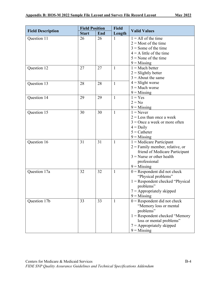| <b>Field Description</b>     | <b>Field Position</b> |          | <b>Field</b>      | <b>Valid Values</b>                                                                                                                                                                                                                                                                                |
|------------------------------|-----------------------|----------|-------------------|----------------------------------------------------------------------------------------------------------------------------------------------------------------------------------------------------------------------------------------------------------------------------------------------------|
|                              | <b>Start</b>          | End      | Length            |                                                                                                                                                                                                                                                                                                    |
| Question 11                  | 26                    | 26       | 1                 | $1 =$ All of the time                                                                                                                                                                                                                                                                              |
|                              |                       |          |                   | $2 =$ Most of the time                                                                                                                                                                                                                                                                             |
|                              |                       |          |                   | $3 =$ Some of the time                                                                                                                                                                                                                                                                             |
|                              |                       |          |                   | $4 = A$ little of the time                                                                                                                                                                                                                                                                         |
|                              |                       |          |                   | $5 =$ None of the time                                                                                                                                                                                                                                                                             |
|                              |                       |          |                   | $9 =$ Missing                                                                                                                                                                                                                                                                                      |
| Question 12                  | 27                    | 27       | $\mathbf{1}$      | $1 = Much better$                                                                                                                                                                                                                                                                                  |
|                              |                       |          |                   | $2 =$ Slightly better                                                                                                                                                                                                                                                                              |
|                              |                       |          |                   | $3 =$ About the same                                                                                                                                                                                                                                                                               |
| Question 13                  | 28                    | 28       | $\mathbf{1}$      | $4 =$ Slight worse                                                                                                                                                                                                                                                                                 |
|                              |                       |          |                   | $5 =$ Much worse                                                                                                                                                                                                                                                                                   |
|                              |                       |          |                   | $9 =$ Missing                                                                                                                                                                                                                                                                                      |
| Question 14                  | 29                    | 29       | $\mathbf{1}$      | $1 = Yes$                                                                                                                                                                                                                                                                                          |
|                              |                       |          |                   | $2 = No$                                                                                                                                                                                                                                                                                           |
|                              |                       |          |                   | $9 =$ Missing                                                                                                                                                                                                                                                                                      |
| Question 15                  | 30                    | 30       | $\mathbf{1}$      | $1 =$ Never                                                                                                                                                                                                                                                                                        |
|                              |                       |          |                   | $2 =$ Less than once a week                                                                                                                                                                                                                                                                        |
|                              |                       |          |                   | $3$ = Once a week or more often                                                                                                                                                                                                                                                                    |
|                              |                       |          |                   | $4 = Daily$                                                                                                                                                                                                                                                                                        |
|                              |                       |          |                   | $5 =$ Catheter                                                                                                                                                                                                                                                                                     |
|                              |                       |          |                   | $9$ = Missing                                                                                                                                                                                                                                                                                      |
| Question 16                  | 31                    | 31       | $\mathbf{1}$      | $1$ = Medicare Participant                                                                                                                                                                                                                                                                         |
|                              |                       |          |                   | $2$ = Family member, relative, or                                                                                                                                                                                                                                                                  |
|                              |                       |          |                   | friend of Medicare Participant                                                                                                                                                                                                                                                                     |
|                              |                       |          |                   | $3$ = Nurse or other health                                                                                                                                                                                                                                                                        |
|                              |                       |          |                   | professional                                                                                                                                                                                                                                                                                       |
|                              |                       |          |                   | $9 =$ Missing                                                                                                                                                                                                                                                                                      |
|                              |                       |          |                   |                                                                                                                                                                                                                                                                                                    |
|                              |                       |          |                   |                                                                                                                                                                                                                                                                                                    |
|                              |                       |          |                   |                                                                                                                                                                                                                                                                                                    |
|                              |                       |          |                   |                                                                                                                                                                                                                                                                                                    |
|                              |                       |          |                   |                                                                                                                                                                                                                                                                                                    |
|                              |                       |          |                   |                                                                                                                                                                                                                                                                                                    |
|                              |                       |          |                   |                                                                                                                                                                                                                                                                                                    |
|                              |                       |          |                   |                                                                                                                                                                                                                                                                                                    |
|                              |                       |          |                   |                                                                                                                                                                                                                                                                                                    |
|                              |                       |          |                   |                                                                                                                                                                                                                                                                                                    |
|                              |                       |          |                   |                                                                                                                                                                                                                                                                                                    |
|                              |                       |          |                   | $7 =$ Appropriately skipped                                                                                                                                                                                                                                                                        |
|                              |                       |          |                   | $9 =$ Missing                                                                                                                                                                                                                                                                                      |
| Question 17a<br>Question 17b | 32<br>33              | 32<br>33 | $\mathbf{1}$<br>1 | $0 =$ Respondent did not check<br>"Physical problems"<br>$1 =$ Respondent checked "Physical"<br>problems"<br>$7 =$ Appropriately skipped<br>$9$ = Missing<br>$0 =$ Respondent did not check<br>"Memory loss or mental<br>problems"<br>$1 =$ Respondent checked "Memory<br>loss or mental problems" |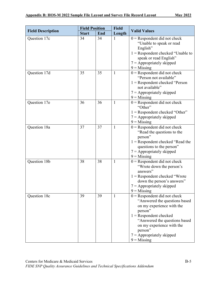|                          | <b>Field Position</b> |     | <b>Field</b> | <b>Valid Values</b>                                                                                                                                                                                                                                          |
|--------------------------|-----------------------|-----|--------------|--------------------------------------------------------------------------------------------------------------------------------------------------------------------------------------------------------------------------------------------------------------|
| <b>Field Description</b> | <b>Start</b>          | End | Length       |                                                                                                                                                                                                                                                              |
| Question 17c             | 34                    | 34  | 1            | $0$ = Respondent did not check<br>"Unable to speak or read<br>English"<br>$1 =$ Respondent checked "Unable to<br>speak or read English"<br>$7 =$ Appropriately skipped<br>$9 =$ Missing                                                                      |
| Question 17d             | 35                    | 35  | 1            | $0 =$ Respondent did not check<br>"Person not available"<br>$1 =$ Respondent checked "Person<br>not available"<br>$7 =$ Appropriately skipped<br>$9 =$ Missing                                                                                               |
| Question 17e             | 36                    | 36  | 1            | $0$ = Respondent did not check<br>"Other"<br>$1 =$ Respondent checked "Other"<br>$7 =$ Appropriately skipped<br>$9 =$ Missing                                                                                                                                |
| Question 18a             | 37                    | 37  | $\mathbf{1}$ | $0 =$ Respondent did not check<br>"Read the questions to the<br>person"<br>$1 =$ Respondent checked "Read the<br>questions to the person"<br>$7 =$ Appropriately skipped<br>$9 =$ Missing                                                                    |
| Question 18b             | 38                    | 38  | $\mathbf{1}$ | $0 =$ Respondent did not check<br>"Wrote down the person's<br>answers"<br>$1 =$ Respondent checked "Wrote<br>down the person's answers"<br>$7 =$ Appropriately skipped<br>$9 =$ Missing                                                                      |
| Question 18c             | 39                    | 39  | 1            | $0 =$ Respondent did not check<br>"Answered the questions based<br>on my experience with the<br>person"<br>$1 =$ Respondent checked<br>"Answered the questions based<br>on my experience with the<br>person"<br>$7 =$ Appropriately skipped<br>$9 =$ Missing |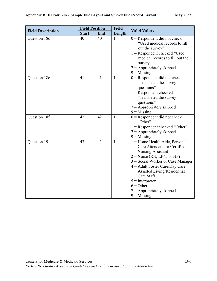|                          | <b>Field Position</b> |     | <b>Field</b> | <b>Valid Values</b>                                                                                                                                                                                                                                                                                                                       |
|--------------------------|-----------------------|-----|--------------|-------------------------------------------------------------------------------------------------------------------------------------------------------------------------------------------------------------------------------------------------------------------------------------------------------------------------------------------|
| <b>Field Description</b> | <b>Start</b>          | End | Length       |                                                                                                                                                                                                                                                                                                                                           |
| Question 18d             | 40                    | 40  | 1            | $0 =$ Respondent did not check<br>"Used medical records to fill<br>out the survey"<br>$1 =$ Respondent checked "Used<br>medical records to fill out the<br>survey"<br>$7 =$ Appropriately skipped<br>$9$ = Missing                                                                                                                        |
| Question 18e             | 41                    | 41  | $\mathbf{1}$ | $0 =$ Respondent did not check<br>"Translated the survey<br>questions"<br>$1 =$ Respondent checked<br>"Translated the survey<br>questions"<br>$7 =$ Appropriately skipped<br>$9 =$ Missing                                                                                                                                                |
| Question 18f             | 42                    | 42  | 1            | $0 =$ Respondent did not check<br>"Other"<br>$1 =$ Respondent checked "Other"<br>$7 =$ Appropriately skipped<br>$9 =$ Missing                                                                                                                                                                                                             |
| Question 19              | 43                    | 43  | 1            | $1 =$ Home Health Aide, Personal<br>Care Attendant, or Certified<br><b>Nursing Assistant</b><br>$2 = Nurse (RN, LPN, or NP)$<br>$3$ = Social Worker or Case Manager<br>$4 =$ Adult Foster Care/Day Care,<br>Assisted Living/Residential<br>Care Staff<br>$5 =$ Interpreter<br>$6 = Other$<br>$7 =$ Appropriately skipped<br>$9 =$ Missing |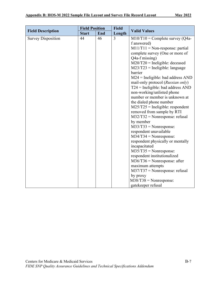|                           | <b>Field Position</b> |     | <b>Field</b> |                                                                                                                                                                                                                                                                                                                                                                                                                                                                                                                                                                                                                                                                                                                                                                                                                                                                                                                                                           |  |  |
|---------------------------|-----------------------|-----|--------------|-----------------------------------------------------------------------------------------------------------------------------------------------------------------------------------------------------------------------------------------------------------------------------------------------------------------------------------------------------------------------------------------------------------------------------------------------------------------------------------------------------------------------------------------------------------------------------------------------------------------------------------------------------------------------------------------------------------------------------------------------------------------------------------------------------------------------------------------------------------------------------------------------------------------------------------------------------------|--|--|
| <b>Field Description</b>  | <b>Start</b>          | End | Length       | <b>Valid Values</b>                                                                                                                                                                                                                                                                                                                                                                                                                                                                                                                                                                                                                                                                                                                                                                                                                                                                                                                                       |  |  |
| <b>Survey Disposition</b> | 44                    | 46  | 3            | $M10/T10 =$ Complete survey (Q4a-<br>f answered)<br>$M11/T11 = Non-response: partial$<br>complete survey (One or more of<br>Q4a-f missing)<br>$M20/T20$ = Ineligible: deceased<br>$M23/T23$ = Ineligible: language<br>barrier<br>$M24$ = Ineligible: bad address AND<br>mail-only protocol (Russian only)<br>$T24$ = Ineligible: bad address AND<br>non-working/unlisted phone<br>number or member is unknown at<br>the dialed phone number<br>$M25/T25$ = Ineligible: respondent<br>removed from sample by RTI<br>$M32/T32$ = Nonresponse: refusal<br>by member<br>$M33/T33 = \text{Nonresponse:}$<br>respondent unavailable<br>$M34/T34 = Nonresponse$ :<br>respondent physically or mentally<br>incapacitated<br>$M35/T35 = \text{Nonresponse:}$<br>respondent institutionalized<br>$M36/T36$ = Nonresponse: after<br>maximum attempts<br>$M37/T37 = \text{Nonresponse: refusal}$<br>by proxy<br>$M38/T38 = \text{Nonresponse:}$<br>gatekeeper refusal |  |  |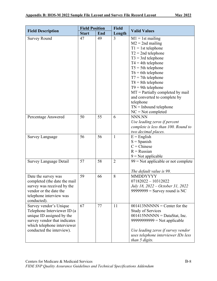|                                                                                                                                                                                | <b>Field Position</b> |     | <b>Field</b>   | <b>Valid Values</b>                                                                                                                                                                                                                                                                                                                                                                                          |
|--------------------------------------------------------------------------------------------------------------------------------------------------------------------------------|-----------------------|-----|----------------|--------------------------------------------------------------------------------------------------------------------------------------------------------------------------------------------------------------------------------------------------------------------------------------------------------------------------------------------------------------------------------------------------------------|
| <b>Field Description</b>                                                                                                                                                       | <b>Start</b>          | End | Length         |                                                                                                                                                                                                                                                                                                                                                                                                              |
| <b>Survey Round</b>                                                                                                                                                            | 47                    | 49  | 3              | $M1 = 1st$ mailing<br>$M2 = 2nd$ mailing<br>$T1 = 1$ st telephone<br>$T2 = 2nd$ telephone<br>$T3 = 3rd$ telephone<br>$T4 = 4th$ telephone<br>$T5 = 5$ th telephone<br>$T6 = 6th$ telephone<br>$T7 = 7$ th telephone<br>$T8 = 8$ th telephone<br>$T9 = 9$ th telephone<br>$MT =$ Partially completed by mail<br>and converted to complete by<br>telephone<br>$TN =$ Inbound telephone<br>$NC = Not$ completed |
| Percentage Answered                                                                                                                                                            | 50                    | 55  | 6              | NNN.NN<br>Use leading zeros if percent<br>complete is less than 100. Round to<br>two decimal places.                                                                                                                                                                                                                                                                                                         |
| <b>Survey Language</b>                                                                                                                                                         | 56                    | 56  | 1              | $E =$ English<br>$S = Spanish$<br>$C =$ Chinese<br>$R =$ Russian<br>$9$ = Not applicable                                                                                                                                                                                                                                                                                                                     |
| <b>Survey Language Detail</b>                                                                                                                                                  | 57                    | 58  | $\overline{2}$ | $99$ = Not applicable or not complete<br>The default value is 99.                                                                                                                                                                                                                                                                                                                                            |
| Date the survey was<br>completed (the date the mail<br>survey was received by the<br>vendor or the date the<br>telephone interview was<br>conducted).                          | 59                    | 66  | 8              | <b>MMDDYYYY</b><br>$07182022 - 10312022$<br>July 18, 2022 – October 31, 2022<br>$99999999 =$ Survey round is NC                                                                                                                                                                                                                                                                                              |
| Survey vendor's Unique<br>Telephone Interviewer ID (a<br>unique ID assigned by the<br>survey vendor that indicates<br>which telephone interviewer<br>conducted the interview). | 67                    | 77  | 11             | $001413NNNNN =$ Center for the<br><b>Study of Services</b><br>$001415NNNNN = DataStat, Inc.$<br>$99999999999 = Not applicable$<br>Use leading zeros if survey vendor<br>uses telephone interviewer IDs less<br>than 5 digits.                                                                                                                                                                                |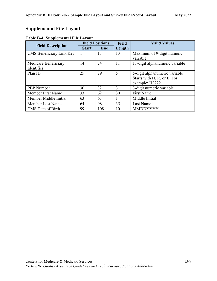# **Supplemental File Layout**

| <b>Field Description</b> | <b>Field Positions</b> |     | <b>Field</b> | <b>Valid Values</b>            |
|--------------------------|------------------------|-----|--------------|--------------------------------|
|                          | <b>Start</b>           | End | Length       |                                |
| CMS Beneficiary Link Key |                        | 13  | 13           | Maximum of 9-digit numeric     |
|                          |                        |     |              | variable                       |
| Medicare Beneficiary     | 14                     | 24  | 11           | 11-digit alphanumeric variable |
| Identifier               |                        |     |              |                                |
| Plan ID                  | 25                     | 29  | 5            | 5-digit alphanumeric variable  |
|                          |                        |     |              | Starts with H, R, or E. For    |
|                          |                        |     |              | example: H2222                 |
| <b>PBP</b> Number        | 30                     | 32  | 3            | 3-digit numeric variable       |
| Member First Name        | 33                     | 62  | 30           | <b>First Name</b>              |
| Member Middle Initial    | 63                     | 63  |              | Middle Initial                 |
| Member Last Name         | 64                     | 98  | 35           | Last Name                      |
| CMS Date of Birth        | 99                     | 108 | 10           | <b>MMDDYYYY</b>                |

#### **Table B-4: Supplemental File Layout**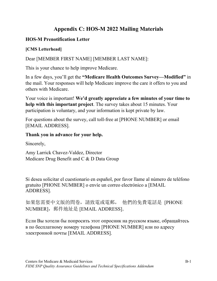# **Appendix C: HOS-M 2022 Mailing Materials**

# **HOS-M Prenotification Letter**

# **[CMS Letterhead]**

Dear [MEMBER FIRST NAME] [MEMBER LAST NAME]:

This is your chance to help improve Medicare.

In a few days, you'll get the **"Medicare Health Outcomes Survey—Modified"** in the mail. Your responses will help Medicare improve the care it offers to you and others with Medicare.

Your voice is important! **We'd greatly appreciate a few minutes of your time to help with this important project**. The survey takes about 15 minutes. Your participation is voluntary, and your information is kept private by law.

For questions about the survey, call toll-free at [PHONE NUMBER] or email [EMAIL ADDRESS].

# **Thank you in advance for your help.**

Sincerely,

Amy Larrick Chavez-Valdez, Director Medicare Drug Benefit and C & D Data Group

Si desea solicitar el cuestionario en español, por favor llame al número de teléfono gratuito [PHONE NUMBER] o envíe un correo electrónico a [EMAIL ADDRESS].

如果您需要中文版的問卷,請致電或電郵, 他們的免費電話是 [PHONE NUMBER], 郵件地址是 [EMAIL ADDRESS]。

Если Вы хотели бы попросить этот опросник на русском языке, обращайтесь в по бесплатному номеру телефона [PHONE NUMBER] или по адресу электронной почты [EMAIL ADDRESS].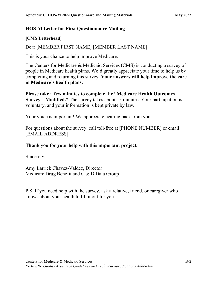# **HOS-M Letter for First Questionnaire Mailing**

# **[CMS Letterhead]**

Dear [MEMBER FIRST NAME] [MEMBER LAST NAME]:

This is your chance to help improve Medicare.

The Centers for Medicare & Medicaid Services (CMS) is conducting a survey of people in Medicare health plans. We'd greatly appreciate your time to help us by completing and returning this survey. **Your answers will help improve the care in Medicare's health plans.**

**Please take a few minutes to complete the "Medicare Health Outcomes Survey—Modified."** The survey takes about 15 minutes. Your participation is voluntary, and your information is kept private by law.

Your voice is important! We appreciate hearing back from you.

For questions about the survey, call toll-free at [PHONE NUMBER] or email [EMAIL ADDRESS].

# **Thank you for your help with this important project.**

Sincerely,

Amy Larrick Chavez-Valdez, Director Medicare Drug Benefit and C & D Data Group

P.S. If you need help with the survey, ask a relative, friend, or caregiver who knows about your health to fill it out for you.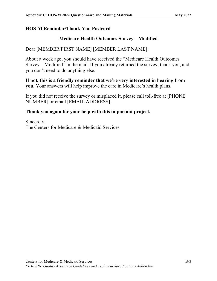# **HOS-M Reminder/Thank-You Postcard**

# **Medicare Health Outcomes Survey—Modified**

# Dear [MEMBER FIRST NAME] [MEMBER LAST NAME]:

About a week ago, you should have received the "Medicare Health Outcomes Survey—Modified" in the mail. If you already returned the survey, thank you, and you don't need to do anything else.

**If not, this is a friendly reminder that we're very interested in hearing from you.** Your answers will help improve the care in Medicare's health plans.

If you did not receive the survey or misplaced it, please call toll-free at [PHONE NUMBER] or email [EMAIL ADDRESS].

# **Thank you again for your help with this important project.**

Sincerely, The Centers for Medicare & Medicaid Services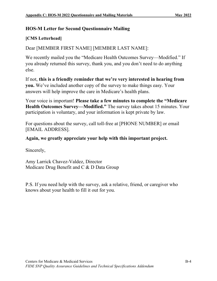# **HOS-M Letter for Second Questionnaire Mailing**

# **[CMS Letterhead]**

Dear [MEMBER FIRST NAME] [MEMBER LAST NAME]:

We recently mailed you the "Medicare Health Outcomes Survey—Modified." If you already returned this survey, thank you, and you don't need to do anything else.

If not, **this is a friendly reminder that we're very interested in hearing from you.** We've included another copy of the survey to make things easy. Your answers will help improve the care in Medicare's health plans.

Your voice is important! **Please take a few minutes to complete the "Medicare Health Outcomes Survey—Modified."** The survey takes about 15 minutes. Your participation is voluntary, and your information is kept private by law.

For questions about the survey, call toll-free at [PHONE NUMBER] or email [EMAIL ADDRESS].

# **Again, we greatly appreciate your help with this important project.**

Sincerely,

Amy Larrick Chavez-Valdez, Director Medicare Drug Benefit and C & D Data Group

P.S. If you need help with the survey, ask a relative, friend, or caregiver who knows about your health to fill it out for you.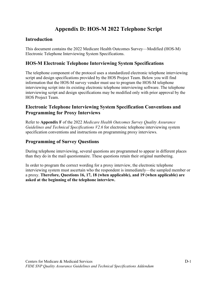# **Appendix D: HOS-M 2022 Telephone Script**

# **Introduction**

This document contains the 2022 Medicare Health Outcomes Survey—Modified (HOS-M) Electronic Telephone Interviewing System Specifications.

# **HOS-M Electronic Telephone Interviewing System Specifications**

The telephone component of the protocol uses a standardized electronic telephone interviewing script and design specifications provided by the HOS Project Team. Below you will find information that the HOS-M survey vendor must use to program the HOS-M telephone interviewing script into its existing electronic telephone interviewing software. The telephone interviewing script and design specifications may be modified only with prior approval by the HOS Project Team.

# **Electronic Telephone Interviewing System Specification Conventions and Programming for Proxy Interviews**

Refer to **Appendix F** of the 2022 *Medicare Health Outcomes Survey Quality Assurance Guidelines and Technical Specifications V2.6* for electronic telephone interviewing system specification conventions and instructions on programming proxy interviews.

# **Programming of Survey Questions**

During telephone interviewing, several questions are programmed to appear in different places than they do in the mail questionnaire. These questions retain their original numbering.

In order to program the correct wording for a proxy interview, the electronic telephone interviewing system must ascertain who the respondent is immediately—the sampled member or a proxy. **Therefore, Questions 16, 17, 18 (when applicable), and 19 (when applicable) are asked at the beginning of the telephone interview.**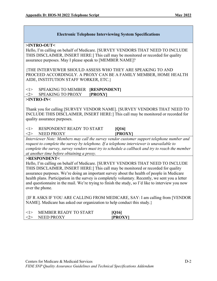**>INTRO-OUT<**

Hello, I'm calling on behalf of Medicare. [SURVEY VENDORS THAT NEED TO INCLUDE THIS DISCLAIMER, INSERT HERE:] This call may be monitored or recorded for quality assurance purposes. May I please speak to [MEMBER NAME]?

{THE INTERVIEWER SHOULD ASSESS WHO THEY ARE SPEAKING TO AND PROCEED ACCORDINGLY. A PROXY CAN BE A FAMILY MEMBER, HOME HEALTH AIDE, INSTITUTION STAFF WORKER, ETC.}

<1> SPEAKING TO MEMBER **[RESPONDENT]**

<2> SPEAKING TO PROXY **[PROXY]**

#### **>INTRO-IN<**

Thank you for calling [SURVEY VENDOR NAME]. [SURVEY VENDORS THAT NEED TO INCLUDE THIS DISCLAIMER, INSERT HERE:] This call may be monitored or recorded for quality assurance purposes.

# <1> RESPONDENT READY TO START **[Q16]**

<2> NEED PROXY **[PROXY]** *Interviewer Note: Members may call the survey vendor customer support telephone number and request to complete the survey by telephone. If a telephone interviewer is unavailable to complete the survey, survey vendors must try to schedule a callback and try to reach the member at another time before obtaining a proxy.*

#### **>RESPONDENT<**

Hello, I'm calling on behalf of Medicare. [SURVEY VENDORS THAT NEED TO INCLUDE THIS DISCLAIMER, INSERT HERE:] This call may be monitored or recorded for quality assurance purposes. We're doing an important survey about the health of people in Medicare health plans. Participation in the survey is completely voluntary. Recently, we sent you a letter and questionnaire in the mail. We're trying to finish the study, so I'd like to interview you now over the phone.

{IF R ASKS IF YOU ARE CALLING FROM MEDICARE, SAY: I am calling from [VENDOR NAME]. Medicare has asked our organization to help conduct this study.}

| MEMBER READY TO START | [Q16]          |  |
|-----------------------|----------------|--|
| NEED PROXY            | <b>IPROXYI</b> |  |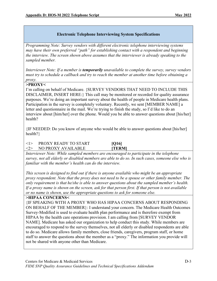*Programming Note: Survey vendors with different electronic telephone interviewing systems may have their own preferred "path" for establishing contact with a respondent and beginning the interview. The screen shown above assumes that the interviewer is already speaking to the sampled member.* 

*Interviewer Note: If a member is temporarily unavailable to complete the survey, survey vendors must try to schedule a callback and try to reach the member at another time before obtaining a proxy.*

**>PROXY<**

I'm calling on behalf of Medicare. {SURVEY VENDORS THAT NEED TO INCLUDE THIS DISCLAIMER, INSERT HERE:} This call may be monitored or recorded for quality assurance purposes. We're doing an important survey about the health of people in Medicare health plans. Participation in the survey is completely voluntary. Recently, we sent [MEMBER NAME] a letter and questionnaire in the mail. We're trying to finish the study, so I'd like to do an interview about [him/her] over the phone. Would you be able to answer questions about [his/her] health?

{IF NEEDED: Do you know of anyone who would be able to answer questions about [his/her] health?}

# <1> PROXY READY TO START **[Q16]**  <2> NO PROXY AVAILABLE **[TERM]**

*Interviewer Note: While sampled members are encouraged to participate in the telephone survey, not all elderly or disabled members are able to do so. In such cases, someone else who is familiar with the member's health can do the interview.* 

*This screen is designed to find out if there is anyone available who might be an appropriate proxy respondent. Note that the proxy does not need to be a spouse or other family member. The only requirement is that he/she is able to answer questions about the sampled member's health. If a proxy name is shown on the screen, ask for that person first. If that person is not available or no name is shown, use the appropriate questions to ask for someone else.*

**>HIPAA CONCERNS<**

{IF SPEAKING WITH A PROXY WHO HAS HIPAA CONCERNS ABOUT RESPONDING ON BEHALF OF THE MEMBER}: I understand your concern. The Medicare Health Outcomes Survey-Modified is used to evaluate health plan performance and is therefore exempt from HIPAA by the health care operations provision. I am calling from [SURVEY VENDOR NAME]. Medicare has asked our organization to help conduct this study. While members are encouraged to respond to the survey themselves, not all elderly or disabled respondents are able to do so. Medicare allows family members, close friends, caregivers, program staff, or home staff to answer the questions about the member as a "proxy." The information you provide will not be shared with anyone other than Medicare.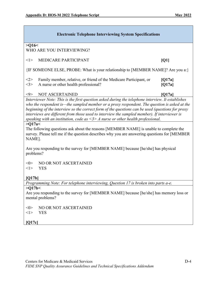| <b>Electronic Telephone Interviewing System Specifications</b>                                                                                                                                                                                                                                                                                                                                                                                                                                 |                  |  |
|------------------------------------------------------------------------------------------------------------------------------------------------------------------------------------------------------------------------------------------------------------------------------------------------------------------------------------------------------------------------------------------------------------------------------------------------------------------------------------------------|------------------|--|
| $>$ Q16 $<$<br>WHO ARE YOU INTERVIEWING?                                                                                                                                                                                                                                                                                                                                                                                                                                                       |                  |  |
| <1><br><b>MEDICARE PARTICIPANT</b>                                                                                                                                                                                                                                                                                                                                                                                                                                                             | [Q1]             |  |
| {IF SOMEONE ELSE, PROBE: What is your relationship to [MEMBER NAME]? Are you a:}                                                                                                                                                                                                                                                                                                                                                                                                               |                  |  |
| Family member, relative, or friend of the Medicare Participant, or<br><2><br><3><br>A nurse or other health professional?                                                                                                                                                                                                                                                                                                                                                                      | [Q17a]<br>[Q17a] |  |
| $< \!\!9 >$<br><b>NOT ASCERTAINED</b>                                                                                                                                                                                                                                                                                                                                                                                                                                                          | [Q17a]           |  |
| Interviewer Note: This is the first question asked during the telephone interview. It establishes<br>who the respondent is—the sampled member or a proxy respondent. The question is asked at the<br>beginning of the interview so the correct form of the questions can be used (questions for proxy<br>interviews are different from those used to interview the sampled member). If interviewer is<br>speaking with an institution, code as $\leq$ 3> A nurse or other health professional. |                  |  |
| >Q17a<<br>The following questions ask about the reasons [MEMBER NAME] is unable to complete the<br>survey. Please tell me if the question describes why you are answering questions for [MEMBER<br>NAME].                                                                                                                                                                                                                                                                                      |                  |  |
| Are you responding to the survey for [MEMBER NAME] because [he/she] has physical<br>problems?                                                                                                                                                                                                                                                                                                                                                                                                  |                  |  |
| $<\!\!0\!\!>$<br>NO OR NOT ASCERTAINED<br>$<$ 1><br><b>YES</b><br>[O17b]                                                                                                                                                                                                                                                                                                                                                                                                                       |                  |  |
| Programming Note: For telephone interviewing, Question 17 is broken into parts a-e.                                                                                                                                                                                                                                                                                                                                                                                                            |                  |  |
| >Q17b<                                                                                                                                                                                                                                                                                                                                                                                                                                                                                         |                  |  |
| Are you responding to the survey for [MEMBER NAME] because [he/she] has memory loss or<br>mental problems?                                                                                                                                                                                                                                                                                                                                                                                     |                  |  |
| NO OR NOT ASCERTAINED<br>$< \!\!0 \!\!>$<br>$<$ l $>$<br><b>YES</b>                                                                                                                                                                                                                                                                                                                                                                                                                            |                  |  |
| [Q17c]                                                                                                                                                                                                                                                                                                                                                                                                                                                                                         |                  |  |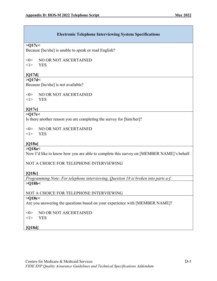#### **>Q17c<**

Because [he/she] is unable to speak or read English?

 $<0>$  NO OR NOT ASCERTAINED

<1> YES

# **[Q17d]**

#### **>Q17d<**

Because [he/she] is not available?

<0> NO OR NOT ASCERTAINED

<1> YES

# **[Q17e]**

# **>Q17e<**

Is there another reason you are completing the survey for [him/her]?

<0> NO OR NOT ASCERTAINED

<1> YES

# **[Q18a]**

#### **>Q18a<**

Now I'd like to know how you are able to complete this survey on [MEMBER NAME]'s behalf.

NOT A CHOICE FOR TELEPHONE INTERVIEWING

#### **[Q18c]**

*Programming Note: For telephone interviewing, Question 18 is broken into parts a-f.* **>Q18b<** 

#### NOT A CHOICE FOR TELEPHONE INTERVIEWING

#### **>Q18c<**

Are you answering the questions based on your experience with [MEMBER NAME]?

 $<$  NO OR NOT ASCERTAINED

<1> YES

# **[Q18d]**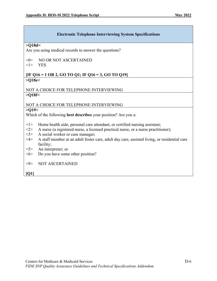#### **>Q18d<**

Are you using medical records to answer the questions?

- <0> NO OR NOT ASCERTAINED
- <1> YES

#### **[IF Q16 = 1 OR 2, GO TO Q1; IF Q16 = 3, GO TO Q19] >Q18e<**

#### NOT A CHOICE FOR TELEPHONE INTERVIEWING **>Q18f<**

#### NOT A CHOICE FOR TELEPHONE INTERVIEWING

#### **>Q19<**

Which of the following **best describes** your position? Are you a:

- <1> Home health aide, personal care attendant, or certified nursing assistant;
- <2> A nurse (a registered nurse, a licensed practical nurse, or a nurse practitioner);
- <3> A social worker or case manager;
- <4> A staff member at an adult foster care, adult day care, assisted living, or residential care facility;
- <5> An interpreter; or
- <6> Do you have some other position?
- <9> NOT ASCERTAINED

**[Q1]**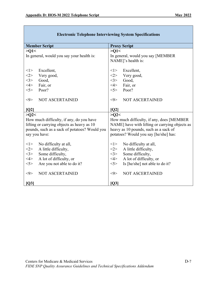| <b>Member Script</b>                                                                   | <b>Proxy Script</b>                                                                          |
|----------------------------------------------------------------------------------------|----------------------------------------------------------------------------------------------|
| >01<                                                                                   | >01<                                                                                         |
| In general, would you say your health is:                                              | In general, would you say [MEMBER                                                            |
|                                                                                        | NAME]'s health is:                                                                           |
|                                                                                        |                                                                                              |
| <1><br>Excellent,                                                                      | Excellent,<br><1>                                                                            |
| Very good,<br><2>                                                                      | <2><br>Very good,                                                                            |
| <3><br>Good,                                                                           | 3><br>Good,                                                                                  |
| $<\!\!4\!\!>$<br>Fair, or                                                              | $<\!\!4\!\!>$<br>Fair, or                                                                    |
| 5><br>Poor?                                                                            | 5><br>Poor?                                                                                  |
|                                                                                        |                                                                                              |
| $< \!\!9$<br><b>NOT ASCERTAINED</b>                                                    | $< \!\!9$<br>NOT ASCERTAINED                                                                 |
|                                                                                        |                                                                                              |
| [Q2]                                                                                   | [Q2]                                                                                         |
| >Q2                                                                                    | >Q2                                                                                          |
| How much difficulty, if any, do you have<br>lifting or carrying objects as heavy as 10 | How much difficulty, if any, does [MEMBER]<br>NAME] have with lifting or carrying objects as |
| pounds, such as a sack of potatoes? Would you                                          | heavy as 10 pounds, such as a sack of                                                        |
| say you have:                                                                          | potatoes? Would you say [he/she] has:                                                        |
|                                                                                        |                                                                                              |
| < l ><br>No difficulty at all,                                                         | < l ><br>No difficulty at all,                                                               |
| <2><br>A little difficulty,                                                            | <2><br>A little difficulty,                                                                  |
| 3><br>Some difficulty,                                                                 | <3><br>Some difficulty,                                                                      |
| 4><br>A lot of difficulty, or                                                          | $<\!\!4\!\!>$<br>A lot of difficulty, or                                                     |
| Are you not able to do it?<br>$<$ 5>                                                   | Is [he/she] not able to do it?<br>5                                                          |
|                                                                                        |                                                                                              |
| NOT ASCERTAINED<br><9>                                                                 | $< \!\!\theta \!\!>$<br><b>NOT ASCERTAINED</b>                                               |
|                                                                                        |                                                                                              |
| [Q3]                                                                                   | [Q3]                                                                                         |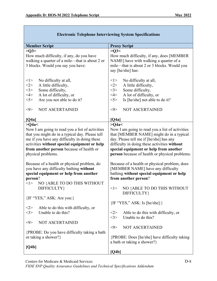| <b>Member Script</b>                                                                                                                                                                                                                                                                                                                                                                                                                                                     | <b>Proxy Script</b>                                                                                                                                                                                                                                                                                                                                                                                                                                    |
|--------------------------------------------------------------------------------------------------------------------------------------------------------------------------------------------------------------------------------------------------------------------------------------------------------------------------------------------------------------------------------------------------------------------------------------------------------------------------|--------------------------------------------------------------------------------------------------------------------------------------------------------------------------------------------------------------------------------------------------------------------------------------------------------------------------------------------------------------------------------------------------------------------------------------------------------|
| >Q3<<br>How much difficulty, if any, do you have<br>walking a quarter of a mile-that is about 2 or<br>3 blocks. Would you say you have:                                                                                                                                                                                                                                                                                                                                  | >Q3<<br>How much difficulty, if any, does [MEMBER]<br>NAME] have with walking a quarter of a<br>mile-that is about 2 or 3 blocks. Would you<br>say [he/she] has:                                                                                                                                                                                                                                                                                       |
| $<$ l $>$<br>No difficulty at all,<br><2><br>A little difficulty,<br><3><br>Some difficulty,<br>4><br>A lot of difficulty, or<br>5><br>Are you not able to do it?<br>NOT ASCERTAINED<br>$< \hspace{-1.5mm}9 \hspace{-1.5mm}>$                                                                                                                                                                                                                                            | $<$ 1><br>No difficulty at all,<br><2><br>A little difficulty,<br>Some difficulty,<br><3><br>A lot of difficulty, or<br>$<\!\!4\!\!>$<br>5><br>Is [he/she] not able to do it?<br><b>NOT ASCERTAINED</b><br>$<$ 9>                                                                                                                                                                                                                                      |
| [Q4a]                                                                                                                                                                                                                                                                                                                                                                                                                                                                    | [Q4a]                                                                                                                                                                                                                                                                                                                                                                                                                                                  |
| >Q4a<<br>Now I am going to read you a list of activities<br>that you might do in a typical day. Please tell<br>me if you have any difficulty in doing these<br>activities without special equipment or help<br>from another person because of health or<br>physical problems.<br>Because of a health or physical problem, do<br>you have any difficulty bathing without<br>special equipment or help from another<br>person?<br>NO {ABLE TO DO THIS WITHOUT<br>$<$ l $>$ | >Q4a<<br>Now I am going to read you a list of activities<br>that [MEMBER NAME] might do in a typical<br>day. Please tell me if [he/she] has any<br>difficulty in doing these activities without<br>special equipment or help from another<br>person because of health or physical problems.<br>Because of a health or physical problem, does<br>[MEMBER NAME] have any difficulty<br>bathing without special equipment or help<br>from another person? |
| DIFFICULTY}                                                                                                                                                                                                                                                                                                                                                                                                                                                              | NO {ABLE TO DO THIS WITHOUT<br>$<$ 1><br>DIFFICULTY}                                                                                                                                                                                                                                                                                                                                                                                                   |
| $\{IF "YES," ASK: Are you:\}$                                                                                                                                                                                                                                                                                                                                                                                                                                            | $\{IF "YES," ASK: Is [he/she]:\}$                                                                                                                                                                                                                                                                                                                                                                                                                      |
| Able to do this with difficulty, or<br><2><br>Unable to do this?<br>$<$ 3>                                                                                                                                                                                                                                                                                                                                                                                               | Able to do this with difficulty, or<br>$<$ 2><br>Unable to do this?<br><3>                                                                                                                                                                                                                                                                                                                                                                             |
| <b>NOT ASCERTAINED</b><br><9>                                                                                                                                                                                                                                                                                                                                                                                                                                            |                                                                                                                                                                                                                                                                                                                                                                                                                                                        |
| {PROBE: Do you have difficulty taking a bath<br>or taking a shower?}                                                                                                                                                                                                                                                                                                                                                                                                     | <b>NOT ASCERTAINED</b><br>$< \!\!9 \!\!>$<br>{PROBE: Does [he/she] have difficulty taking<br>a bath or taking a shower?}                                                                                                                                                                                                                                                                                                                               |
| [Q4b]                                                                                                                                                                                                                                                                                                                                                                                                                                                                    | [Q4b]                                                                                                                                                                                                                                                                                                                                                                                                                                                  |

Centers for Medicare & Medicaid Services D-8

*FIDE SNP Quality Assurance Guidelines and Technical Specifications Addendum*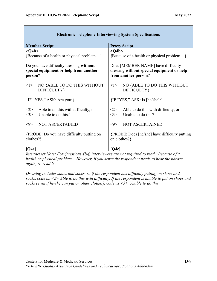| <b>Member Script</b>                                                                         | <b>Proxy Script</b>                                                                                      |
|----------------------------------------------------------------------------------------------|----------------------------------------------------------------------------------------------------------|
| >Q4b<                                                                                        | >Q4b<                                                                                                    |
| {Because of a health or physical problem}                                                    | {Because of a health or physical problem}                                                                |
| Do you have difficulty dressing without<br>special equipment or help from another<br>person? | Does [MEMBER NAME] have difficulty<br>dressing without special equipment or help<br>from another person? |
| NO {ABLE TO DO THIS WITHOUT<br><1><br>DIFFICULTY}                                            | NO {ABLE TO DO THIS WITHOUT<br>< l ><br>DIFFICULTY}                                                      |
| {IF "YES," ASK: Are you:}                                                                    | $\{IF "YES," ASK: Is [he/she]:\}$                                                                        |
| Able to do this with difficulty, or<br>$<$ 2><br>3><br>Unable to do this?                    | <2><br>Able to do this with difficulty, or<br>Unable to do this?<br><3>                                  |
| $< \!\!9 >$<br><b>NOT ASCERTAINED</b>                                                        | <b>NOT ASCERTAINED</b><br>$< \!\!9$                                                                      |
| {PROBE: Do you have difficulty putting on<br>clothes?}                                       | {PROBE: Does [he/she] have difficulty putting<br>on clothes?}                                            |
| [Q4c]                                                                                        | [Q4c]                                                                                                    |
| Interviewer Note: For Questions 4b-f, interviewers are not required to read "Because of a    |                                                                                                          |

*Interviewer Note: For Questions 4b-f, interviewers are not required to read "Because of a health or physical problem." However, if you sense the respondent needs to hear the phrase again, re-read it.*

*Dressing includes shoes and socks, so if the respondent has difficulty putting on shoes and socks, code as <2> Able to do this with difficulty. If the respondent is unable to put on shoes and socks (even if he/she can put on other clothes), code as <3> Unable to do this.*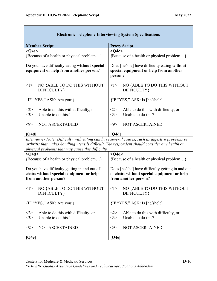| <b>Member Script</b>                                                                                                                                                                                                                                   | <b>Proxy Script</b>                                                                                                     |  |
|--------------------------------------------------------------------------------------------------------------------------------------------------------------------------------------------------------------------------------------------------------|-------------------------------------------------------------------------------------------------------------------------|--|
| $>$ Q4c $<$                                                                                                                                                                                                                                            | $>$ O4c $<$                                                                                                             |  |
| {Because of a health or physical problem}                                                                                                                                                                                                              | {Because of a health or physical problem}                                                                               |  |
| Do you have difficulty eating without special<br>equipment or help from another person?                                                                                                                                                                | Does [he/she] have difficulty eating without<br>special equipment or help from another<br>person?                       |  |
| NO {ABLE TO DO THIS WITHOUT<br><1><br>DIFFICULTY}                                                                                                                                                                                                      | NO {ABLE TO DO THIS WITHOUT<br><1><br>DIFFICULTY}                                                                       |  |
| $\{IF "YES," ASK: Are you:\}$                                                                                                                                                                                                                          | {IF "YES," ASK: Is [he/she]:}                                                                                           |  |
| Able to do this with difficulty, or<br><2><br>Unable to do this?<br><3>                                                                                                                                                                                | <2><br>Able to do this with difficulty, or<br>Unable to do this?<br><3>                                                 |  |
| <b>NOT ASCERTAINED</b><br>$< \!\!9 \!\!>$                                                                                                                                                                                                              | <b>NOT ASCERTAINED</b><br>$< \!\!9 \!\!>$                                                                               |  |
| [Q4d]                                                                                                                                                                                                                                                  | [O4d]                                                                                                                   |  |
| Interviewer Note: Difficulty with eating can have several causes, such as digestive problems or<br>arthritis that makes handling utensils difficult. The respondent should consider any health or<br>physical problems that may cause this difficulty. |                                                                                                                         |  |
| $>$ Q4d $<$                                                                                                                                                                                                                                            | $>$ O4d $<$                                                                                                             |  |
| {Because of a health or physical problem}                                                                                                                                                                                                              | {Because of a health or physical problem}                                                                               |  |
| Do you have difficulty getting in and out of<br>chairs without special equipment or help<br>from another person?                                                                                                                                       | Does [he/she] have difficulty getting in and out<br>of chairs without special equipment or help<br>from another person? |  |
| NO {ABLE TO DO THIS WITHOUT<br>< l ><br>DIFFICULTY}                                                                                                                                                                                                    | NO {ABLE TO DO THIS WITHOUT<br><1><br>DIFFICULTY}                                                                       |  |
| $\{IF "YES," ASK: Are you:\}$                                                                                                                                                                                                                          | $\{IF "YES," ASK: Is [he/she]:\}$                                                                                       |  |
| Able to do this with difficulty, or<br>$<$ 2><br>Unable to do this?<br>$<$ 3>                                                                                                                                                                          | Able to do this with difficulty, or<br><2><br>Unable to do this?<br><3>                                                 |  |
| <b>NOT ASCERTAINED</b><br>$< \hspace{-1.5mm}9 \hspace{-1.5mm}>$                                                                                                                                                                                        | <b>NOT ASCERTAINED</b><br>$< \!\!9 \!\!>$                                                                               |  |
| [Q4e]                                                                                                                                                                                                                                                  | [Q4e]                                                                                                                   |  |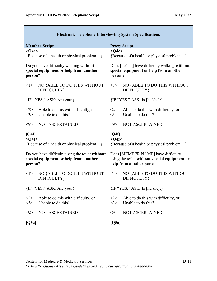| <b>Member Script</b>                                                                        | <b>Proxy Script</b>                                                                                              |
|---------------------------------------------------------------------------------------------|------------------------------------------------------------------------------------------------------------------|
| $>$ Q4e $<$                                                                                 | $>$ Q4e $<$                                                                                                      |
| {Because of a health or physical problem}                                                   | {Because of a health or physical problem}                                                                        |
| Do you have difficulty walking without<br>special equipment or help from another<br>person? | Does [he/she] have difficulty walking without<br>special equipment or help from another<br>person?               |
| NO {ABLE TO DO THIS WITHOUT<br>< l ><br>DIFFICULTY}                                         | NO {ABLE TO DO THIS WITHOUT<br><1><br>DIFFICULTY}                                                                |
| $\{IF "YES," ASK: Are you:\}$                                                               | $\{IF "YES," ASK: Is [he/she]:\}$                                                                                |
| Able to do this with difficulty, or<br><2><br><3><br>Unable to do this?                     | <2><br>Able to do this with difficulty, or<br><3><br>Unable to do this?                                          |
| $<$ 9><br><b>NOT ASCERTAINED</b>                                                            | NOT ASCERTAINED<br>$<$ 9>                                                                                        |
| [Q4f]                                                                                       | [Q4f]                                                                                                            |
| $>$ Q4f $<$                                                                                 | $>$ Q4f $<$                                                                                                      |
| {Because of a health or physical problem}                                                   | {Because of a health or physical problem}                                                                        |
| Do you have difficulty using the toilet without<br>special equipment or help from another   | Does [MEMBER NAME] have difficulty<br>using the toilet without special equipment or<br>help from another person? |
| person?                                                                                     |                                                                                                                  |
| NO {ABLE TO DO THIS WITHOUT<br>< l ><br>DIFFICULTY}                                         | NO {ABLE TO DO THIS WITHOUT<br>< l ><br>DIFFICULTY}                                                              |
| $\{IF "YES," ASK: Are you:\}$                                                               | $\{IF "YES," ASK: Is [he/she]:\}$                                                                                |
| Able to do this with difficulty, or<br><2><br><3><br>Unable to do this?                     | Able to do this with difficulty, or<br>$<$ 2><br><3><br>Unable to do this?                                       |
| <b>NOT ASCERTAINED</b><br>$< \!\!9 \!\!>$                                                   | NOT ASCERTAINED<br>$< \!\!9 >$                                                                                   |
| [Q5a]                                                                                       | [Q5a]                                                                                                            |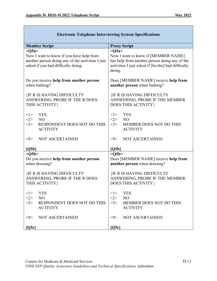| <b>Member Script</b>                                                                                                                               | <b>Proxy Script</b>                                                                                                                                                 |
|----------------------------------------------------------------------------------------------------------------------------------------------------|---------------------------------------------------------------------------------------------------------------------------------------------------------------------|
| $>Q$ 5a $<$<br>Now I want to know if you have help from<br>another person doing any of the activities I just<br>asked if you had difficulty doing. | $>Q$ 5a $<$<br>Now I want to know if [MEMBER NAME]<br>has help from another person doing any of the<br>activities I just asked if [he/she] had difficulty<br>doing. |
| Do you receive help from another person                                                                                                            | Does [MEMBER NAME] receive help from                                                                                                                                |
| when bathing?                                                                                                                                      | another person when bathing?                                                                                                                                        |
| <b>{IF R IS HAVING DIFFICULTY</b>                                                                                                                  | <b>{IF R IS HAVING DIFFICULTY</b>                                                                                                                                   |
| ANSWERING, PROBE IF THE R DOES                                                                                                                     | ANSWERING, PROBE IF THE MEMBER                                                                                                                                      |
| THIS ACTIVITY}                                                                                                                                     | <b>DOES THIS ACTIVITY}</b>                                                                                                                                          |
| <1>                                                                                                                                                | <1>                                                                                                                                                                 |
| <b>YES</b>                                                                                                                                         | <b>YES</b>                                                                                                                                                          |
| <2>                                                                                                                                                | <2>                                                                                                                                                                 |
| NO <sub>1</sub>                                                                                                                                    | N <sub>O</sub>                                                                                                                                                      |
| <3>                                                                                                                                                | <3>                                                                                                                                                                 |
| RESPONDENT DOES NOT DO THIS                                                                                                                        | MEMBER DOES NOT DO THIS                                                                                                                                             |
| <b>ACTIVITY</b>                                                                                                                                    | <b>ACTIVITY</b>                                                                                                                                                     |
| <b>NOT ASCERTAINED</b>                                                                                                                             | <b>NOT ASCERTAINED</b>                                                                                                                                              |
| $< \!\!9 >$                                                                                                                                        | $< \!\!9 >$                                                                                                                                                         |
| [Q5b]                                                                                                                                              | [Q5b]                                                                                                                                                               |
| >Q5b<                                                                                                                                              | >Q5b<                                                                                                                                                               |
| Do you receive help from another person                                                                                                            | Does [MEMBER NAME] receive help from                                                                                                                                |
| when dressing?                                                                                                                                     | another person when dressing?                                                                                                                                       |
| <b>{IF R IS HAVING DIFFICULTY</b>                                                                                                                  | <b>{IF R IS HAVING DIFFICULTY</b>                                                                                                                                   |
| ANSWERING, PROBE IF THE R DOES                                                                                                                     | ANSWERING, PROBE IF THE MEMBER                                                                                                                                      |
| THIS ACTIVITY}                                                                                                                                     | DOES THIS ACTIVITY}                                                                                                                                                 |
| < l >                                                                                                                                              | < l >                                                                                                                                                               |
| YES                                                                                                                                                | YES                                                                                                                                                                 |
| N <sub>O</sub>                                                                                                                                     | NO                                                                                                                                                                  |
| <2>                                                                                                                                                | <2>                                                                                                                                                                 |
| <3>                                                                                                                                                | <3>                                                                                                                                                                 |
| RESPONDENT DOES NOT DO THIS                                                                                                                        | <b>MEMBER DOES NOT DO THIS</b>                                                                                                                                      |
| <b>ACTIVITY</b>                                                                                                                                    | <b>ACTIVITY</b>                                                                                                                                                     |
| <b>NOT ASCERTAINED</b>                                                                                                                             | <b>NOT ASCERTAINED</b>                                                                                                                                              |
| $< \hspace{-0.5mm}9 \hspace{-0.5mm}>$                                                                                                              | $< \theta >$                                                                                                                                                        |
| [Q5c]                                                                                                                                              | [Q5c]                                                                                                                                                               |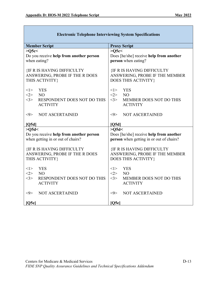| <b>Member Script</b>                                                                    | <b>Proxy Script</b>                                                                             |
|-----------------------------------------------------------------------------------------|-------------------------------------------------------------------------------------------------|
| >Q5c<                                                                                   | >Q5c<                                                                                           |
| Do you receive help from another person                                                 | Does [he/she] receive help from another                                                         |
| when eating?                                                                            | person when eating?                                                                             |
| <b>{IF R IS HAVING DIFFICULTY</b><br>ANSWERING, PROBE IF THE R DOES<br>THIS ACTIVITY}   | <b>{IF R IS HAVING DIFFICULTY</b><br>ANSWERING, PROBE IF THE MEMBER<br>DOES THIS ACTIVITY}      |
| <1><br><b>YES</b>                                                                       | <1><br><b>YES</b>                                                                               |
| <2><br>NO                                                                               | <2><br>N <sub>O</sub>                                                                           |
| <3><br>RESPONDENT DOES NOT DO THIS                                                      | <3><br><b>MEMBER DOES NOT DO THIS</b>                                                           |
| <b>ACTIVITY</b>                                                                         | <b>ACTIVITY</b>                                                                                 |
| <b>NOT ASCERTAINED</b><br>$< \!\!9 >$<br>[Q5d]                                          | <b>NOT ASCERTAINED</b><br>$< \!\!9$<br>[Q5d]                                                    |
| $>$ O5d $<$                                                                             | $>$ O5d $<$                                                                                     |
| Do you receive help from another person                                                 | Does [he/she] receive help from another                                                         |
| when getting in or out of chairs?                                                       | person when getting in or out of chairs?                                                        |
|                                                                                         |                                                                                                 |
| <b>{IF R IS HAVING DIFFICULTY</b>                                                       | <b>{IF R IS HAVING DIFFICULTY</b>                                                               |
| ANSWERING, PROBE IF THE R DOES                                                          | ANSWERING, PROBE IF THE MEMBER                                                                  |
| THIS ACTIVITY}                                                                          | DOES THIS ACTIVITY}                                                                             |
| <b>YES</b><br><1><br><2><br>NO<br>RESPONDENT DOES NOT DO THIS<br><3><br><b>ACTIVITY</b> | <1><br><b>YES</b><br><2><br>N <sub>O</sub><br><3><br>MEMBER DOES NOT DO THIS<br><b>ACTIVITY</b> |
|                                                                                         |                                                                                                 |
| $< \!\!9 >$<br><b>NOT ASCERTAINED</b>                                                   | $< \!\!9$<br><b>NOT ASCERTAINED</b>                                                             |
| [Q5e]                                                                                   | [Q5e]                                                                                           |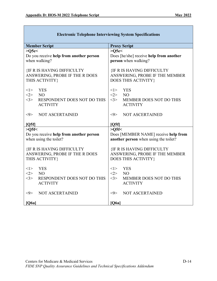| <b>Member Script</b>                                                                  | <b>Proxy Script</b>                                                                        |
|---------------------------------------------------------------------------------------|--------------------------------------------------------------------------------------------|
| $>05e<$                                                                               | >Q5e<                                                                                      |
| Do you receive help from another person                                               | Does [he/she] receive help from another                                                    |
| when walking?                                                                         | person when walking?                                                                       |
| <b>{IF R IS HAVING DIFFICULTY</b><br>ANSWERING, PROBE IF THE R DOES<br>THIS ACTIVITY} | <b>{IF R IS HAVING DIFFICULTY</b><br>ANSWERING, PROBE IF THE MEMBER<br>DOES THIS ACTIVITY} |
| <1><br><b>YES</b>                                                                     | <1><br><b>YES</b>                                                                          |
| $<\!\!2\!\!>$<br>N <sub>O</sub>                                                       | <2><br>N <sub>O</sub>                                                                      |
| <3><br><b>RESPONDENT DOES NOT DO THIS</b>                                             | <3><br><b>MEMBER DOES NOT DO THIS</b>                                                      |
| <b>ACTIVITY</b>                                                                       | <b>ACTIVITY</b>                                                                            |
|                                                                                       |                                                                                            |
| <b>NOT ASCERTAINED</b><br>$< \hspace{-1.5mm}9>$                                       | NOT ASCERTAINED<br>$< \!\!9$                                                               |
|                                                                                       |                                                                                            |
| [Q5f]                                                                                 | [Q5f]                                                                                      |
| >Q5f<                                                                                 | $>0.5$ f<                                                                                  |
| Do you receive help from another person                                               | Does [MEMBER NAME] receive help from                                                       |
| when using the toilet?                                                                | another person when using the toilet?                                                      |
| <b>{IF R IS HAVING DIFFICULTY</b><br>ANSWERING, PROBE IF THE R DOES<br>THIS ACTIVITY} | <b>{IF R IS HAVING DIFFICULTY</b><br>ANSWERING, PROBE IF THE MEMBER<br>DOES THIS ACTIVITY} |
|                                                                                       |                                                                                            |
| <b>YES</b><br><1><br><2><br>N <sub>O</sub>                                            | <1><br><b>YES</b><br><2><br>N <sub>O</sub>                                                 |
| <3><br><b>RESPONDENT DOES NOT DO THIS</b>                                             | <3><br><b>MEMBER DOES NOT DO THIS</b>                                                      |
| <b>ACTIVITY</b>                                                                       | <b>ACTIVITY</b>                                                                            |
|                                                                                       |                                                                                            |
| $< \!\!9 >$<br><b>NOT ASCERTAINED</b>                                                 | $< \!\!9 \!\!>$<br><b>NOT ASCERTAINED</b>                                                  |
| [Q6a]                                                                                 | [Q6a]                                                                                      |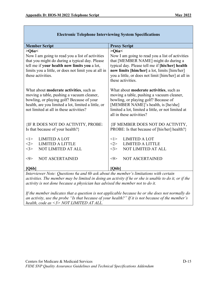| <b>Member Script</b>                                                                                                                                                                                                                | <b>Proxy Script</b>                                                                                                                                                                                                                                   |  |
|-------------------------------------------------------------------------------------------------------------------------------------------------------------------------------------------------------------------------------------|-------------------------------------------------------------------------------------------------------------------------------------------------------------------------------------------------------------------------------------------------------|--|
| Q6a<                                                                                                                                                                                                                                | >Q6a<                                                                                                                                                                                                                                                 |  |
| that you might do during a typical day. Please<br>tell me if your health now limits you a lot,<br>limits you a little, or does not limit you at all in<br>these activities.                                                         | that [MEMBER NAME] might do during a<br>typical day. Please tell me if [his/her] health<br>now limits [him/her] a lot, limits [him/her]<br>you a little, or does not limit [him/her] at all in<br>these activities.                                   |  |
| What about moderate activities, such as<br>moving a table, pushing a vacuum cleaner,<br>bowling, or playing golf? Because of your<br>health, are you limited a lot, limited a little, or<br>not limited at all in these activities? | What about moderate activities, such as<br>moving a table, pushing a vacuum cleaner,<br>bowling, or playing golf? Because of<br>[MEMBER NAME]'s health, is [he/she]<br>limited a lot, limited a little, or not limited at<br>all in these activities? |  |
| {IF R DOES NOT DO ACTIVITY, PROBE:<br>Is that because of your health?}                                                                                                                                                              | {IF MEMBER DOES NOT DO ACTIVITY,<br>PROBE: Is that because of [his/her] health?}                                                                                                                                                                      |  |
| <1><br><b>LIMITED A LOT</b>                                                                                                                                                                                                         | <b>LIMITED A LOT</b><br><1>                                                                                                                                                                                                                           |  |
| <3><br><b>NOT LIMITED AT ALL</b>                                                                                                                                                                                                    | NOT LIMITED AT ALL<br><3>                                                                                                                                                                                                                             |  |
| <b>NOT ASCERTAINED</b><br>$< \!\!9 \!\!>$                                                                                                                                                                                           | <b>NOT ASCERTAINED</b><br>$< \!\!9 \!\!>$                                                                                                                                                                                                             |  |
| [Q6b]                                                                                                                                                                                                                               | [Q6b]                                                                                                                                                                                                                                                 |  |
| Now I am going to read you a list of activities<br><2><br><b>LIMITED A LITTLE</b><br>Interniousu Note: Questions 6 a and 6h sole shout the monkey's limitations with contain                                                        | Now I am going to read you a list of activities<br><2><br><b>LIMITED A LITTLE</b>                                                                                                                                                                     |  |

*Interviewer Note: Questions 6a and 6b ask about the member's limitations with certain activities. The member may be limited in doing an activity if he or she is unable to do it, or if the activity is not done because a physician has advised the member not to do it.*

*If the member indicates that a question is not applicable because he or she does not normally do an activity, use the probe "Is that because of your health?" If it is not because of the member's health, code as <3> NOT LIMITED AT ALL.*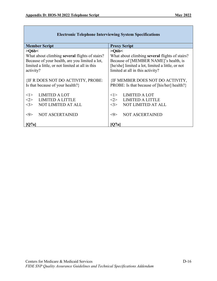| <b>Member Script</b><br><b>Proxy Script</b><br>$>$ O6b $<$<br>$>$ O6b $<$<br>What about climbing several flights of stairs?<br>What about climbing several flights of stairs?<br>Because of your health, are you limited a lot,<br>Because of [MEMBER NAME]'s health, is<br>[he/she] limited a lot, limited a little, or not<br>limited a little, or not limited at all in this<br>limited at all in this activity?<br>activity?<br><b>{IF R DOES NOT DO ACTIVITY, PROBE:</b><br><b>{IF MEMBER DOES NOT DO ACTIVITY,</b><br>Is that because of your health?}<br>PROBE: Is that because of [his/her] health?}<br><b>LIMITED A LOT</b><br><b>LIMITED A LOT</b><br><1><br><1><br><b>LIMITED A LITTLE</b><br><b>LIMITED A LITTLE</b><br><2><br>$< \!\!2 \!\!>$<br><b>NOT LIMITED AT ALL</b><br><3><br><b>NOT LIMITED AT ALL</b><br>$<$ 3> |  |
|---------------------------------------------------------------------------------------------------------------------------------------------------------------------------------------------------------------------------------------------------------------------------------------------------------------------------------------------------------------------------------------------------------------------------------------------------------------------------------------------------------------------------------------------------------------------------------------------------------------------------------------------------------------------------------------------------------------------------------------------------------------------------------------------------------------------------------------|--|
|                                                                                                                                                                                                                                                                                                                                                                                                                                                                                                                                                                                                                                                                                                                                                                                                                                       |  |
|                                                                                                                                                                                                                                                                                                                                                                                                                                                                                                                                                                                                                                                                                                                                                                                                                                       |  |
|                                                                                                                                                                                                                                                                                                                                                                                                                                                                                                                                                                                                                                                                                                                                                                                                                                       |  |
|                                                                                                                                                                                                                                                                                                                                                                                                                                                                                                                                                                                                                                                                                                                                                                                                                                       |  |
|                                                                                                                                                                                                                                                                                                                                                                                                                                                                                                                                                                                                                                                                                                                                                                                                                                       |  |
|                                                                                                                                                                                                                                                                                                                                                                                                                                                                                                                                                                                                                                                                                                                                                                                                                                       |  |
|                                                                                                                                                                                                                                                                                                                                                                                                                                                                                                                                                                                                                                                                                                                                                                                                                                       |  |
|                                                                                                                                                                                                                                                                                                                                                                                                                                                                                                                                                                                                                                                                                                                                                                                                                                       |  |
|                                                                                                                                                                                                                                                                                                                                                                                                                                                                                                                                                                                                                                                                                                                                                                                                                                       |  |
|                                                                                                                                                                                                                                                                                                                                                                                                                                                                                                                                                                                                                                                                                                                                                                                                                                       |  |
|                                                                                                                                                                                                                                                                                                                                                                                                                                                                                                                                                                                                                                                                                                                                                                                                                                       |  |
|                                                                                                                                                                                                                                                                                                                                                                                                                                                                                                                                                                                                                                                                                                                                                                                                                                       |  |
|                                                                                                                                                                                                                                                                                                                                                                                                                                                                                                                                                                                                                                                                                                                                                                                                                                       |  |
|                                                                                                                                                                                                                                                                                                                                                                                                                                                                                                                                                                                                                                                                                                                                                                                                                                       |  |
| <b>NOT ASCERTAINED</b><br><b>NOT ASCERTAINED</b><br>$< \!\!9 \!\!>$<br><9>                                                                                                                                                                                                                                                                                                                                                                                                                                                                                                                                                                                                                                                                                                                                                            |  |
|                                                                                                                                                                                                                                                                                                                                                                                                                                                                                                                                                                                                                                                                                                                                                                                                                                       |  |
| [O7a]<br>O7a                                                                                                                                                                                                                                                                                                                                                                                                                                                                                                                                                                                                                                                                                                                                                                                                                          |  |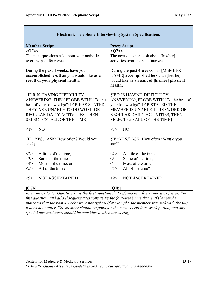| <b>Member Script</b>                                                                                                                                                                                                                                                               | <b>Proxy Script</b>                                                                                                                      |
|------------------------------------------------------------------------------------------------------------------------------------------------------------------------------------------------------------------------------------------------------------------------------------|------------------------------------------------------------------------------------------------------------------------------------------|
| >Q7a<                                                                                                                                                                                                                                                                              | >Q7a<                                                                                                                                    |
| The next questions ask about your activities                                                                                                                                                                                                                                       | The next questions ask about [his/her]                                                                                                   |
| over the past four weeks.                                                                                                                                                                                                                                                          | activities over the past four weeks.                                                                                                     |
| During the past 4 weeks, have you<br>accomplished less than you would like as a<br>result of your physical health?                                                                                                                                                                 | During the past 4 weeks, has [MEMBER<br>NAME] accomplished less than [he/she]<br>would like as a result of [his/her] physical<br>health? |
| <b>{IF R IS HAVING DIFFICULTY</b>                                                                                                                                                                                                                                                  | <b>{IF R IS HAVING DIFFICULTY</b>                                                                                                        |
| ANSWERING, THEN PROBE WITH "To the                                                                                                                                                                                                                                                 | ANSWERING, PROBE WITH "To the best of                                                                                                    |
| best of your knowledge"; IF R HAS STATED                                                                                                                                                                                                                                           | your knowledge"; IF R STATED THE                                                                                                         |
| THEY ARE UNABLE TO DO WORK OR                                                                                                                                                                                                                                                      | MEMBER IS UNABLE TO DO WORK OR                                                                                                           |
| REGULAR DAILY ACTIVITIES, THEN                                                                                                                                                                                                                                                     | REGULAR DAILY ACTIVITIES, THEN                                                                                                           |
| SELECT <5> ALL OF THE TIME}                                                                                                                                                                                                                                                        | SELECT <5> ALL OF THE TIME}                                                                                                              |
| $<$ 1><br>N <sub>O</sub>                                                                                                                                                                                                                                                           | <1><br>N <sub>O</sub>                                                                                                                    |
| {IF "YES," ASK: How often? Would you                                                                                                                                                                                                                                               | {IF "YES," ASK: How often? Would you                                                                                                     |
| say?}                                                                                                                                                                                                                                                                              | say?}                                                                                                                                    |
|                                                                                                                                                                                                                                                                                    |                                                                                                                                          |
| <2><br>A little of the time,                                                                                                                                                                                                                                                       | A little of the time,<br><2>                                                                                                             |
| <3><br>Some of the time,                                                                                                                                                                                                                                                           | <3><br>Some of the time,                                                                                                                 |
| Most of the time, or<br>$<$ 4>                                                                                                                                                                                                                                                     | 4><br>Most of the time, or                                                                                                               |
| All of the time?<br>5>                                                                                                                                                                                                                                                             | All of the time?<br>5                                                                                                                    |
| <b>NOT ASCERTAINED</b><br>$< \!\!9 >$                                                                                                                                                                                                                                              | <b>NOT ASCERTAINED</b><br>$< \!\!9 >$                                                                                                    |
| [Q7b]                                                                                                                                                                                                                                                                              | [Q7b]                                                                                                                                    |
| Interviewer Note: Question 7a is the first question that references a four-week time frame. For<br>$d_{\ell}$ and $d_{\ell}$ and $d_{\ell}$ and $d_{\ell}$ and $d_{\ell}$ are continuous and $d_{\ell}$ and $d_{\ell}$ and $d_{\ell}$ and $d_{\ell}$ and $d_{\ell}$ and $d_{\ell}$ |                                                                                                                                          |

*this question, and all subsequent questions using the four-week time frame, if the member*  indicates that the past 4 weeks were not typical (for example, the member was sick with the flu), *it does not matter. The member should respond for the most recent four-week period, and any special circumstances should be considered when answering.*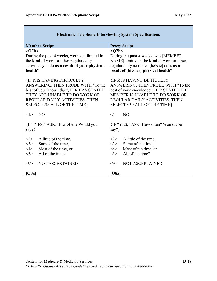| <b>Proxy Script</b>                                                                                                                                                                                                    |
|------------------------------------------------------------------------------------------------------------------------------------------------------------------------------------------------------------------------|
| >Q7b<                                                                                                                                                                                                                  |
| During the past 4 weeks, was [MEMBER                                                                                                                                                                                   |
| NAME] limited in the kind of work or other                                                                                                                                                                             |
| regular daily activities [he/she] does as a                                                                                                                                                                            |
| result of [his/her] physical health?                                                                                                                                                                                   |
| <b>{IF R IS HAVING DIFFICULTY</b><br>ANSWERING, THEN PROBE WITH "To the<br>best of your knowledge"; IF R STATED THE<br>MEMBER IS UNABLE TO DO WORK OR<br>REGULAR DAILY ACTIVITIES, THEN<br>SELECT <5> ALL OF THE TIME} |
| N <sub>O</sub><br><1>                                                                                                                                                                                                  |
| {IF "YES," ASK: How often? Would you<br>say? $\}$                                                                                                                                                                      |
| <2><br>A little of the time,                                                                                                                                                                                           |
| <3><br>Some of the time,                                                                                                                                                                                               |
| $<\!\!4\!\!>$<br>Most of the time, or                                                                                                                                                                                  |
| $<$ 5><br>All of the time?                                                                                                                                                                                             |
| $< \!\!9 \!\!>$<br><b>NOT ASCERTAINED</b>                                                                                                                                                                              |
| [Q8a]                                                                                                                                                                                                                  |
|                                                                                                                                                                                                                        |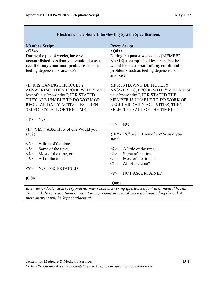| <b>Member Script</b>                                                                         | <b>Proxy Script</b>                               |
|----------------------------------------------------------------------------------------------|---------------------------------------------------|
| >Q8a<                                                                                        | >Q8a<                                             |
| During the past 4 weeks, have you                                                            | During the past 4 weeks, has [MEMBER              |
| accomplished less than you would like as a                                                   | NAME] accomplished less than [he/she]             |
| result of any emotional problems such as                                                     | would like as a result of any emotional           |
| feeling depressed or anxious?                                                                | problems such as feeling depressed or<br>anxious? |
| <b>{IF R IS HAVING DIFFICULTY</b>                                                            | <b>{IF R IS HAVING DIFFICULTY</b>                 |
| ANSWERING, THEN PROBE WITH "To the                                                           | ANSWERING, PROBE WITH "To the best of             |
| best of your knowledge"; IF R STATED                                                         | your knowledge"; IF R STATED THE                  |
| THEY ARE UNABLE TO DO WORK OR                                                                | MEMBER IS UNABLE TO DO WORK OR                    |
| REGULAR DAILY ACTIVITIES, THEN                                                               | REGULAR DAILY ACTIVITIES, THEN                    |
| SELECT <5> ALL OF THE TIME}                                                                  | SELECT <5> ALL OF THE TIME}                       |
| N <sub>O</sub><br><1>                                                                        |                                                   |
|                                                                                              | N <sub>O</sub><br><1>                             |
| {IF "YES," ASK: How often? Would you                                                         |                                                   |
| say?}                                                                                        | {IF "YES," ASK: How often? Would you              |
|                                                                                              | say? $\}$                                         |
| A little of the time,<br><2><br><3><br>Some of the time,                                     | <2><br>A little of the time,                      |
| Most of the time, or<br>$<\!\!4\!\!>$                                                        | <3><br>Some of the time,                          |
| All of the time?<br>$<$ 5>                                                                   | Most of the time, or<br>$<\!\!4\!\!>$             |
|                                                                                              | All of the time?<br>$<$ 5>                        |
| <b>NOT ASCERTAINED</b><br>$< \!\!\theta \!\!>$                                               |                                                   |
|                                                                                              | <b>NOT ASCERTAINED</b><br>$< \!\!9 \!\!>$         |
| [Q8b]                                                                                        |                                                   |
|                                                                                              | [O8b]                                             |
| Interviewer Note: Some respondents may resist answering questions about their mental health. |                                                   |

*You can help reassure them by maintaining a neutral tone of voice and reminding them that their answers will be kept confidential.*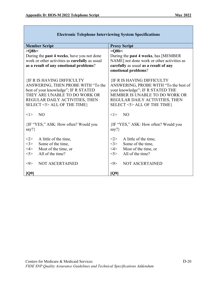| <b>Member Script</b>                           | <b>Proxy Script</b>                          |  |
|------------------------------------------------|----------------------------------------------|--|
| >Q8b<                                          | >Q8b<                                        |  |
| During the past 4 weeks, have you not done     | During the <b>past 4 weeks</b> , has [MEMBER |  |
| work or other activities as carefully as usual | NAME] not done work or other activities as   |  |
| as a result of any emotional problems?         | carefully as usual as a result of any        |  |
|                                                | emotional problems?                          |  |
| <b>{IF R IS HAVING DIFFICULTY</b>              | <b>{IF R IS HAVING DIFFICULTY</b>            |  |
| ANSWERING, THEN PROBE WITH "To the             | ANSWERING, PROBE WITH "To the best of        |  |
| best of your knowledge"; IF R STATED           | your knowledge"; IF R STATED THE             |  |
| THEY ARE UNABLE TO DO WORK OR                  | MEMBER IS UNABLE TO DO WORK OR               |  |
| REGULAR DAILY ACTIVITIES, THEN                 | REGULAR DAILY ACTIVITIES, THEN               |  |
| SELECT <5> ALL OF THE TIME}                    | SELECT <5> ALL OF THE TIME}                  |  |
| N <sub>O</sub>                                 | NO <sub>1</sub>                              |  |
| < l >                                          | < l >                                        |  |
| {IF "YES," ASK: How often? Would you           | {IF "YES," ASK: How often? Would you         |  |
| say?}                                          | say? $\}$                                    |  |
| <2>                                            | <2>                                          |  |
| A little of the time,                          | A little of the time,                        |  |
| <3>                                            | <3>                                          |  |
| Some of the time,                              | Some of the time,                            |  |
| Most of the time, or                           | $<\!\!4\!\!>$                                |  |
| $<$ 4>                                         | Most of the time, or                         |  |
| All of the time?                               | All of the time?                             |  |
| $<$ 5>                                         | $<$ 5>                                       |  |
| <b>NOT ASCERTAINED</b>                         | <b>NOT ASCERTAINED</b>                       |  |
| $< \!\!\theta \!\!>$                           | $< \!\!9$                                    |  |
| [Q9]                                           | [Q9]                                         |  |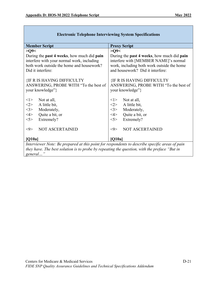| <b>Member Script</b>                                                                           | <b>Proxy Script</b>                                       |
|------------------------------------------------------------------------------------------------|-----------------------------------------------------------|
| >Q9<                                                                                           | $>Q$ 9<                                                   |
| During the <b>past 4 weeks</b> , how much did <b>pain</b>                                      | During the <b>past 4 weeks</b> , how much did <b>pain</b> |
| interfere with your normal work, including                                                     | interfere with [MEMBER NAME]'s normal                     |
| both work outside the home and housework?                                                      | work, including both work outside the home                |
| Did it interfere:                                                                              | and housework? Did it interfere:                          |
| <b>{IF R IS HAVING DIFFICULTY</b>                                                              | <b>{IF R IS HAVING DIFFICULTY</b>                         |
| ANSWERING, PROBE WITH "To the best of                                                          | ANSWERING, PROBE WITH "To the best of                     |
| your knowledge"}                                                                               | your knowledge"}                                          |
| < l >                                                                                          | Not at all,                                               |
| Not at all,                                                                                    | <1>                                                       |
| $<\!\!2\!\!>$                                                                                  | <2>                                                       |
| A little bit,                                                                                  | A little bit,                                             |
| 3>                                                                                             | Moderately,                                               |
| Moderately,                                                                                    | <3>                                                       |
| $<\!\!4\!\!>$                                                                                  | $<\!\!4\!\!>$                                             |
| Quite a bit, or                                                                                | Quite a bit, or                                           |
| Extremely?                                                                                     | Extremely?                                                |
| 5                                                                                              | 5>                                                        |
| $< \!\!\theta \!\!>$                                                                           | $< \!\!\theta \!\!>$                                      |
| <b>NOT ASCERTAINED</b>                                                                         | <b>NOT ASCERTAINED</b>                                    |
| [Q10a]                                                                                         | [Q10a]                                                    |
| Interviewer Note: Be prepared at this point for respondents to describe specific areas of pain |                                                           |
| they have. The best solution is to probe by repeating the question, with the preface "But in   |                                                           |
| general"                                                                                       |                                                           |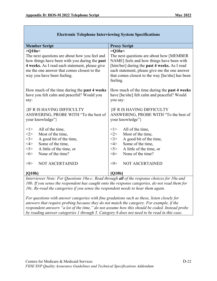| <b>Member Script</b>                                                                                                                                                                                                                  | <b>Proxy Script</b>                                                                                                                                                                                                                                    |  |
|---------------------------------------------------------------------------------------------------------------------------------------------------------------------------------------------------------------------------------------|--------------------------------------------------------------------------------------------------------------------------------------------------------------------------------------------------------------------------------------------------------|--|
| $>$ O10a $<$                                                                                                                                                                                                                          | $>$ O10a $<$                                                                                                                                                                                                                                           |  |
| The next questions are about how you feel and<br>how things have been with you during the past<br>4 weeks. As I read each statement, please give<br>me the one answer that comes closest to the<br>way you have been feeling.         | The next questions are about how [MEMBER]<br>NAME] feels and how things have been with<br>[him/her] during the past 4 weeks. As I read<br>each statement, please give me the one answer<br>that comes closest to the way [he/she] has been<br>feeling. |  |
| How much of the time during the past 4 weeks<br>have you felt calm and peaceful? Would you<br>say:                                                                                                                                    | How much of the time during the past 4 weeks<br>have [he/she] felt calm and peaceful? Would<br>you say:                                                                                                                                                |  |
| <b>{IF R IS HAVING DIFFICULTY</b><br>ANSWERING, PROBE WITH "To the best of<br>your knowledge"}                                                                                                                                        | <b>{IF R IS HAVING DIFFICULTY</b><br>ANSWERING, PROBE WITH "To the best of<br>your knowledge"}                                                                                                                                                         |  |
| All of the time,<br><1><br><2><br>Most of the time,<br><3><br>A good bit of the time,<br>$<\!\!4\!\!>$<br>Some of the time,<br>5<br>A little of the time, or<br><6><br>None of the time?<br><b>NOT ASCERTAINED</b><br>$< \!\!9 \!\!>$ | All of the time,<br><1><br><2><br>Most of the time,<br><3><br>A good bit of the time,<br>$<\!\!4\!\!>$<br>Some of the time,<br>5<br>A little of the time, or<br>None of the time?<br><6><br><b>NOT ASCERTAINED</b><br>$< \!\!9 \!\!>$                  |  |
| [Q10b]<br>[Q10b]<br>Interviewer Note: For Questions 10a-c: Read through all of the response choices for 10a and                                                                                                                       |                                                                                                                                                                                                                                                        |  |

*10b. If you sense the respondent has caught onto the response categories, do not read them for 10c. Re-read the categories if you sense the respondent needs to hear them again.* 

*For questions with answer categories with fine gradations such as these, listen closely for answers that require probing because they do not match the category. For example, if the respondent answers "a lot of the time," do not assume how this should be coded. Instead probe by reading answer categories 1 through 5. Category 6 does not need to be read in this case.*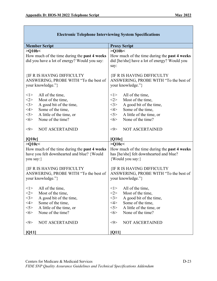| <b>Member Script</b>                                                       | <b>Proxy Script</b>                                                        |  |
|----------------------------------------------------------------------------|----------------------------------------------------------------------------|--|
| >Q10b<                                                                     | >Q10b<                                                                     |  |
| How much of the time during the past 4 weeks                               | How much of the time during the past 4 weeks                               |  |
| did you have a lot of energy? Would you say:                               | did [he/she] have a lot of energy? Would you                               |  |
|                                                                            | say:                                                                       |  |
| <b>{IF R IS HAVING DIFFICULTY</b>                                          |                                                                            |  |
| ANSWERING, PROBE WITH "To the best of                                      | <b>{IF R IS HAVING DIFFICULTY</b><br>ANSWERING, PROBE WITH "To the best of |  |
| your knowledge."}                                                          | your knowledge."}                                                          |  |
|                                                                            |                                                                            |  |
| <1><br>All of the time,                                                    | <1><br>All of the time,                                                    |  |
| <2><br>Most of the time,                                                   | <2><br>Most of the time,                                                   |  |
| <3><br>A good bit of the time,                                             | <3><br>A good bit of the time,                                             |  |
| $<\!\!4\!\!>$<br>Some of the time,                                         | $<\!\!4\!\!>$<br>Some of the time,                                         |  |
| 5><br>A little of the time, or                                             | A little of the time, or<br>$<$ 5>                                         |  |
| None of the time?<br><6>                                                   | None of the time?<br><6>                                                   |  |
| $< \!\!9 \!\!>$<br><b>NOT ASCERTAINED</b>                                  | $< \!\!9 \!\!>$<br><b>NOT ASCERTAINED</b>                                  |  |
|                                                                            |                                                                            |  |
| [Q10c]                                                                     | [Q10c]                                                                     |  |
| >Q10c<                                                                     | $>$ Q10c $<$                                                               |  |
| How much of the time during the past 4 weeks                               | How much of the time during the past 4 weeks                               |  |
| have you felt downhearted and blue? {Would                                 | has [he/she] felt downhearted and blue?                                    |  |
| you say:}                                                                  | {Would you say:}                                                           |  |
|                                                                            |                                                                            |  |
| <b>{IF R IS HAVING DIFFICULTY</b><br>ANSWERING, PROBE WITH "To the best of | <b>{IF R IS HAVING DIFFICULTY</b><br>ANSWERING, PROBE WITH "To the best of |  |
| your knowledge."}                                                          | your knowledge."}                                                          |  |
|                                                                            |                                                                            |  |
| All of the time,<br>< l >                                                  | All of the time,<br>< l >                                                  |  |
| Most of the time,<br>$<$ 2>                                                | Most of the time,<br><2>                                                   |  |
| $<$ 3><br>A good bit of the time,                                          | $<$ 3><br>A good bit of the time,                                          |  |
| $<\!\!4\!\!>$<br>Some of the time,                                         | $<\!\!4\!\!>$<br>Some of the time,                                         |  |
| $<$ 5><br>A little of the time, or                                         | 5><br>A little of the time, or                                             |  |
| None of the time?<br><6>                                                   | None of the time?<br>$<\!\!6\!\!>$                                         |  |
|                                                                            |                                                                            |  |
| NOT ASCERTAINED<br>$< \hspace{-1.5mm}9 \hspace{-1.5mm}>$                   | NOT ASCERTAINED<br>$< \!\!9 \!\!>$                                         |  |
| [Q11]                                                                      | [Q11]                                                                      |  |
|                                                                            |                                                                            |  |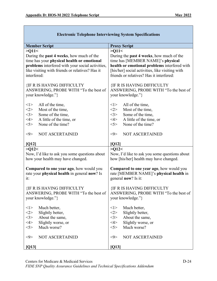| елеси оше тетерионе пиет чемище зумеш зреспісаціону |                                                  |  |
|-----------------------------------------------------|--------------------------------------------------|--|
| <b>Member Script</b>                                | <b>Proxy Script</b>                              |  |
| >Q11<                                               | >Q11                                             |  |
| During the <b>past 4 weeks</b> , how much of the    | During the <b>past 4 weeks</b> , how much of the |  |
| time has your physical health or emotional          | time has [MEMBER NAME]'s physical                |  |
| problems interfered with your social activities,    | health or emotional problems interfered with     |  |
| like visiting with friends or relatives? Has it     | [his/her] social activities, like visiting with  |  |
| interfered:                                         | friends or relatives? Has it interfered:         |  |
| <b>{IF R IS HAVING DIFFICULTY</b>                   | <b>{IF R IS HAVING DIFFICULTY</b>                |  |
| ANSWERING, PROBE WITH "To the best of               | ANSWERING, PROBE WITH "To the best of            |  |
| your knowledge."}                                   | your knowledge."}                                |  |
| $<$ $>$                                             | <1>                                              |  |
| All of the time,                                    | All of the time,                                 |  |
| <2>                                                 | Most of the time,                                |  |
| Most of the time,                                   | <2>                                              |  |
| <3>                                                 | Some of the time,                                |  |
| Some of the time,                                   | <3>                                              |  |
| A little of the time, or                            | $<\!\!4\!\!>$                                    |  |
| $<\!\!4\!\!>$                                       | A little of the time, or                         |  |
| 5>                                                  | 5>                                               |  |
| None of the time?                                   | None of the time?                                |  |
| <b>NOT ASCERTAINED</b>                              | <b>NOT ASCERTAINED</b>                           |  |
| $< \!\!9 \!\!>$                                     | $< \!\!9 \!\!>$                                  |  |
| [Q12]                                               | [Q12]                                            |  |
| >Q12<                                               | >Q12<                                            |  |
| Now, I'd like to ask you some questions about       | Now, I'd like to ask you some questions about    |  |
| how your health may have changed.                   | how [his/her] health may have changed.           |  |
| <b>Compared to one year ago, how would you</b>      | <b>Compared to one year ago, how would you</b>   |  |
| rate your physical health in general now? Is        | rate [MEMBER NAME]'s physical health in          |  |
| it:                                                 | general now? Is it:                              |  |
| <b>{IF R IS HAVING DIFFICULTY</b>                   | <b>{IF R IS HAVING DIFFICULTY</b>                |  |
| ANSWERING, PROBE WITH "To the best of               | ANSWERING, PROBE WITH "To the best of            |  |
| your knowledge."}                                   | your knowledge."}                                |  |
| $<$ 1>                                              | Much better,                                     |  |
| Much better,                                        | <1>                                              |  |
| <2>                                                 | $<\!\!2\!\!>$                                    |  |
| Slightly better,                                    | Slightly better,                                 |  |
| <3>                                                 | <3>                                              |  |
| About the same,                                     | About the same,                                  |  |
| $<\!\!4\!\!>$                                       | $<\!\!4\!\!>$                                    |  |
| Slightly worse, or                                  | Slightly worse, or                               |  |
| 5                                                   | 5>                                               |  |
| Much worse?                                         | Much worse?                                      |  |
| <b>NOT ASCERTAINED</b>                              | <b>NOT ASCERTAINED</b>                           |  |
| $< \hspace{-1.5mm}9 \hspace{-1.5mm}>$               | $< \!\!9 >$                                      |  |
| [Q13]                                               | [Q13]                                            |  |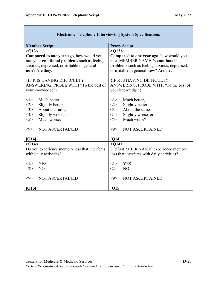| <b>Member Script</b>                          | <b>Proxy Script</b>                          |  |
|-----------------------------------------------|----------------------------------------------|--|
| >Q13<                                         | >Q13<                                        |  |
| Compared to one year ago, how would you       | Compared to one year ago, how would you      |  |
| rate your emotional problems such as feeling  | rate [MEMBER NAME]'s emotional               |  |
| anxious, depressed, or irritable in general   | problems such as feeling anxious, depressed, |  |
| now? Are they:                                | or irritable in general now? Are they:       |  |
| <b>{IF R IS HAVING DIFFICULTY</b>             | <b>{IF R IS HAVING DIFFICULTY</b>            |  |
| ANSWERING, PROBE WITH "To the best of         | ANSWERING, PROBE WITH "To the best of        |  |
| your knowledge"}                              | your knowledge"}                             |  |
| $<$ 1>                                        | Much better,                                 |  |
| Much better,                                  | <1>                                          |  |
| <2>                                           | $<\!\!2\!\!>$                                |  |
| Slightly better,                              | Slightly better,                             |  |
| About the same,                               | About the same,                              |  |
| <3>                                           | <3>                                          |  |
| $<\!\!4\!\!>$                                 | $<\!\!4\!\!>$                                |  |
| Slightly worse, or                            | Slightly worse, or                           |  |
| Much worse?                                   | Much worse?                                  |  |
| 5>                                            | 5>                                           |  |
| $< \hspace{-1.5mm}9 \hspace{-1.5mm}>$         | $< \!\!9$                                    |  |
| <b>NOT ASCERTAINED</b>                        | <b>NOT ASCERTAINED</b>                       |  |
| [Q14]                                         | [Q14]                                        |  |
| >Q14<                                         | >Q14<                                        |  |
| Do you experience memory loss that interferes | Did [MEMBER NAME] experience memory          |  |
| with daily activities?                        | loss that interferes with daily activities?  |  |
| <b>YES</b>                                    | <b>YES</b>                                   |  |
| <1>                                           | $<$ 1>                                       |  |
| $<$ 2>                                        | <2>                                          |  |
| N <sub>O</sub>                                | N <sub>O</sub>                               |  |
| <b>NOT ASCERTAINED</b>                        | $< \!\!\theta$                               |  |
| $< \hspace{-1.5mm}9 \hspace{-1.5mm}>$         | <b>NOT ASCERTAINED</b>                       |  |
| [Q15]                                         | [Q15]                                        |  |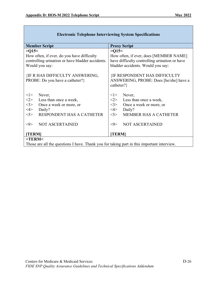| <b>Member Script</b>                                                                       | <b>Proxy Script</b>                                                                          |  |
|--------------------------------------------------------------------------------------------|----------------------------------------------------------------------------------------------|--|
| >015<                                                                                      | >015<                                                                                        |  |
| How often, if ever, do you have difficulty                                                 | How often, if ever, does [MEMBER NAME]                                                       |  |
| controlling urination or have bladder accidents.                                           | have difficulty controlling urination or have                                                |  |
| Would you say:                                                                             | bladder accidents. Would you say:                                                            |  |
| <b>{IF R HAS DIFFICULTY ANSWERING,</b><br>PROBE: Do you have a catheter?}                  | <b>{IF RESPONDENT HAS DIFFICULTY</b><br>ANSWERING, PROBE: Does [he/she] have a<br>catheter?} |  |
| < l >                                                                                      | < l >                                                                                        |  |
| Never,                                                                                     | Never,                                                                                       |  |
| <2>                                                                                        | <2>                                                                                          |  |
| Less than once a week,                                                                     | Less than once a week,                                                                       |  |
| <3>                                                                                        | <3>                                                                                          |  |
| Once a week or more, or                                                                    | Once a week or more, or                                                                      |  |
| $<\!\!4\!\!>$                                                                              | $<\!\!4\!\!>$                                                                                |  |
| Daily?                                                                                     | Daily?                                                                                       |  |
| RESPONDENT HAS A CATHETER                                                                  | MEMBER HAS A CATHETER                                                                        |  |
| $<$ 5>                                                                                     | 5                                                                                            |  |
| <b>NOT ASCERTAINED</b>                                                                     | <b>NOT ASCERTAINED</b>                                                                       |  |
| $< \!\!9 >$                                                                                | $< \!\!\theta \!\!>$                                                                         |  |
| <b>TERM</b>                                                                                | <b>TERMI</b>                                                                                 |  |
| $>$ TERM $<$                                                                               |                                                                                              |  |
| These are all the questions I have Thank you for taking next in this immentant integriery. |                                                                                              |  |

Those are all the questions I have. Thank you for taking part in this important interview.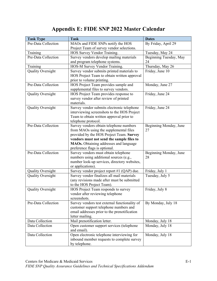# **Appendix E: FIDE SNP 2022 Master Calendar**

| <b>Task Type</b>         | <b>Task</b>                                                                               | <b>Dates</b>           |
|--------------------------|-------------------------------------------------------------------------------------------|------------------------|
| Pre-Data Collection      | MAOs and FIDE SNPs notify the HOS                                                         | By Friday, April 29    |
|                          | Project Team of survey vendor selections.                                                 |                        |
| Training                 | HOS Survey Vendor Training.                                                               | Tuesday, May 24        |
| Pre-Data Collection      | Survey vendors develop mailing materials                                                  | Beginning Tuesday, May |
|                          | and program telephone systems.                                                            | 24                     |
| Training                 | HOS-M Survey Vendor Training.                                                             | Thursday, May 26       |
| <b>Quality Oversight</b> | Survey vendor submits printed materials to                                                | Friday, June 10        |
|                          | HOS Project Team to obtain written approval                                               |                        |
|                          | prior to volume printing.                                                                 |                        |
| Pre-Data Collection      | HOS Project Team provides sample and                                                      | Monday, June 27        |
|                          | supplemental files to survey vendors.                                                     |                        |
| <b>Quality Oversight</b> | HOS Project Team provides response to                                                     | Friday, June 24        |
|                          | survey vendor after review of printed                                                     |                        |
|                          | materials.                                                                                |                        |
| <b>Quality Oversight</b> | Survey vendor submits electronic telephone<br>interviewing screenshots to the HOS Project | Friday, June 24        |
|                          | Team to obtain written approval prior to                                                  |                        |
|                          | telephone protocol.                                                                       |                        |
| Pre-Data Collection      | Survey vendors obtain telephone numbers                                                   | Beginning Monday, June |
|                          | from MAOs using the supplemental files                                                    | 27                     |
|                          | provided by the HOS Project Team. Survey                                                  |                        |
|                          | vendors must not send the sample files to                                                 |                        |
|                          | MAOs. Obtaining addresses and language                                                    |                        |
|                          | preference flags is optional.                                                             |                        |
| Pre-Data Collection      | Survey vendors must obtain telephone                                                      | Beginning Monday, June |
|                          | numbers using additional sources (e.g.,                                                   | 28                     |
|                          | number look-up services, directory websites,                                              |                        |
|                          | or applications).                                                                         |                        |
| <b>Quality Oversight</b> | Survey vendor project report #1 (QAP) due.                                                | Friday, July 1         |
| Quality Oversight        | Survey vendor finalizes all mail materials                                                | Tuesday, July 5        |
|                          | (any revisions made after must be submitted                                               |                        |
|                          | to the HOS Project Team).                                                                 |                        |
| Quality Oversight        | HOS Project Team responds to survey                                                       | Friday, July 8         |
|                          | vendor after reviewing telephone                                                          |                        |
|                          | screenshots.                                                                              |                        |
| Pre-Data Collection      | Survey vendors test external functionality of<br>customer support telephone numbers and   | By Monday, July 18     |
|                          | email addresses prior to the prenotification                                              |                        |
|                          | letter mailing.                                                                           |                        |
| Data Collection          | Mail prenotification letter.                                                              | Monday, July 18        |
| Data Collection          | Open customer support services (telephone                                                 | Monday, July 18        |
|                          | and email).                                                                               |                        |
| Data Collection          | Open electronic telephone interviewing for                                                | Monday, July 18        |
|                          | inbound member requests to complete survey                                                |                        |
|                          | by telephone.                                                                             |                        |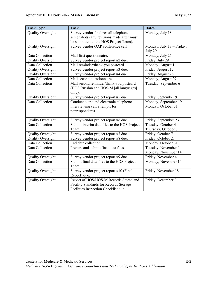| <b>Task Type</b>         | <b>Task</b>                                  | <b>Dates</b>              |
|--------------------------|----------------------------------------------|---------------------------|
| <b>Quality Oversight</b> | Survey vendor finalizes all telephone        | Monday, July 18           |
|                          | screenshots (any revisions made after must   |                           |
|                          | be submitted to the HOS Project Team).       |                           |
| <b>Quality Oversight</b> | Survey vendor QAP conference call.           | Monday, July 18 - Friday, |
|                          |                                              | July 29                   |
| Data Collection          | Mail first questionnaire.                    | Monday, July 25           |
| <b>Quality Oversight</b> | Survey vendor project report #2 due.         | Friday, July 29           |
| Data Collection          | Mail reminder/thank-you postcard.            | Monday, August 1          |
| <b>Quality Oversight</b> | Survey vendor project report #3 due.         | Friday, August 12         |
| Quality Oversight        | Survey vendor project report #4 due.         | Friday, August 26         |
| Data Collection          | Mail second questionnaire.                   | Monday, August 29         |
| Data Collection          | Mail second reminder/thank-you postcard      | Tuesday, September 6      |
|                          | (HOS Russian and HOS-M [all languages]       |                           |
|                          | only).                                       |                           |
| Quality Oversight        | Survey vendor project report #5 due.         | Friday, September 9       |
| Data Collection          | Conduct outbound electronic telephone        | Monday, September 19-     |
|                          | interviewing call attempts for               | Monday, October 31        |
|                          | nonrespondents.                              |                           |
|                          |                                              |                           |
| Quality Oversight        | Survey vendor project report #6 due.         | Friday, September 23      |
| Data Collection          | Submit interim data files to the HOS Project | Tuesday, October 4 -      |
|                          | Team.                                        | Thursday, October 6       |
| Quality Oversight        | Survey vendor project report #7 due.         | Friday, October 7         |
| <b>Quality Oversight</b> | Survey vendor project report #8 due.         | Friday, October 21        |
| Data Collection          | End data collection.                         | Monday, October 31        |
| Data Collection          | Prepare and submit final data files.         | Tuesday, November 1-      |
|                          |                                              | Monday, November 14       |
| Quality Oversight        | Survey vendor project report #9 due.         | Friday, November 4        |
| Data Collection          | Submit final data files to the HOS Project   | Monday, November 14       |
|                          | Team.                                        |                           |
| <b>Quality Oversight</b> | Survey vendor project report #10 (Final      | Friday, November 18       |
|                          | Report) due.                                 |                           |
| <b>Quality Oversight</b> | Report of HOS/HOS-M Records Stored and       | Friday, December 2        |
|                          | Facility Standards for Records Storage       |                           |
|                          | Facilities Inspection Checklist due.         |                           |